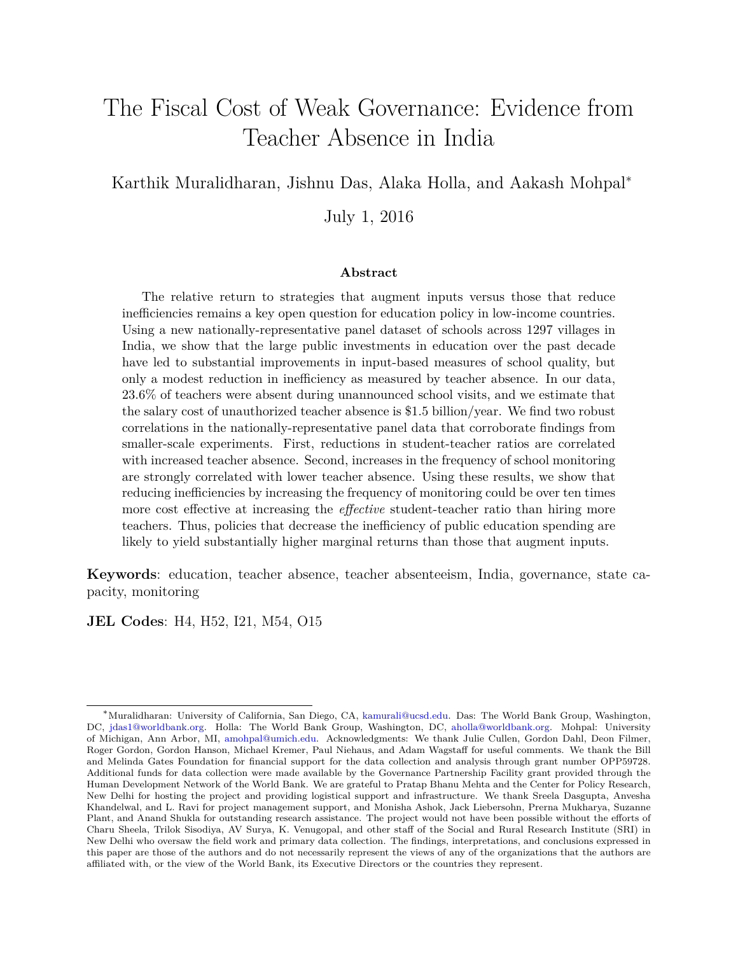# <span id="page-0-0"></span>The Fiscal Cost of Weak Governance: Evidence from Teacher Absence in India

Karthik Muralidharan, Jishnu Das, Alaka Holla, and Aakash Mohpal<sup>∗</sup>

July 1, 2016

#### **Abstract**

The relative return to strategies that augment inputs versus those that reduce inefficiencies remains a key open question for education policy in low-income countries. Using a new nationally-representative panel dataset of schools across 1297 villages in India, we show that the large public investments in education over the past decade have led to substantial improvements in input-based measures of school quality, but only a modest reduction in inefficiency as measured by teacher absence. In our data, 23.6% of teachers were absent during unannounced school visits, and we estimate that the salary cost of unauthorized teacher absence is \$1.5 billion/year. We find two robust correlations in the nationally-representative panel data that corroborate findings from smaller-scale experiments. First, reductions in student-teacher ratios are correlated with increased teacher absence. Second, increases in the frequency of school monitoring are strongly correlated with lower teacher absence. Using these results, we show that reducing inefficiencies by increasing the frequency of monitoring could be over ten times more cost effective at increasing the *effective* student-teacher ratio than hiring more teachers. Thus, policies that decrease the inefficiency of public education spending are likely to yield substantially higher marginal returns than those that augment inputs.

**Keywords**: education, teacher absence, teacher absenteeism, India, governance, state capacity, monitoring

**JEL Codes**: H4, H52, I21, M54, O15

<sup>∗</sup>Muralidharan: University of California, San Diego, CA, [kamurali@ucsd.edu.](mailto:kamurali@ucsd.edu) Das: The World Bank Group, Washington, DC, [jdas1@worldbank.org.](mailto:jdas1@worldbank.org) Holla: The World Bank Group, Washington, DC, [aholla@worldbank.org.](mailto:aholla@worldbank.org) Mohpal: University of Michigan, Ann Arbor, MI, [amohpal@umich.edu.](mailto:amohpal@umich.edu) Acknowledgments: We thank Julie Cullen, Gordon Dahl, Deon Filmer, Roger Gordon, Gordon Hanson, Michael Kremer, Paul Niehaus, and Adam Wagstaff for useful comments. We thank the Bill and Melinda Gates Foundation for financial support for the data collection and analysis through grant number OPP59728. Additional funds for data collection were made available by the Governance Partnership Facility grant provided through the Human Development Network of the World Bank. We are grateful to Pratap Bhanu Mehta and the Center for Policy Research, New Delhi for hosting the project and providing logistical support and infrastructure. We thank Sreela Dasgupta, Anvesha Khandelwal, and L. Ravi for project management support, and Monisha Ashok, Jack Liebersohn, Prerna Mukharya, Suzanne Plant, and Anand Shukla for outstanding research assistance. The project would not have been possible without the efforts of Charu Sheela, Trilok Sisodiya, AV Surya, K. Venugopal, and other staff of the Social and Rural Research Institute (SRI) in New Delhi who oversaw the field work and primary data collection. The findings, interpretations, and conclusions expressed in this paper are those of the authors and do not necessarily represent the views of any of the organizations that the authors are affiliated with, or the view of the World Bank, its Executive Directors or the countries they represent.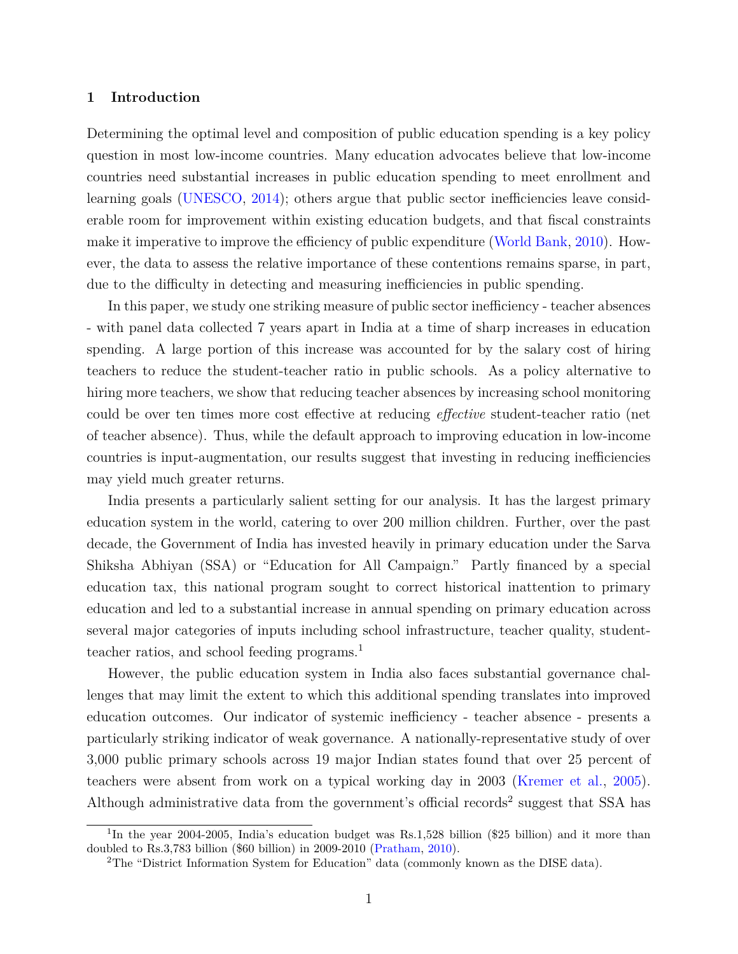### **1 Introduction**

Determining the optimal level and composition of public education spending is a key policy question in most low-income countries. Many education advocates believe that low-income countries need substantial increases in public education spending to meet enrollment and learning goals [\(UNESCO,](#page-24-0) [2014\)](#page-24-0); others argue that public sector inefficiencies leave considerable room for improvement within existing education budgets, and that fiscal constraints make it imperative to improve the efficiency of public expenditure [\(World Bank,](#page-24-1) [2010\)](#page-24-1). However, the data to assess the relative importance of these contentions remains sparse, in part, due to the difficulty in detecting and measuring inefficiencies in public spending.

In this paper, we study one striking measure of public sector inefficiency - teacher absences - with panel data collected 7 years apart in India at a time of sharp increases in education spending. A large portion of this increase was accounted for by the salary cost of hiring teachers to reduce the student-teacher ratio in public schools. As a policy alternative to hiring more teachers, we show that reducing teacher absences by increasing school monitoring could be over ten times more cost effective at reducing *effective* student-teacher ratio (net of teacher absence). Thus, while the default approach to improving education in low-income countries is input-augmentation, our results suggest that investing in reducing inefficiencies may yield much greater returns.

India presents a particularly salient setting for our analysis. It has the largest primary education system in the world, catering to over 200 million children. Further, over the past decade, the Government of India has invested heavily in primary education under the Sarva Shiksha Abhiyan (SSA) or "Education for All Campaign." Partly financed by a special education tax, this national program sought to correct historical inattention to primary education and led to a substantial increase in annual spending on primary education across several major categories of inputs including school infrastructure, teacher quality, student-teacher ratios, and school feeding programs.<sup>[1](#page-0-0)</sup>

However, the public education system in India also faces substantial governance challenges that may limit the extent to which this additional spending translates into improved education outcomes. Our indicator of systemic inefficiency - teacher absence - presents a particularly striking indicator of weak governance. A nationally-representative study of over 3,000 public primary schools across 19 major Indian states found that over 25 percent of teachers were absent from work on a typical working day in 2003 [\(Kremer et al.,](#page-23-0) [2005\)](#page-23-0). Although administrative data from the government's official records<sup>[2](#page-0-0)</sup> suggest that SSA has

<sup>&</sup>lt;sup>1</sup>In the year 2004-2005, India's education budget was Rs.1,528 billion (\$25 billion) and it more than doubled to Rs.3,783 billion (\$60 billion) in 2009-2010 [\(Pratham,](#page-24-2) [2010\)](#page-24-2).

<sup>2</sup>The "District Information System for Education" data (commonly known as the DISE data).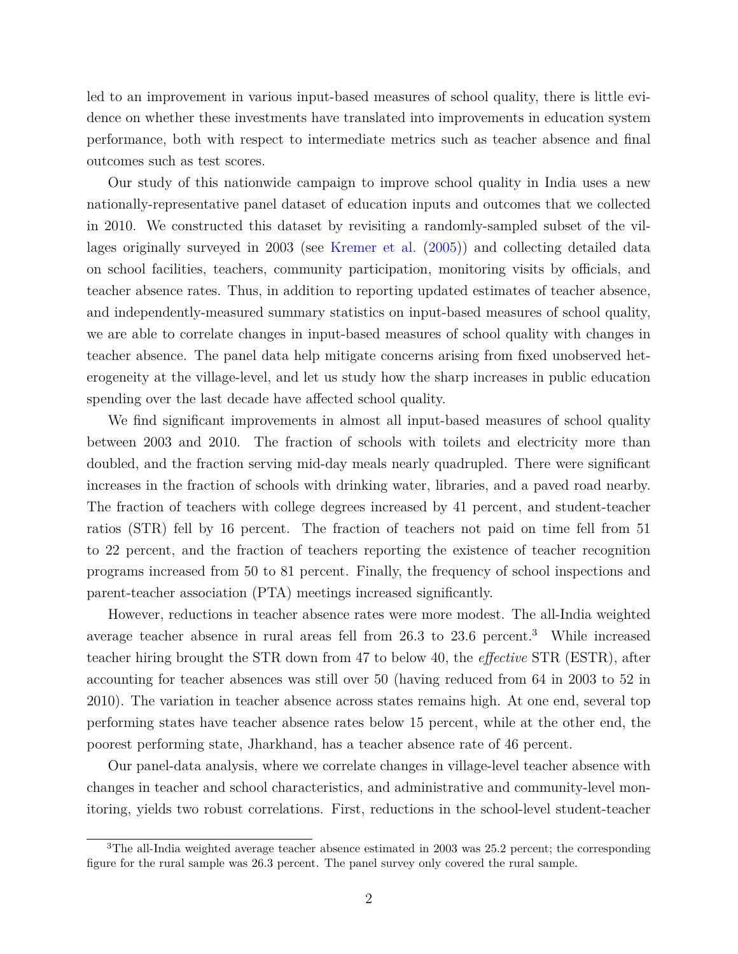led to an improvement in various input-based measures of school quality, there is little evidence on whether these investments have translated into improvements in education system performance, both with respect to intermediate metrics such as teacher absence and final outcomes such as test scores.

Our study of this nationwide campaign to improve school quality in India uses a new nationally-representative panel dataset of education inputs and outcomes that we collected in 2010. We constructed this dataset by revisiting a randomly-sampled subset of the villages originally surveyed in 2003 (see [Kremer et al.](#page-23-0) [\(2005\)](#page-23-0)) and collecting detailed data on school facilities, teachers, community participation, monitoring visits by officials, and teacher absence rates. Thus, in addition to reporting updated estimates of teacher absence, and independently-measured summary statistics on input-based measures of school quality, we are able to correlate changes in input-based measures of school quality with changes in teacher absence. The panel data help mitigate concerns arising from fixed unobserved heterogeneity at the village-level, and let us study how the sharp increases in public education spending over the last decade have affected school quality.

We find significant improvements in almost all input-based measures of school quality between 2003 and 2010. The fraction of schools with toilets and electricity more than doubled, and the fraction serving mid-day meals nearly quadrupled. There were significant increases in the fraction of schools with drinking water, libraries, and a paved road nearby. The fraction of teachers with college degrees increased by 41 percent, and student-teacher ratios (STR) fell by 16 percent. The fraction of teachers not paid on time fell from 51 to 22 percent, and the fraction of teachers reporting the existence of teacher recognition programs increased from 50 to 81 percent. Finally, the frequency of school inspections and parent-teacher association (PTA) meetings increased significantly.

However, reductions in teacher absence rates were more modest. The all-India weighted average teacher absence in rural areas fell from 26.3 to 23.6 percent.[3](#page-0-0) While increased teacher hiring brought the STR down from 47 to below 40, the *effective* STR (ESTR), after accounting for teacher absences was still over 50 (having reduced from 64 in 2003 to 52 in 2010). The variation in teacher absence across states remains high. At one end, several top performing states have teacher absence rates below 15 percent, while at the other end, the poorest performing state, Jharkhand, has a teacher absence rate of 46 percent.

Our panel-data analysis, where we correlate changes in village-level teacher absence with changes in teacher and school characteristics, and administrative and community-level monitoring, yields two robust correlations. First, reductions in the school-level student-teacher

<sup>&</sup>lt;sup>3</sup>The all-India weighted average teacher absence estimated in 2003 was 25.2 percent; the corresponding figure for the rural sample was 26.3 percent. The panel survey only covered the rural sample.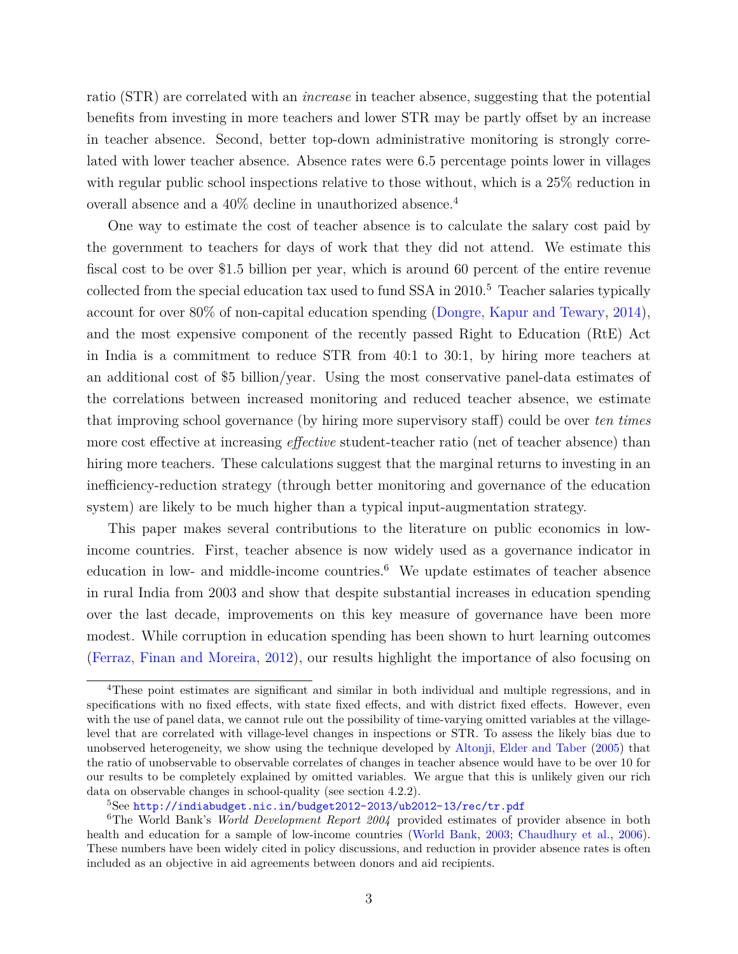ratio (STR) are correlated with an *increase* in teacher absence, suggesting that the potential benefits from investing in more teachers and lower STR may be partly offset by an increase in teacher absence. Second, better top-down administrative monitoring is strongly correlated with lower teacher absence. Absence rates were 6.5 percentage points lower in villages with regular public school inspections relative to those without, which is a  $25\%$  reduction in overall absence and a 40% decline in unauthorized absence.[4](#page-0-0)

One way to estimate the cost of teacher absence is to calculate the salary cost paid by the government to teachers for days of work that they did not attend. We estimate this fiscal cost to be over \$1.5 billion per year, which is around 60 percent of the entire revenue collected from the special education tax used to fund SSA in 2010.<sup>[5](#page-0-0)</sup> Teacher salaries typically account for over 80% of non-capital education spending [\(Dongre, Kapur and Tewary,](#page-23-1) [2014\)](#page-23-1), and the most expensive component of the recently passed Right to Education (RtE) Act in India is a commitment to reduce STR from 40:1 to 30:1, by hiring more teachers at an additional cost of \$5 billion/year. Using the most conservative panel-data estimates of the correlations between increased monitoring and reduced teacher absence, we estimate that improving school governance (by hiring more supervisory staff) could be over *ten times* more cost effective at increasing *effective* student-teacher ratio (net of teacher absence) than hiring more teachers. These calculations suggest that the marginal returns to investing in an inefficiency-reduction strategy (through better monitoring and governance of the education system) are likely to be much higher than a typical input-augmentation strategy.

This paper makes several contributions to the literature on public economics in lowincome countries. First, teacher absence is now widely used as a governance indicator in education in low- and middle-income countries.<sup>[6](#page-0-0)</sup> We update estimates of teacher absence in rural India from 2003 and show that despite substantial increases in education spending over the last decade, improvements on this key measure of governance have been more modest. While corruption in education spending has been shown to hurt learning outcomes [\(Ferraz, Finan and Moreira,](#page-23-2) [2012\)](#page-23-2), our results highlight the importance of also focusing on

<sup>4</sup>These point estimates are significant and similar in both individual and multiple regressions, and in specifications with no fixed effects, with state fixed effects, and with district fixed effects. However, even with the use of panel data, we cannot rule out the possibility of time-varying omitted variables at the villagelevel that are correlated with village-level changes in inspections or STR. To assess the likely bias due to unobserved heterogeneity, we show using the technique developed by [Altonji, Elder and Taber](#page-22-0) [\(2005\)](#page-22-0) that the ratio of unobservable to observable correlates of changes in teacher absence would have to be over 10 for our results to be completely explained by omitted variables. We argue that this is unlikely given our rich data on observable changes in school-quality (see section 4.2.2).

 $5$ See <http://indiabudget.nic.in/budget2012-2013/ub2012-13/rec/tr.pdf>

<sup>6</sup>The World Bank's *World Development Report 2004* provided estimates of provider absence in both health and education for a sample of low-income countries [\(World Bank,](#page-24-3) [2003;](#page-24-3) [Chaudhury et al.,](#page-22-1) [2006\)](#page-22-1). These numbers have been widely cited in policy discussions, and reduction in provider absence rates is often included as an objective in aid agreements between donors and aid recipients.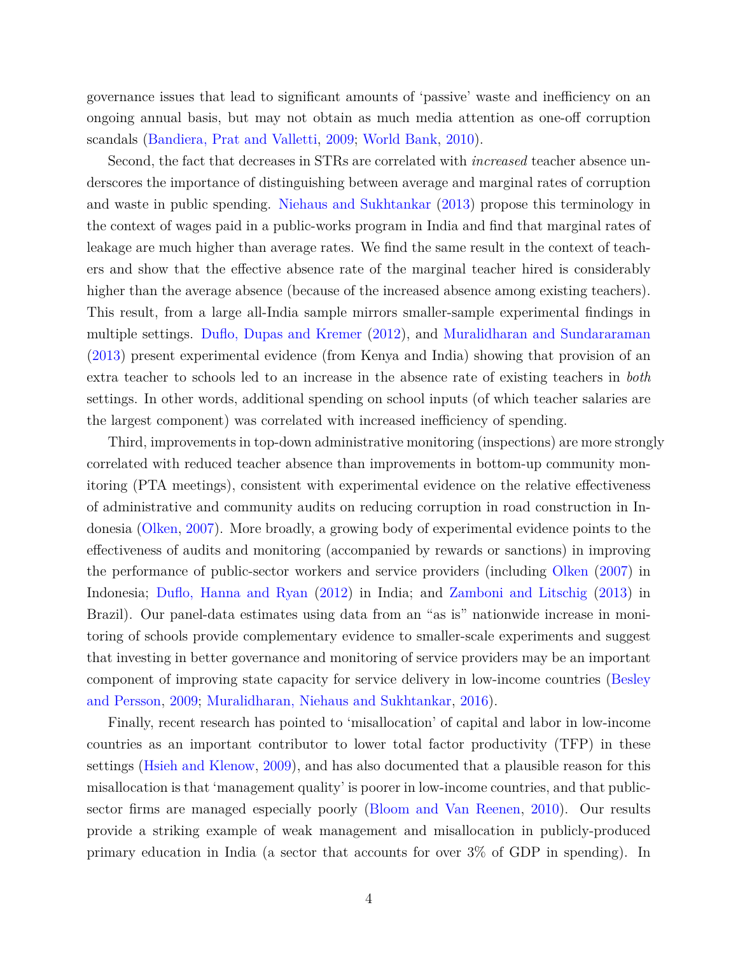governance issues that lead to significant amounts of 'passive' waste and inefficiency on an ongoing annual basis, but may not obtain as much media attention as one-off corruption scandals [\(Bandiera, Prat and Valletti,](#page-22-2) [2009;](#page-22-2) [World Bank,](#page-24-1) [2010\)](#page-24-1).

Second, the fact that decreases in STRs are correlated with *increased* teacher absence underscores the importance of distinguishing between average and marginal rates of corruption and waste in public spending. [Niehaus and Sukhtankar](#page-23-3) [\(2013\)](#page-23-3) propose this terminology in the context of wages paid in a public-works program in India and find that marginal rates of leakage are much higher than average rates. We find the same result in the context of teachers and show that the effective absence rate of the marginal teacher hired is considerably higher than the average absence (because of the increased absence among existing teachers). This result, from a large all-India sample mirrors smaller-sample experimental findings in multiple settings. [Duflo, Dupas and Kremer](#page-23-4) [\(2012\)](#page-23-4), and [Muralidharan and Sundararaman](#page-23-5) [\(2013\)](#page-23-5) present experimental evidence (from Kenya and India) showing that provision of an extra teacher to schools led to an increase in the absence rate of existing teachers in *both* settings. In other words, additional spending on school inputs (of which teacher salaries are the largest component) was correlated with increased inefficiency of spending.

Third, improvements in top-down administrative monitoring (inspections) are more strongly correlated with reduced teacher absence than improvements in bottom-up community monitoring (PTA meetings), consistent with experimental evidence on the relative effectiveness of administrative and community audits on reducing corruption in road construction in Indonesia [\(Olken,](#page-23-6) [2007\)](#page-23-6). More broadly, a growing body of experimental evidence points to the effectiveness of audits and monitoring (accompanied by rewards or sanctions) in improving the performance of public-sector workers and service providers (including [Olken](#page-23-6) [\(2007\)](#page-23-6) in Indonesia; [Duflo, Hanna and Ryan](#page-23-7) [\(2012\)](#page-23-7) in India; and [Zamboni and Litschig](#page-24-4) [\(2013\)](#page-24-4) in Brazil). Our panel-data estimates using data from an "as is" nationwide increase in monitoring of schools provide complementary evidence to smaller-scale experiments and suggest that investing in better governance and monitoring of service providers may be an important component of improving state capacity for service delivery in low-income countries [\(Besley](#page-22-3) [and Persson,](#page-22-3) [2009;](#page-22-3) [Muralidharan, Niehaus and Sukhtankar,](#page-23-8) [2016\)](#page-23-8).

Finally, recent research has pointed to 'misallocation' of capital and labor in low-income countries as an important contributor to lower total factor productivity (TFP) in these settings [\(Hsieh and Klenow,](#page-23-9) [2009\)](#page-23-9), and has also documented that a plausible reason for this misallocation is that 'management quality' is poorer in low-income countries, and that publicsector firms are managed especially poorly [\(Bloom and Van Reenen,](#page-22-4) [2010\)](#page-22-4). Our results provide a striking example of weak management and misallocation in publicly-produced primary education in India (a sector that accounts for over 3% of GDP in spending). In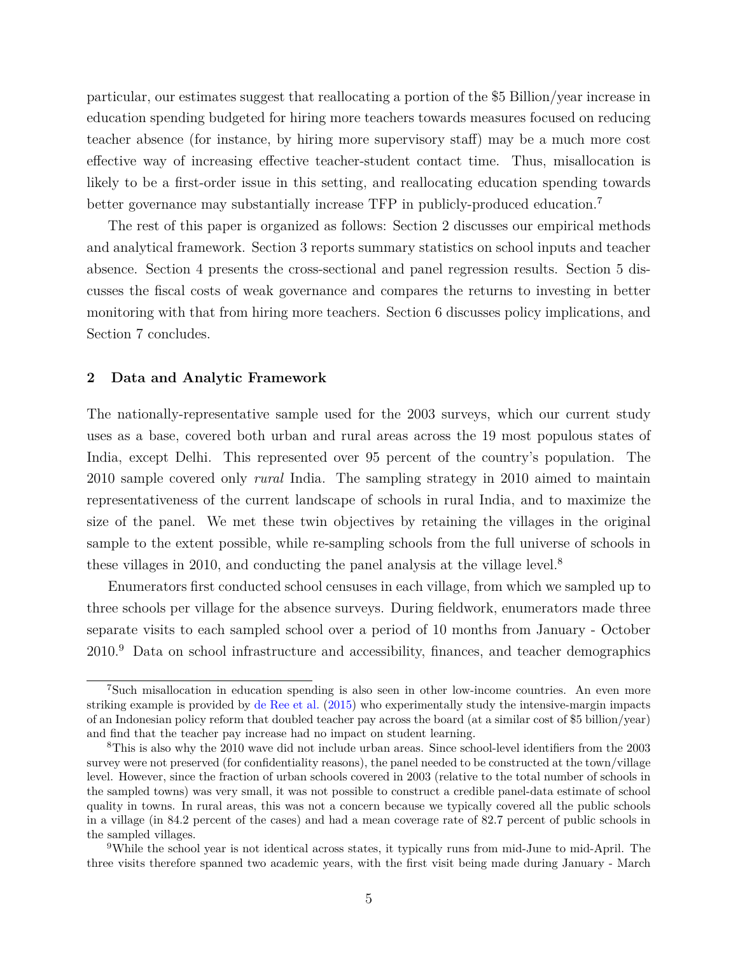particular, our estimates suggest that reallocating a portion of the \$5 Billion/year increase in education spending budgeted for hiring more teachers towards measures focused on reducing teacher absence (for instance, by hiring more supervisory staff) may be a much more cost effective way of increasing effective teacher-student contact time. Thus, misallocation is likely to be a first-order issue in this setting, and reallocating education spending towards better governance may substantially increase TFP in publicly-produced education.<sup>[7](#page-0-0)</sup>

The rest of this paper is organized as follows: Section 2 discusses our empirical methods and analytical framework. Section 3 reports summary statistics on school inputs and teacher absence. Section 4 presents the cross-sectional and panel regression results. Section 5 discusses the fiscal costs of weak governance and compares the returns to investing in better monitoring with that from hiring more teachers. Section 6 discusses policy implications, and Section 7 concludes.

### **2 Data and Analytic Framework**

The nationally-representative sample used for the 2003 surveys, which our current study uses as a base, covered both urban and rural areas across the 19 most populous states of India, except Delhi. This represented over 95 percent of the country's population. The 2010 sample covered only *rural* India. The sampling strategy in 2010 aimed to maintain representativeness of the current landscape of schools in rural India, and to maximize the size of the panel. We met these twin objectives by retaining the villages in the original sample to the extent possible, while re-sampling schools from the full universe of schools in these villages in 2010, and conducting the panel analysis at the village level.<sup>[8](#page-0-0)</sup>

Enumerators first conducted school censuses in each village, from which we sampled up to three schools per village for the absence surveys. During fieldwork, enumerators made three separate visits to each sampled school over a period of 10 months from January - October 2010.[9](#page-0-0) Data on school infrastructure and accessibility, finances, and teacher demographics

<sup>7</sup>Such misallocation in education spending is also seen in other low-income countries. An even more striking example is provided by [de Ree et al.](#page-22-5) [\(2015\)](#page-22-5) who experimentally study the intensive-margin impacts of an Indonesian policy reform that doubled teacher pay across the board (at a similar cost of \$5 billion/year) and find that the teacher pay increase had no impact on student learning.

<sup>8</sup>This is also why the 2010 wave did not include urban areas. Since school-level identifiers from the 2003 survey were not preserved (for confidentiality reasons), the panel needed to be constructed at the town/village level. However, since the fraction of urban schools covered in 2003 (relative to the total number of schools in the sampled towns) was very small, it was not possible to construct a credible panel-data estimate of school quality in towns. In rural areas, this was not a concern because we typically covered all the public schools in a village (in 84.2 percent of the cases) and had a mean coverage rate of 82.7 percent of public schools in the sampled villages.

<sup>9</sup>While the school year is not identical across states, it typically runs from mid-June to mid-April. The three visits therefore spanned two academic years, with the first visit being made during January - March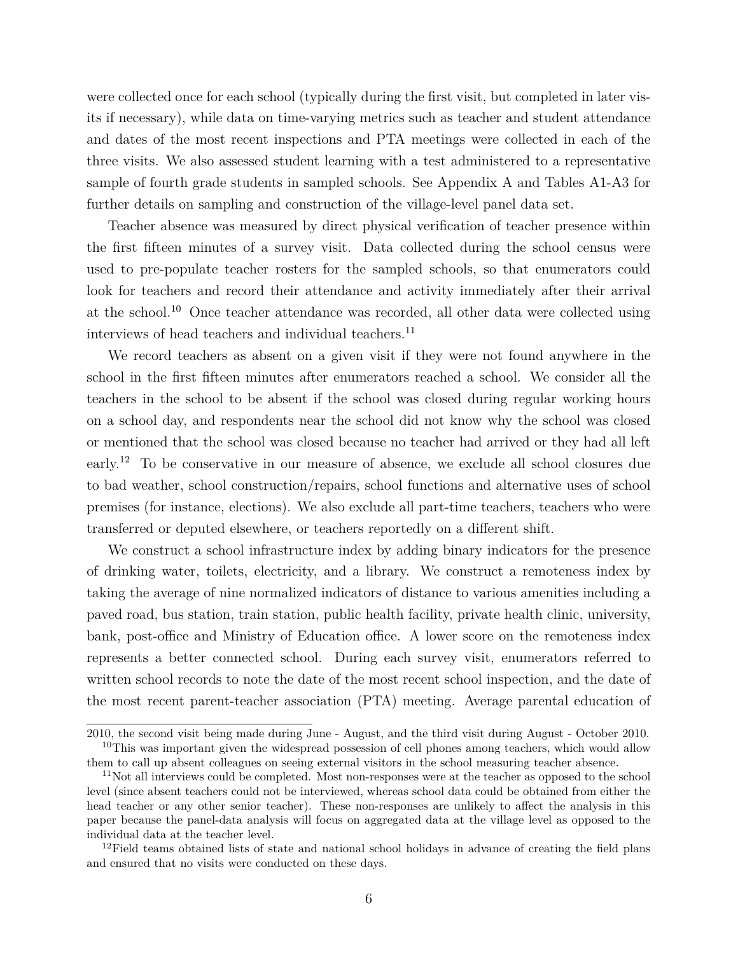were collected once for each school (typically during the first visit, but completed in later visits if necessary), while data on time-varying metrics such as teacher and student attendance and dates of the most recent inspections and PTA meetings were collected in each of the three visits. We also assessed student learning with a test administered to a representative sample of fourth grade students in sampled schools. See Appendix A and Tables A1-A3 for further details on sampling and construction of the village-level panel data set.

Teacher absence was measured by direct physical verification of teacher presence within the first fifteen minutes of a survey visit. Data collected during the school census were used to pre-populate teacher rosters for the sampled schools, so that enumerators could look for teachers and record their attendance and activity immediately after their arrival at the school.[10](#page-0-0) Once teacher attendance was recorded, all other data were collected using interviews of head teachers and individual teachers.<sup>[11](#page-0-0)</sup>

We record teachers as absent on a given visit if they were not found anywhere in the school in the first fifteen minutes after enumerators reached a school. We consider all the teachers in the school to be absent if the school was closed during regular working hours on a school day, and respondents near the school did not know why the school was closed or mentioned that the school was closed because no teacher had arrived or they had all left early.[12](#page-0-0) To be conservative in our measure of absence, we exclude all school closures due to bad weather, school construction/repairs, school functions and alternative uses of school premises (for instance, elections). We also exclude all part-time teachers, teachers who were transferred or deputed elsewhere, or teachers reportedly on a different shift.

We construct a school infrastructure index by adding binary indicators for the presence of drinking water, toilets, electricity, and a library. We construct a remoteness index by taking the average of nine normalized indicators of distance to various amenities including a paved road, bus station, train station, public health facility, private health clinic, university, bank, post-office and Ministry of Education office. A lower score on the remoteness index represents a better connected school. During each survey visit, enumerators referred to written school records to note the date of the most recent school inspection, and the date of the most recent parent-teacher association (PTA) meeting. Average parental education of

<sup>2010,</sup> the second visit being made during June - August, and the third visit during August - October 2010.  $10$ This was important given the widespread possession of cell phones among teachers, which would allow

them to call up absent colleagues on seeing external visitors in the school measuring teacher absence.

<sup>&</sup>lt;sup>11</sup>Not all interviews could be completed. Most non-responses were at the teacher as opposed to the school level (since absent teachers could not be interviewed, whereas school data could be obtained from either the head teacher or any other senior teacher). These non-responses are unlikely to affect the analysis in this paper because the panel-data analysis will focus on aggregated data at the village level as opposed to the individual data at the teacher level.

<sup>&</sup>lt;sup>12</sup>Field teams obtained lists of state and national school holidays in advance of creating the field plans and ensured that no visits were conducted on these days.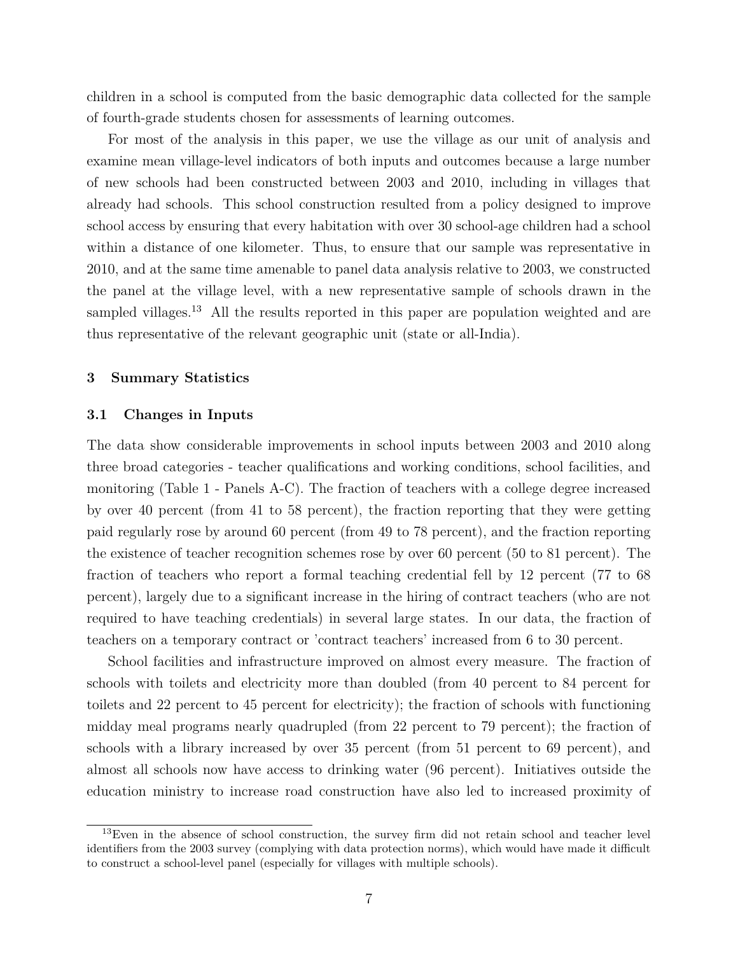children in a school is computed from the basic demographic data collected for the sample of fourth-grade students chosen for assessments of learning outcomes.

For most of the analysis in this paper, we use the village as our unit of analysis and examine mean village-level indicators of both inputs and outcomes because a large number of new schools had been constructed between 2003 and 2010, including in villages that already had schools. This school construction resulted from a policy designed to improve school access by ensuring that every habitation with over 30 school-age children had a school within a distance of one kilometer. Thus, to ensure that our sample was representative in 2010, and at the same time amenable to panel data analysis relative to 2003, we constructed the panel at the village level, with a new representative sample of schools drawn in the sampled villages.<sup>[13](#page-0-0)</sup> All the results reported in this paper are population weighted and are thus representative of the relevant geographic unit (state or all-India).

### **3 Summary Statistics**

#### **3.1 Changes in Inputs**

The data show considerable improvements in school inputs between 2003 and 2010 along three broad categories - teacher qualifications and working conditions, school facilities, and monitoring (Table 1 - Panels A-C). The fraction of teachers with a college degree increased by over 40 percent (from 41 to 58 percent), the fraction reporting that they were getting paid regularly rose by around 60 percent (from 49 to 78 percent), and the fraction reporting the existence of teacher recognition schemes rose by over 60 percent (50 to 81 percent). The fraction of teachers who report a formal teaching credential fell by 12 percent (77 to 68 percent), largely due to a significant increase in the hiring of contract teachers (who are not required to have teaching credentials) in several large states. In our data, the fraction of teachers on a temporary contract or 'contract teachers' increased from 6 to 30 percent.

School facilities and infrastructure improved on almost every measure. The fraction of schools with toilets and electricity more than doubled (from 40 percent to 84 percent for toilets and 22 percent to 45 percent for electricity); the fraction of schools with functioning midday meal programs nearly quadrupled (from 22 percent to 79 percent); the fraction of schools with a library increased by over 35 percent (from 51 percent to 69 percent), and almost all schools now have access to drinking water (96 percent). Initiatives outside the education ministry to increase road construction have also led to increased proximity of

<sup>&</sup>lt;sup>13</sup>Even in the absence of school construction, the survey firm did not retain school and teacher level identifiers from the 2003 survey (complying with data protection norms), which would have made it difficult to construct a school-level panel (especially for villages with multiple schools).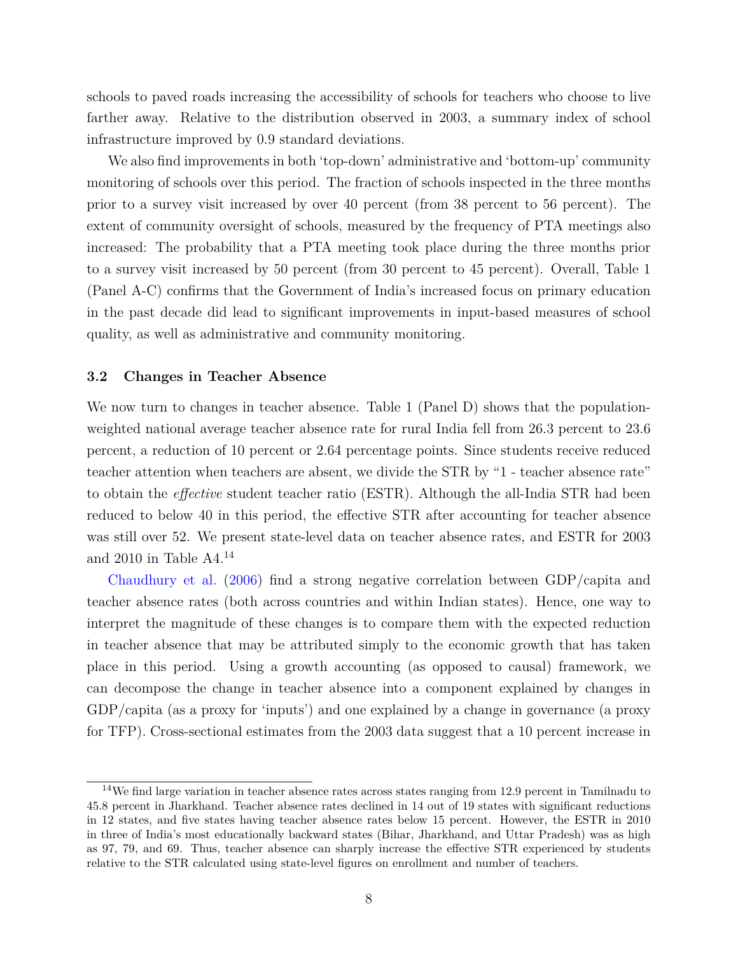schools to paved roads increasing the accessibility of schools for teachers who choose to live farther away. Relative to the distribution observed in 2003, a summary index of school infrastructure improved by 0.9 standard deviations.

We also find improvements in both 'top-down' administrative and 'bottom-up' community monitoring of schools over this period. The fraction of schools inspected in the three months prior to a survey visit increased by over 40 percent (from 38 percent to 56 percent). The extent of community oversight of schools, measured by the frequency of PTA meetings also increased: The probability that a PTA meeting took place during the three months prior to a survey visit increased by 50 percent (from 30 percent to 45 percent). Overall, Table 1 (Panel A-C) confirms that the Government of India's increased focus on primary education in the past decade did lead to significant improvements in input-based measures of school quality, as well as administrative and community monitoring.

## **3.2 Changes in Teacher Absence**

We now turn to changes in teacher absence. Table 1 (Panel D) shows that the populationweighted national average teacher absence rate for rural India fell from 26.3 percent to 23.6 percent, a reduction of 10 percent or 2.64 percentage points. Since students receive reduced teacher attention when teachers are absent, we divide the STR by "1 - teacher absence rate" to obtain the *effective* student teacher ratio (ESTR). Although the all-India STR had been reduced to below 40 in this period, the effective STR after accounting for teacher absence was still over 52. We present state-level data on teacher absence rates, and ESTR for 2003 and 2010 in Table A4.[14](#page-0-0)

[Chaudhury et al.](#page-22-1) [\(2006\)](#page-22-1) find a strong negative correlation between GDP/capita and teacher absence rates (both across countries and within Indian states). Hence, one way to interpret the magnitude of these changes is to compare them with the expected reduction in teacher absence that may be attributed simply to the economic growth that has taken place in this period. Using a growth accounting (as opposed to causal) framework, we can decompose the change in teacher absence into a component explained by changes in GDP/capita (as a proxy for 'inputs') and one explained by a change in governance (a proxy for TFP). Cross-sectional estimates from the 2003 data suggest that a 10 percent increase in

<sup>&</sup>lt;sup>14</sup>We find large variation in teacher absence rates across states ranging from 12.9 percent in Tamilnadu to 45.8 percent in Jharkhand. Teacher absence rates declined in 14 out of 19 states with significant reductions in 12 states, and five states having teacher absence rates below 15 percent. However, the ESTR in 2010 in three of India's most educationally backward states (Bihar, Jharkhand, and Uttar Pradesh) was as high as 97, 79, and 69. Thus, teacher absence can sharply increase the effective STR experienced by students relative to the STR calculated using state-level figures on enrollment and number of teachers.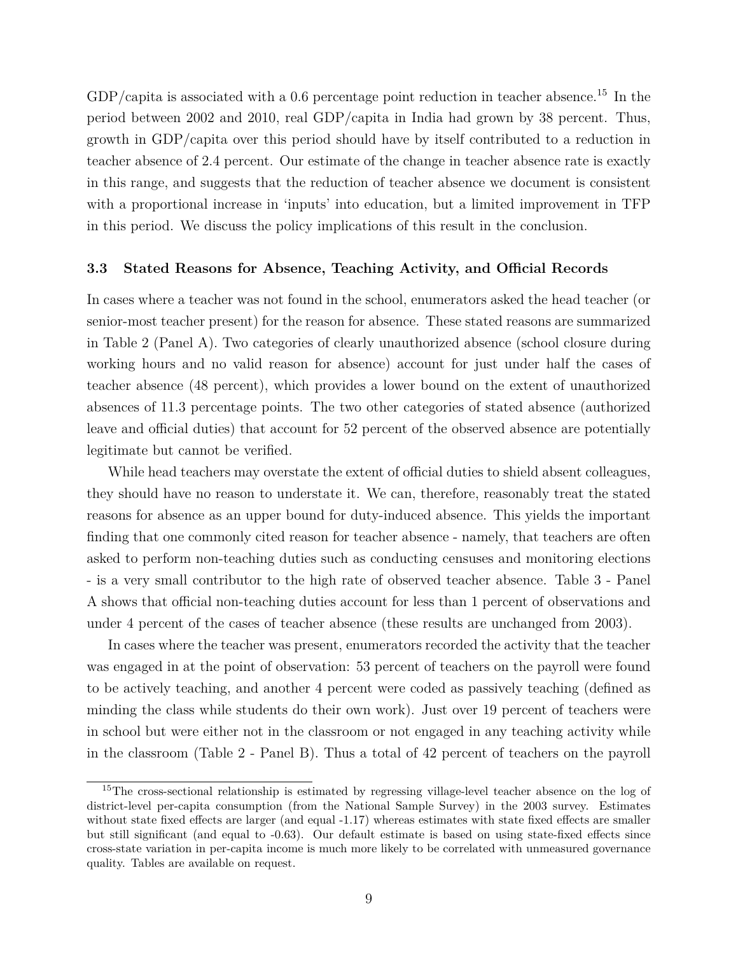$GDP/c$ apita is associated with a 0.6 percentage point reduction in teacher absence.<sup>[15](#page-0-0)</sup> In the period between 2002 and 2010, real GDP/capita in India had grown by 38 percent. Thus, growth in GDP/capita over this period should have by itself contributed to a reduction in teacher absence of 2.4 percent. Our estimate of the change in teacher absence rate is exactly in this range, and suggests that the reduction of teacher absence we document is consistent with a proportional increase in 'inputs' into education, but a limited improvement in TFP in this period. We discuss the policy implications of this result in the conclusion.

### **3.3 Stated Reasons for Absence, Teaching Activity, and Official Records**

In cases where a teacher was not found in the school, enumerators asked the head teacher (or senior-most teacher present) for the reason for absence. These stated reasons are summarized in Table 2 (Panel A). Two categories of clearly unauthorized absence (school closure during working hours and no valid reason for absence) account for just under half the cases of teacher absence (48 percent), which provides a lower bound on the extent of unauthorized absences of 11.3 percentage points. The two other categories of stated absence (authorized leave and official duties) that account for 52 percent of the observed absence are potentially legitimate but cannot be verified.

While head teachers may overstate the extent of official duties to shield absent colleagues, they should have no reason to understate it. We can, therefore, reasonably treat the stated reasons for absence as an upper bound for duty-induced absence. This yields the important finding that one commonly cited reason for teacher absence - namely, that teachers are often asked to perform non-teaching duties such as conducting censuses and monitoring elections - is a very small contributor to the high rate of observed teacher absence. Table 3 - Panel A shows that official non-teaching duties account for less than 1 percent of observations and under 4 percent of the cases of teacher absence (these results are unchanged from 2003).

In cases where the teacher was present, enumerators recorded the activity that the teacher was engaged in at the point of observation: 53 percent of teachers on the payroll were found to be actively teaching, and another 4 percent were coded as passively teaching (defined as minding the class while students do their own work). Just over 19 percent of teachers were in school but were either not in the classroom or not engaged in any teaching activity while in the classroom (Table 2 - Panel B). Thus a total of 42 percent of teachers on the payroll

<sup>&</sup>lt;sup>15</sup>The cross-sectional relationship is estimated by regressing village-level teacher absence on the log of district-level per-capita consumption (from the National Sample Survey) in the 2003 survey. Estimates without state fixed effects are larger (and equal -1.17) whereas estimates with state fixed effects are smaller but still significant (and equal to -0.63). Our default estimate is based on using state-fixed effects since cross-state variation in per-capita income is much more likely to be correlated with unmeasured governance quality. Tables are available on request.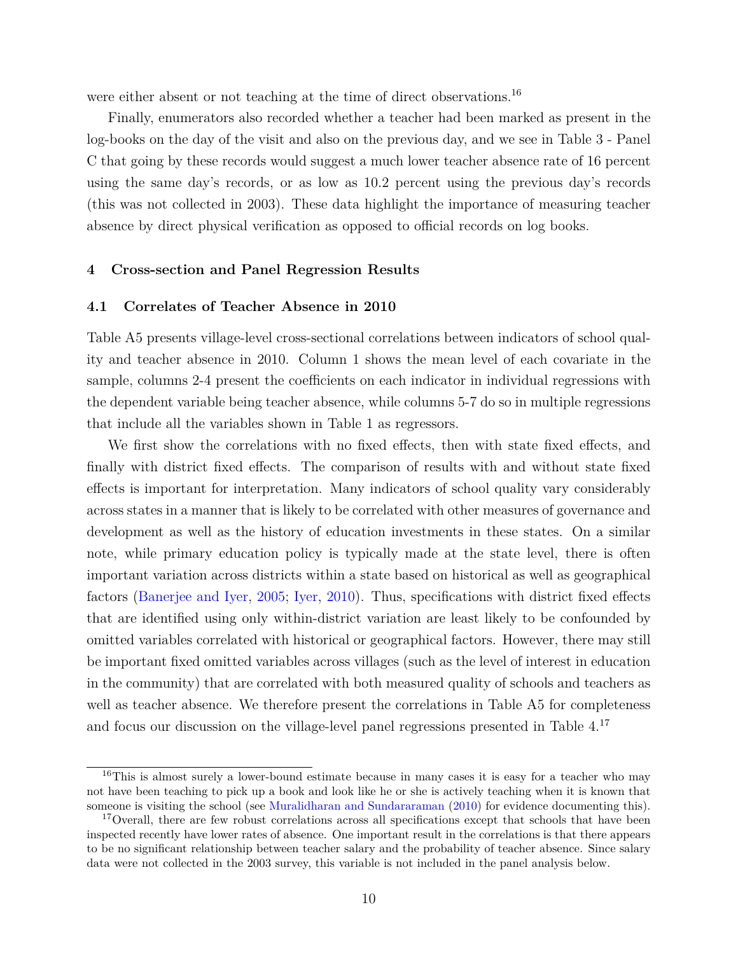were either absent or not teaching at the time of direct observations.<sup>[16](#page-0-0)</sup>

Finally, enumerators also recorded whether a teacher had been marked as present in the log-books on the day of the visit and also on the previous day, and we see in Table 3 - Panel C that going by these records would suggest a much lower teacher absence rate of 16 percent using the same day's records, or as low as 10.2 percent using the previous day's records (this was not collected in 2003). These data highlight the importance of measuring teacher absence by direct physical verification as opposed to official records on log books.

## **4 Cross-section and Panel Regression Results**

## **4.1 Correlates of Teacher Absence in 2010**

Table A5 presents village-level cross-sectional correlations between indicators of school quality and teacher absence in 2010. Column 1 shows the mean level of each covariate in the sample, columns 2-4 present the coefficients on each indicator in individual regressions with the dependent variable being teacher absence, while columns 5-7 do so in multiple regressions that include all the variables shown in Table 1 as regressors.

We first show the correlations with no fixed effects, then with state fixed effects, and finally with district fixed effects. The comparison of results with and without state fixed effects is important for interpretation. Many indicators of school quality vary considerably across states in a manner that is likely to be correlated with other measures of governance and development as well as the history of education investments in these states. On a similar note, while primary education policy is typically made at the state level, there is often important variation across districts within a state based on historical as well as geographical factors [\(Banerjee and Iyer,](#page-22-6) [2005;](#page-22-6) [Iyer,](#page-23-10) [2010\)](#page-23-10). Thus, specifications with district fixed effects that are identified using only within-district variation are least likely to be confounded by omitted variables correlated with historical or geographical factors. However, there may still be important fixed omitted variables across villages (such as the level of interest in education in the community) that are correlated with both measured quality of schools and teachers as well as teacher absence. We therefore present the correlations in Table A5 for completeness and focus our discussion on the village-level panel regressions presented in Table 4.[17](#page-0-0)

<sup>&</sup>lt;sup>16</sup>This is almost surely a lower-bound estimate because in many cases it is easy for a teacher who may not have been teaching to pick up a book and look like he or she is actively teaching when it is known that someone is visiting the school (see [Muralidharan and Sundararaman](#page-23-11) [\(2010\)](#page-23-11) for evidence documenting this).

<sup>&</sup>lt;sup>17</sup>Overall, there are few robust correlations across all specifications except that schools that have been inspected recently have lower rates of absence. One important result in the correlations is that there appears to be no significant relationship between teacher salary and the probability of teacher absence. Since salary data were not collected in the 2003 survey, this variable is not included in the panel analysis below.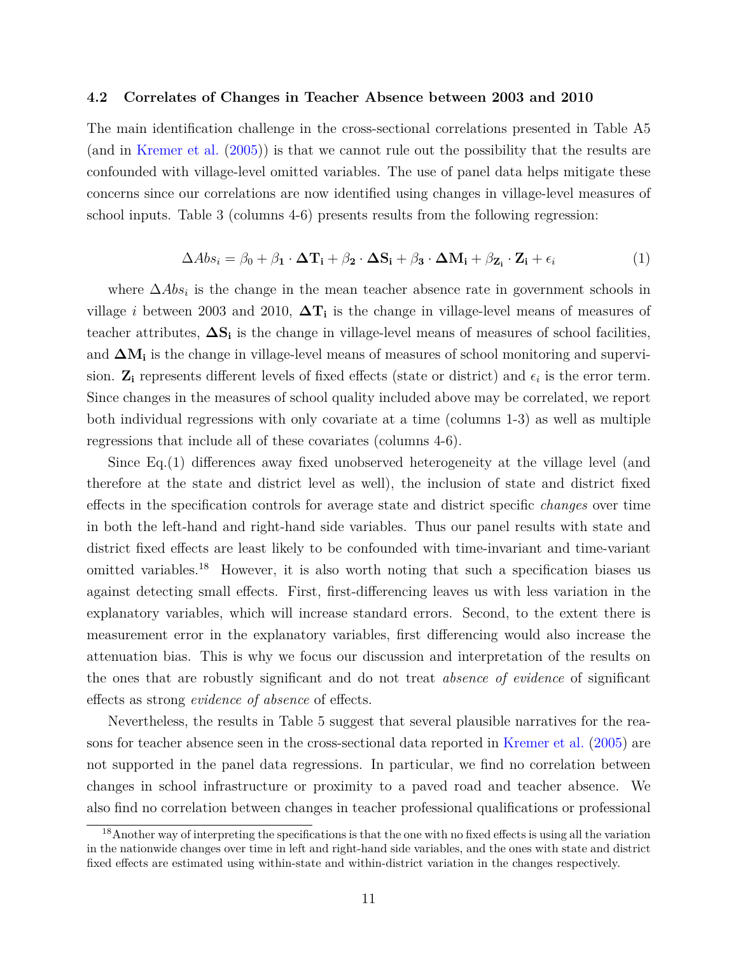#### **4.2 Correlates of Changes in Teacher Absence between 2003 and 2010**

The main identification challenge in the cross-sectional correlations presented in Table A5 (and in [Kremer et al.](#page-23-0) [\(2005\)](#page-23-0)) is that we cannot rule out the possibility that the results are confounded with village-level omitted variables. The use of panel data helps mitigate these concerns since our correlations are now identified using changes in village-level measures of school inputs. Table 3 (columns 4-6) presents results from the following regression:

$$
\Delta Abs_i = \beta_0 + \beta_1 \cdot \Delta T_i + \beta_2 \cdot \Delta S_i + \beta_3 \cdot \Delta M_i + \beta_{Z_i} \cdot Z_i + \epsilon_i
$$
 (1)

where  $\Delta Abs_i$  is the change in the mean teacher absence rate in government schools in village *i* between 2003 and 2010,  $\Delta T_i$  is the change in village-level means of measures of teacher attributes, **∆S<sup>i</sup>** is the change in village-level means of measures of school facilities, and  $\Delta M_i$  is the change in village-level means of measures of school monitoring and supervision.  $\mathbf{Z}_i$  represents different levels of fixed effects (state or district) and  $\epsilon_i$  is the error term. Since changes in the measures of school quality included above may be correlated, we report both individual regressions with only covariate at a time (columns 1-3) as well as multiple regressions that include all of these covariates (columns 4-6).

Since Eq.(1) differences away fixed unobserved heterogeneity at the village level (and therefore at the state and district level as well), the inclusion of state and district fixed effects in the specification controls for average state and district specific *changes* over time in both the left-hand and right-hand side variables. Thus our panel results with state and district fixed effects are least likely to be confounded with time-invariant and time-variant omitted variables.<sup>[18](#page-0-0)</sup> However, it is also worth noting that such a specification biases us against detecting small effects. First, first-differencing leaves us with less variation in the explanatory variables, which will increase standard errors. Second, to the extent there is measurement error in the explanatory variables, first differencing would also increase the attenuation bias. This is why we focus our discussion and interpretation of the results on the ones that are robustly significant and do not treat *absence of evidence* of significant effects as strong *evidence of absence* of effects.

Nevertheless, the results in Table 5 suggest that several plausible narratives for the reasons for teacher absence seen in the cross-sectional data reported in [Kremer et al.](#page-23-0) [\(2005\)](#page-23-0) are not supported in the panel data regressions. In particular, we find no correlation between changes in school infrastructure or proximity to a paved road and teacher absence. We also find no correlation between changes in teacher professional qualifications or professional

<sup>&</sup>lt;sup>18</sup> Another way of interpreting the specifications is that the one with no fixed effects is using all the variation in the nationwide changes over time in left and right-hand side variables, and the ones with state and district fixed effects are estimated using within-state and within-district variation in the changes respectively.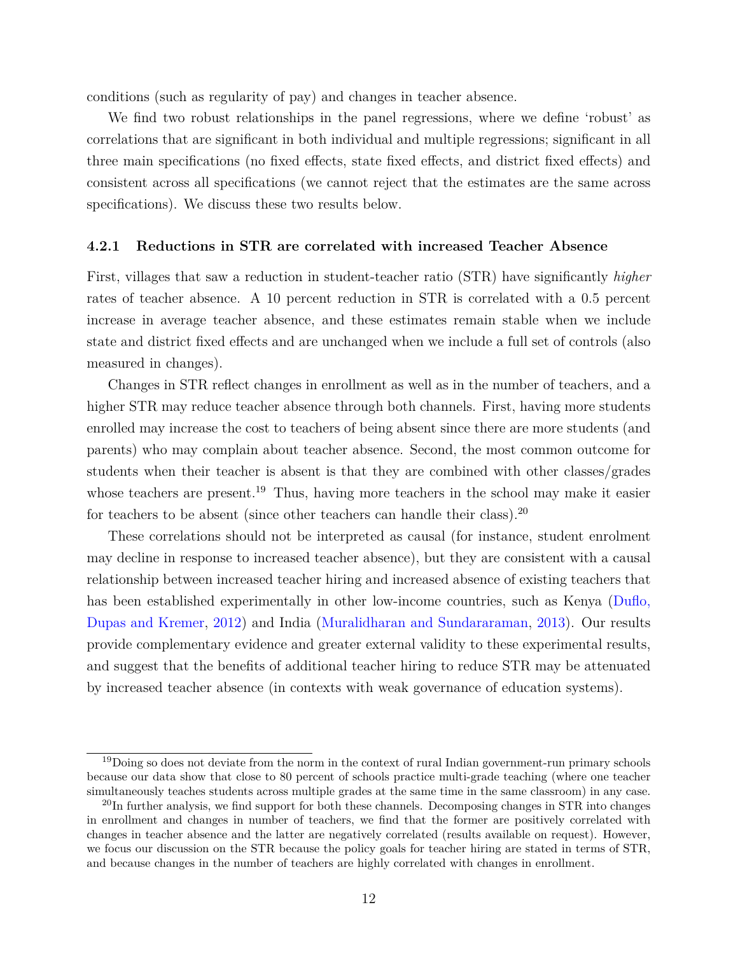conditions (such as regularity of pay) and changes in teacher absence.

We find two robust relationships in the panel regressions, where we define 'robust' as correlations that are significant in both individual and multiple regressions; significant in all three main specifications (no fixed effects, state fixed effects, and district fixed effects) and consistent across all specifications (we cannot reject that the estimates are the same across specifications). We discuss these two results below.

## **4.2.1 Reductions in STR are correlated with increased Teacher Absence**

First, villages that saw a reduction in student-teacher ratio (STR) have significantly *higher* rates of teacher absence. A 10 percent reduction in STR is correlated with a 0.5 percent increase in average teacher absence, and these estimates remain stable when we include state and district fixed effects and are unchanged when we include a full set of controls (also measured in changes).

Changes in STR reflect changes in enrollment as well as in the number of teachers, and a higher STR may reduce teacher absence through both channels. First, having more students enrolled may increase the cost to teachers of being absent since there are more students (and parents) who may complain about teacher absence. Second, the most common outcome for students when their teacher is absent is that they are combined with other classes/grades whose teachers are present.<sup>[19](#page-0-0)</sup> Thus, having more teachers in the school may make it easier for teachers to be absent (since other teachers can handle their class).<sup>[20](#page-0-0)</sup>

These correlations should not be interpreted as causal (for instance, student enrolment may decline in response to increased teacher absence), but they are consistent with a causal relationship between increased teacher hiring and increased absence of existing teachers that has been established experimentally in other low-income countries, such as Kenya [\(Duflo,](#page-23-4) [Dupas and Kremer,](#page-23-4) [2012\)](#page-23-4) and India [\(Muralidharan and Sundararaman,](#page-23-5) [2013\)](#page-23-5). Our results provide complementary evidence and greater external validity to these experimental results, and suggest that the benefits of additional teacher hiring to reduce STR may be attenuated by increased teacher absence (in contexts with weak governance of education systems).

<sup>&</sup>lt;sup>19</sup>Doing so does not deviate from the norm in the context of rural Indian government-run primary schools because our data show that close to 80 percent of schools practice multi-grade teaching (where one teacher simultaneously teaches students across multiple grades at the same time in the same classroom) in any case.

<sup>&</sup>lt;sup>20</sup>In further analysis, we find support for both these channels. Decomposing changes in STR into changes in enrollment and changes in number of teachers, we find that the former are positively correlated with changes in teacher absence and the latter are negatively correlated (results available on request). However, we focus our discussion on the STR because the policy goals for teacher hiring are stated in terms of STR, and because changes in the number of teachers are highly correlated with changes in enrollment.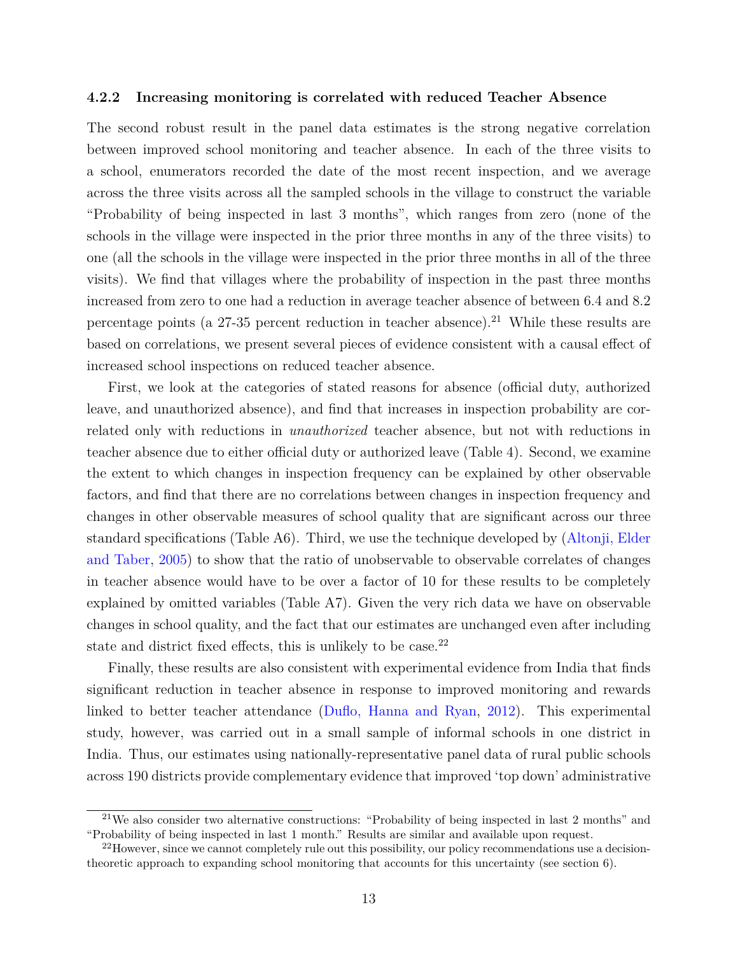#### **4.2.2 Increasing monitoring is correlated with reduced Teacher Absence**

The second robust result in the panel data estimates is the strong negative correlation between improved school monitoring and teacher absence. In each of the three visits to a school, enumerators recorded the date of the most recent inspection, and we average across the three visits across all the sampled schools in the village to construct the variable "Probability of being inspected in last 3 months", which ranges from zero (none of the schools in the village were inspected in the prior three months in any of the three visits) to one (all the schools in the village were inspected in the prior three months in all of the three visits). We find that villages where the probability of inspection in the past three months increased from zero to one had a reduction in average teacher absence of between 6.4 and 8.2 percentage points (a  $27-35$  percent reduction in teacher absence).<sup>[21](#page-0-0)</sup> While these results are based on correlations, we present several pieces of evidence consistent with a causal effect of increased school inspections on reduced teacher absence.

First, we look at the categories of stated reasons for absence (official duty, authorized leave, and unauthorized absence), and find that increases in inspection probability are correlated only with reductions in *unauthorized* teacher absence, but not with reductions in teacher absence due to either official duty or authorized leave (Table 4). Second, we examine the extent to which changes in inspection frequency can be explained by other observable factors, and find that there are no correlations between changes in inspection frequency and changes in other observable measures of school quality that are significant across our three standard specifications (Table A6). Third, we use the technique developed by [\(Altonji, Elder](#page-22-0) [and Taber,](#page-22-0) [2005\)](#page-22-0) to show that the ratio of unobservable to observable correlates of changes in teacher absence would have to be over a factor of 10 for these results to be completely explained by omitted variables (Table A7). Given the very rich data we have on observable changes in school quality, and the fact that our estimates are unchanged even after including state and district fixed effects, this is unlikely to be case.<sup>[22](#page-0-0)</sup>

Finally, these results are also consistent with experimental evidence from India that finds significant reduction in teacher absence in response to improved monitoring and rewards linked to better teacher attendance [\(Duflo, Hanna and Ryan,](#page-23-7) [2012\)](#page-23-7). This experimental study, however, was carried out in a small sample of informal schools in one district in India. Thus, our estimates using nationally-representative panel data of rural public schools across 190 districts provide complementary evidence that improved 'top down' administrative

<sup>21</sup>We also consider two alternative constructions: "Probability of being inspected in last 2 months" and "Probability of being inspected in last 1 month." Results are similar and available upon request.

 $22$ However, since we cannot completely rule out this possibility, our policy recommendations use a decisiontheoretic approach to expanding school monitoring that accounts for this uncertainty (see section 6).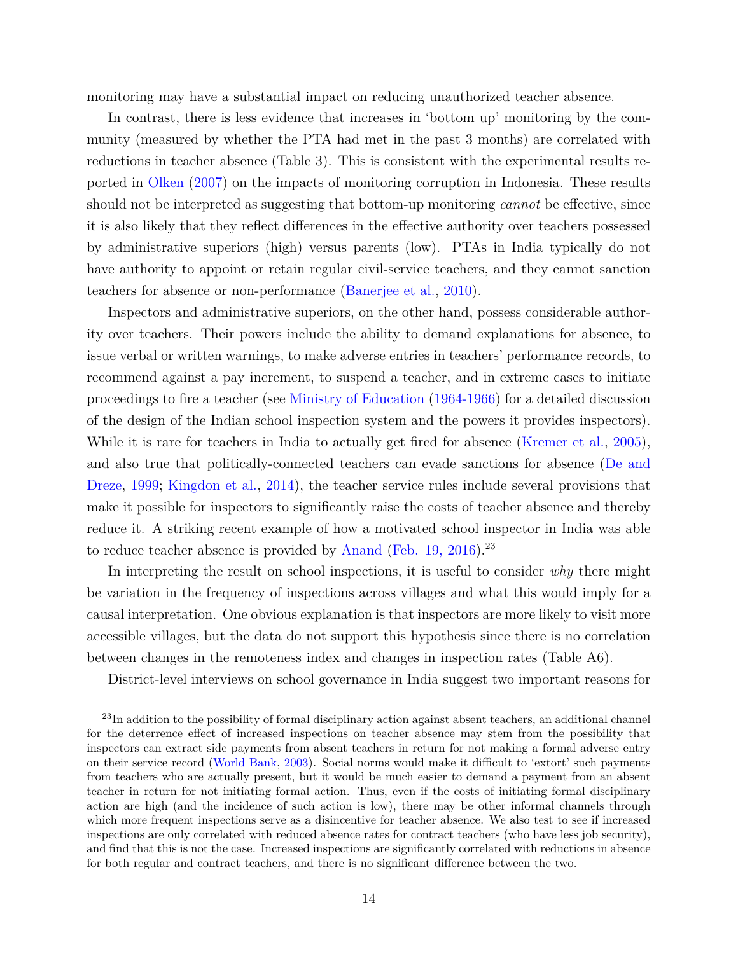monitoring may have a substantial impact on reducing unauthorized teacher absence.

In contrast, there is less evidence that increases in 'bottom up' monitoring by the community (measured by whether the PTA had met in the past 3 months) are correlated with reductions in teacher absence (Table 3). This is consistent with the experimental results reported in [Olken](#page-23-6) [\(2007\)](#page-23-6) on the impacts of monitoring corruption in Indonesia. These results should not be interpreted as suggesting that bottom-up monitoring *cannot* be effective, since it is also likely that they reflect differences in the effective authority over teachers possessed by administrative superiors (high) versus parents (low). PTAs in India typically do not have authority to appoint or retain regular civil-service teachers, and they cannot sanction teachers for absence or non-performance [\(Banerjee et al.,](#page-22-7) [2010\)](#page-22-7).

Inspectors and administrative superiors, on the other hand, possess considerable authority over teachers. Their powers include the ability to demand explanations for absence, to issue verbal or written warnings, to make adverse entries in teachers' performance records, to recommend against a pay increment, to suspend a teacher, and in extreme cases to initiate proceedings to fire a teacher (see [Ministry of Education](#page-23-12) [\(1964-1966\)](#page-23-12) for a detailed discussion of the design of the Indian school inspection system and the powers it provides inspectors). While it is rare for teachers in India to actually get fired for absence [\(Kremer et al.,](#page-23-0) [2005\)](#page-23-0), and also true that politically-connected teachers can evade sanctions for absence [\(De and](#page-22-8) [Dreze,](#page-22-8) [1999;](#page-22-8) [Kingdon et al.,](#page-23-13) [2014\)](#page-23-13), the teacher service rules include several provisions that make it possible for inspectors to significantly raise the costs of teacher absence and thereby reduce it. A striking recent example of how a motivated school inspector in India was able to reduce teacher absence is provided by [Anand](#page-22-9) [\(Feb. 19, 2016\)](#page-22-9).<sup>[23](#page-0-0)</sup>

In interpreting the result on school inspections, it is useful to consider *why* there might be variation in the frequency of inspections across villages and what this would imply for a causal interpretation. One obvious explanation is that inspectors are more likely to visit more accessible villages, but the data do not support this hypothesis since there is no correlation between changes in the remoteness index and changes in inspection rates (Table A6).

District-level interviews on school governance in India suggest two important reasons for

<sup>&</sup>lt;sup>23</sup>In addition to the possibility of formal disciplinary action against absent teachers, an additional channel for the deterrence effect of increased inspections on teacher absence may stem from the possibility that inspectors can extract side payments from absent teachers in return for not making a formal adverse entry on their service record [\(World Bank,](#page-24-3) [2003\)](#page-24-3). Social norms would make it difficult to 'extort' such payments from teachers who are actually present, but it would be much easier to demand a payment from an absent teacher in return for not initiating formal action. Thus, even if the costs of initiating formal disciplinary action are high (and the incidence of such action is low), there may be other informal channels through which more frequent inspections serve as a disincentive for teacher absence. We also test to see if increased inspections are only correlated with reduced absence rates for contract teachers (who have less job security), and find that this is not the case. Increased inspections are significantly correlated with reductions in absence for both regular and contract teachers, and there is no significant difference between the two.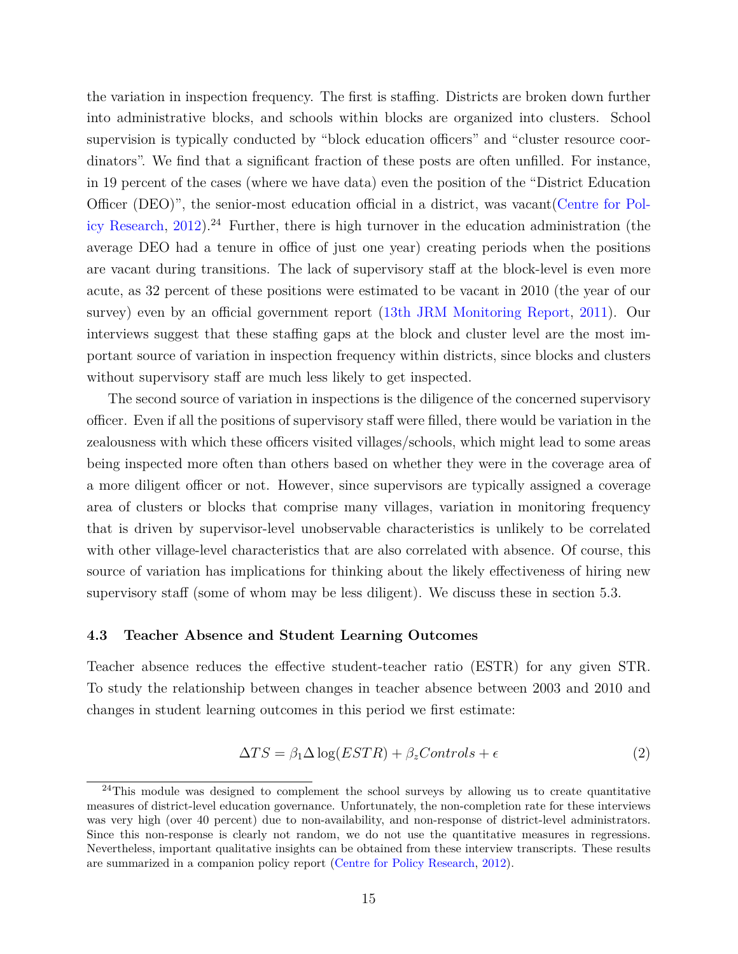the variation in inspection frequency. The first is staffing. Districts are broken down further into administrative blocks, and schools within blocks are organized into clusters. School supervision is typically conducted by "block education officers" and "cluster resource coordinators". We find that a significant fraction of these posts are often unfilled. For instance, in 19 percent of the cases (where we have data) even the position of the "District Education Officer (DEO)", the senior-most education official in a district, was vacant[\(Centre for Pol](#page-22-10)[icy Research,](#page-22-10) [2012\)](#page-22-10).<sup>[24](#page-0-0)</sup> Further, there is high turnover in the education administration (the average DEO had a tenure in office of just one year) creating periods when the positions are vacant during transitions. The lack of supervisory staff at the block-level is even more acute, as 32 percent of these positions were estimated to be vacant in 2010 (the year of our survey) even by an official government report [\(13th JRM Monitoring Report,](#page-22-11) [2011\)](#page-22-11). Our interviews suggest that these staffing gaps at the block and cluster level are the most important source of variation in inspection frequency within districts, since blocks and clusters without supervisory staff are much less likely to get inspected.

The second source of variation in inspections is the diligence of the concerned supervisory officer. Even if all the positions of supervisory staff were filled, there would be variation in the zealousness with which these officers visited villages/schools, which might lead to some areas being inspected more often than others based on whether they were in the coverage area of a more diligent officer or not. However, since supervisors are typically assigned a coverage area of clusters or blocks that comprise many villages, variation in monitoring frequency that is driven by supervisor-level unobservable characteristics is unlikely to be correlated with other village-level characteristics that are also correlated with absence. Of course, this source of variation has implications for thinking about the likely effectiveness of hiring new supervisory staff (some of whom may be less diligent). We discuss these in section 5.3.

## **4.3 Teacher Absence and Student Learning Outcomes**

Teacher absence reduces the effective student-teacher ratio (ESTR) for any given STR. To study the relationship between changes in teacher absence between 2003 and 2010 and changes in student learning outcomes in this period we first estimate:

$$
\Delta TS = \beta_1 \Delta \log(ESTR) + \beta_z Controls + \epsilon \tag{2}
$$

 $^{24}$ This module was designed to complement the school surveys by allowing us to create quantitative measures of district-level education governance. Unfortunately, the non-completion rate for these interviews was very high (over 40 percent) due to non-availability, and non-response of district-level administrators. Since this non-response is clearly not random, we do not use the quantitative measures in regressions. Nevertheless, important qualitative insights can be obtained from these interview transcripts. These results are summarized in a companion policy report [\(Centre for Policy Research,](#page-22-10) [2012\)](#page-22-10).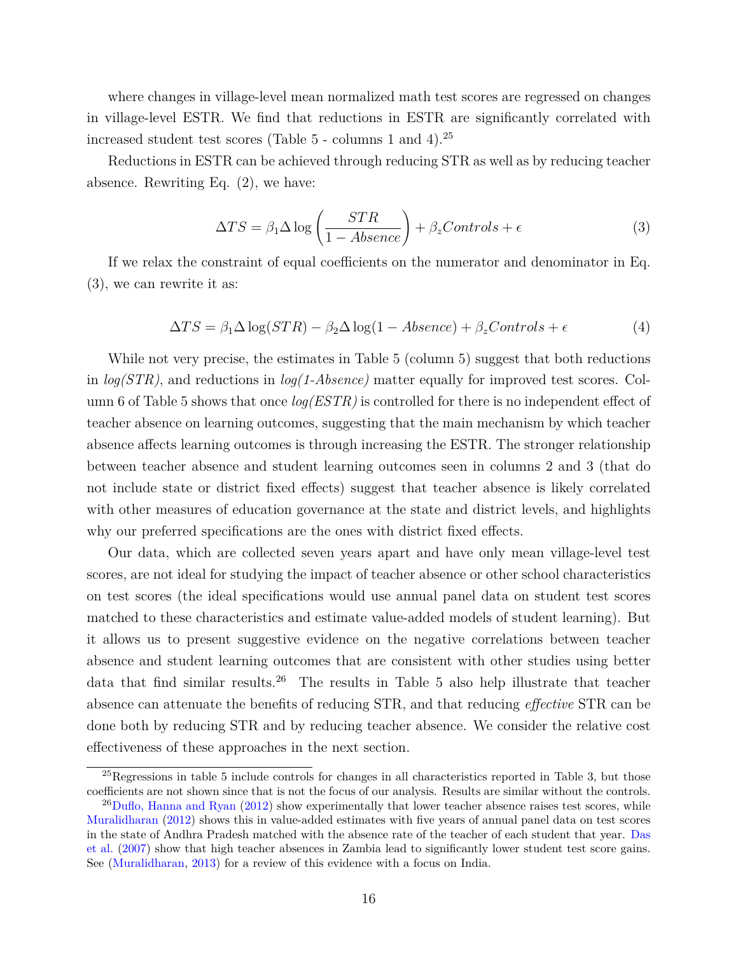where changes in village-level mean normalized math test scores are regressed on changes in village-level ESTR. We find that reductions in ESTR are significantly correlated with increased student test scores (Table 5 - columns 1 and 4).[25](#page-0-0)

Reductions in ESTR can be achieved through reducing STR as well as by reducing teacher absence. Rewriting Eq. (2), we have:

$$
\Delta TS = \beta_1 \Delta \log \left( \frac{STR}{1 - Absence} \right) + \beta_z Controls + \epsilon \tag{3}
$$

If we relax the constraint of equal coefficients on the numerator and denominator in Eq. (3), we can rewrite it as:

$$
\Delta TS = \beta_1 \Delta \log(STR) - \beta_2 \Delta \log(1 - Absence) + \beta_z Controls + \epsilon
$$
\n(4)

While not very precise, the estimates in Table 5 (column 5) suggest that both reductions in *log(STR)*, and reductions in *log(1-Absence)* matter equally for improved test scores. Column 6 of Table 5 shows that once *log(ESTR)* is controlled for there is no independent effect of teacher absence on learning outcomes, suggesting that the main mechanism by which teacher absence affects learning outcomes is through increasing the ESTR. The stronger relationship between teacher absence and student learning outcomes seen in columns 2 and 3 (that do not include state or district fixed effects) suggest that teacher absence is likely correlated with other measures of education governance at the state and district levels, and highlights why our preferred specifications are the ones with district fixed effects.

Our data, which are collected seven years apart and have only mean village-level test scores, are not ideal for studying the impact of teacher absence or other school characteristics on test scores (the ideal specifications would use annual panel data on student test scores matched to these characteristics and estimate value-added models of student learning). But it allows us to present suggestive evidence on the negative correlations between teacher absence and student learning outcomes that are consistent with other studies using better data that find similar results.<sup>[26](#page-0-0)</sup> The results in Table 5 also help illustrate that teacher absence can attenuate the benefits of reducing STR, and that reducing *effective* STR can be done both by reducing STR and by reducing teacher absence. We consider the relative cost effectiveness of these approaches in the next section.

 $^{25}$ Regressions in table 5 include controls for changes in all characteristics reported in Table 3, but those coefficients are not shown since that is not the focus of our analysis. Results are similar without the controls.

 $^{26}$ [Duflo, Hanna and Ryan](#page-23-7) [\(2012\)](#page-23-7) show experimentally that lower teacher absence raises test scores, while [Muralidharan](#page-23-14) [\(2012\)](#page-23-14) shows this in value-added estimates with five years of annual panel data on test scores in the state of Andhra Pradesh matched with the absence rate of the teacher of each student that year. [Das](#page-22-12) [et al.](#page-22-12) [\(2007\)](#page-22-12) show that high teacher absences in Zambia lead to significantly lower student test score gains. See [\(Muralidharan,](#page-23-15) [2013\)](#page-23-15) for a review of this evidence with a focus on India.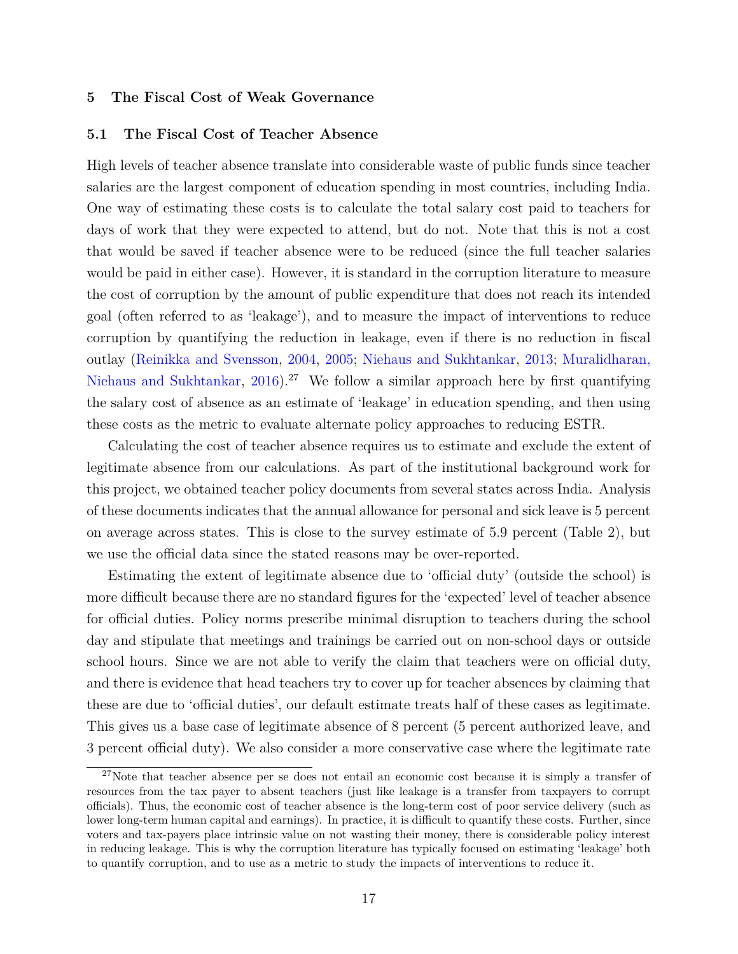## **5 The Fiscal Cost of Weak Governance**

## **5.1 The Fiscal Cost of Teacher Absence**

High levels of teacher absence translate into considerable waste of public funds since teacher salaries are the largest component of education spending in most countries, including India. One way of estimating these costs is to calculate the total salary cost paid to teachers for days of work that they were expected to attend, but do not. Note that this is not a cost that would be saved if teacher absence were to be reduced (since the full teacher salaries would be paid in either case). However, it is standard in the corruption literature to measure the cost of corruption by the amount of public expenditure that does not reach its intended goal (often referred to as 'leakage'), and to measure the impact of interventions to reduce corruption by quantifying the reduction in leakage, even if there is no reduction in fiscal outlay [\(Reinikka and Svensson,](#page-24-5) [2004,](#page-24-5) [2005;](#page-24-6) [Niehaus and Sukhtankar,](#page-23-3) [2013;](#page-23-3) [Muralidharan,](#page-23-8) [Niehaus and Sukhtankar,](#page-23-8)  $2016$ .<sup>[27](#page-0-0)</sup> We follow a similar approach here by first quantifying the salary cost of absence as an estimate of 'leakage' in education spending, and then using these costs as the metric to evaluate alternate policy approaches to reducing ESTR.

Calculating the cost of teacher absence requires us to estimate and exclude the extent of legitimate absence from our calculations. As part of the institutional background work for this project, we obtained teacher policy documents from several states across India. Analysis of these documents indicates that the annual allowance for personal and sick leave is 5 percent on average across states. This is close to the survey estimate of 5.9 percent (Table 2), but we use the official data since the stated reasons may be over-reported.

Estimating the extent of legitimate absence due to 'official duty' (outside the school) is more difficult because there are no standard figures for the 'expected' level of teacher absence for official duties. Policy norms prescribe minimal disruption to teachers during the school day and stipulate that meetings and trainings be carried out on non-school days or outside school hours. Since we are not able to verify the claim that teachers were on official duty, and there is evidence that head teachers try to cover up for teacher absences by claiming that these are due to 'official duties', our default estimate treats half of these cases as legitimate. This gives us a base case of legitimate absence of 8 percent (5 percent authorized leave, and 3 percent official duty). We also consider a more conservative case where the legitimate rate

<sup>&</sup>lt;sup>27</sup>Note that teacher absence per se does not entail an economic cost because it is simply a transfer of resources from the tax payer to absent teachers (just like leakage is a transfer from taxpayers to corrupt officials). Thus, the economic cost of teacher absence is the long-term cost of poor service delivery (such as lower long-term human capital and earnings). In practice, it is difficult to quantify these costs. Further, since voters and tax-payers place intrinsic value on not wasting their money, there is considerable policy interest in reducing leakage. This is why the corruption literature has typically focused on estimating 'leakage' both to quantify corruption, and to use as a metric to study the impacts of interventions to reduce it.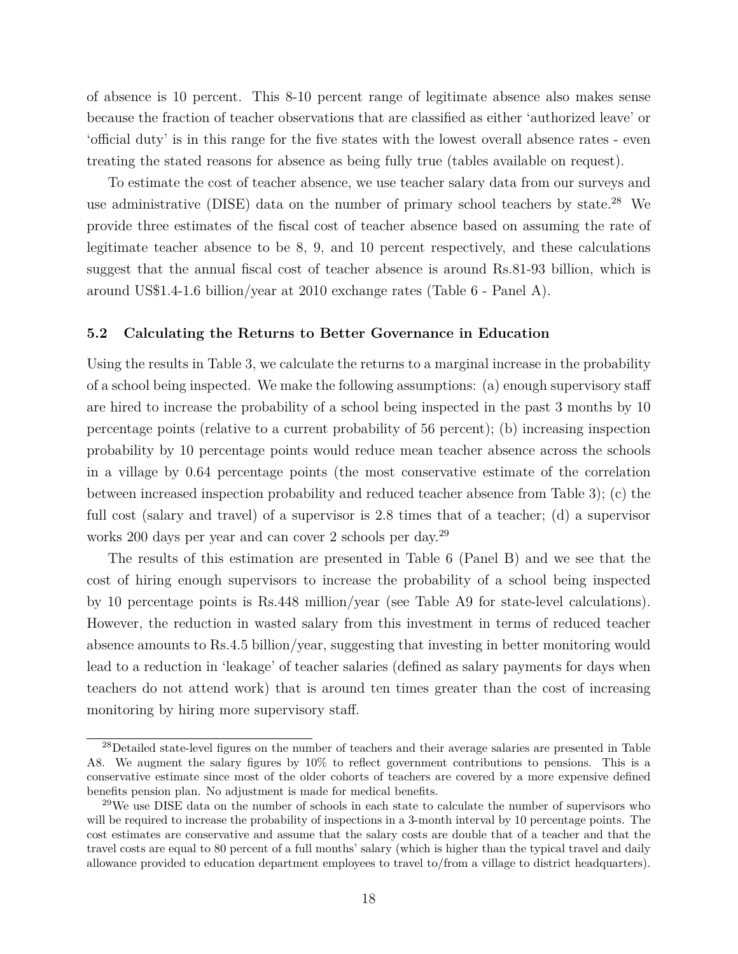of absence is 10 percent. This 8-10 percent range of legitimate absence also makes sense because the fraction of teacher observations that are classified as either 'authorized leave' or 'official duty' is in this range for the five states with the lowest overall absence rates - even treating the stated reasons for absence as being fully true (tables available on request).

To estimate the cost of teacher absence, we use teacher salary data from our surveys and use administrative (DISE) data on the number of primary school teachers by state.<sup>[28](#page-0-0)</sup> We provide three estimates of the fiscal cost of teacher absence based on assuming the rate of legitimate teacher absence to be 8, 9, and 10 percent respectively, and these calculations suggest that the annual fiscal cost of teacher absence is around Rs.81-93 billion, which is around US\$1.4-1.6 billion/year at 2010 exchange rates (Table 6 - Panel A).

## **5.2 Calculating the Returns to Better Governance in Education**

Using the results in Table 3, we calculate the returns to a marginal increase in the probability of a school being inspected. We make the following assumptions: (a) enough supervisory staff are hired to increase the probability of a school being inspected in the past 3 months by 10 percentage points (relative to a current probability of 56 percent); (b) increasing inspection probability by 10 percentage points would reduce mean teacher absence across the schools in a village by 0.64 percentage points (the most conservative estimate of the correlation between increased inspection probability and reduced teacher absence from Table 3); (c) the full cost (salary and travel) of a supervisor is 2.8 times that of a teacher; (d) a supervisor works 200 days per year and can cover 2 schools per day.<sup>[29](#page-0-0)</sup>

The results of this estimation are presented in Table 6 (Panel B) and we see that the cost of hiring enough supervisors to increase the probability of a school being inspected by 10 percentage points is Rs.448 million/year (see Table A9 for state-level calculations). However, the reduction in wasted salary from this investment in terms of reduced teacher absence amounts to Rs.4.5 billion/year, suggesting that investing in better monitoring would lead to a reduction in 'leakage' of teacher salaries (defined as salary payments for days when teachers do not attend work) that is around ten times greater than the cost of increasing monitoring by hiring more supervisory staff.

<sup>&</sup>lt;sup>28</sup>Detailed state-level figures on the number of teachers and their average salaries are presented in Table A8. We augment the salary figures by 10% to reflect government contributions to pensions. This is a conservative estimate since most of the older cohorts of teachers are covered by a more expensive defined benefits pension plan. No adjustment is made for medical benefits.

<sup>&</sup>lt;sup>29</sup>We use DISE data on the number of schools in each state to calculate the number of supervisors who will be required to increase the probability of inspections in a 3-month interval by 10 percentage points. The cost estimates are conservative and assume that the salary costs are double that of a teacher and that the travel costs are equal to 80 percent of a full months' salary (which is higher than the typical travel and daily allowance provided to education department employees to travel to/from a village to district headquarters).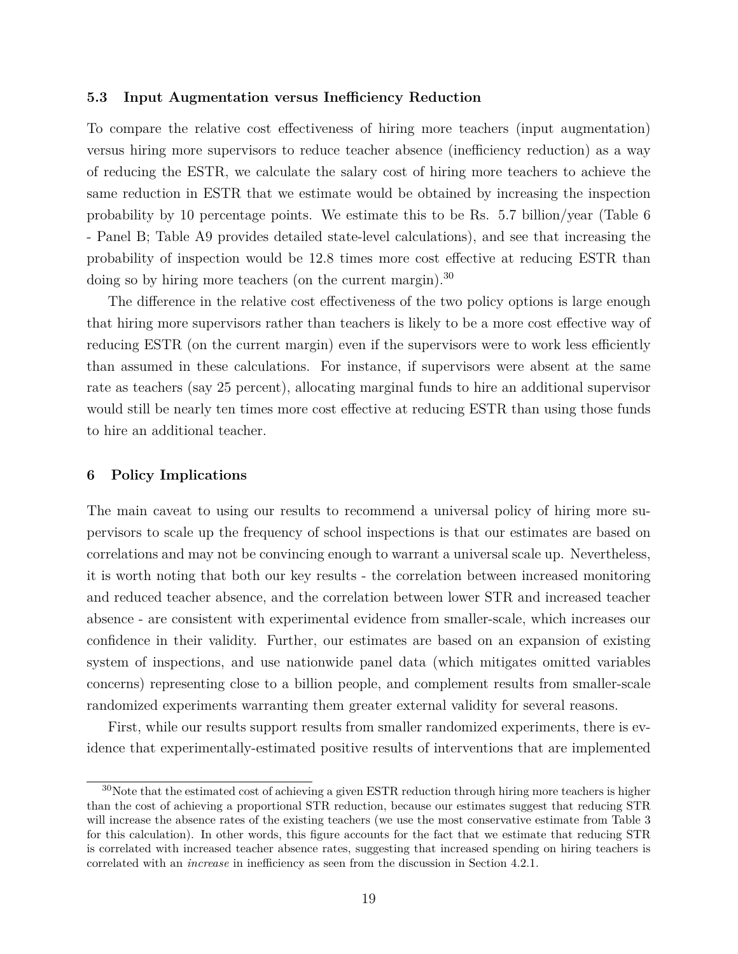#### **5.3 Input Augmentation versus Inefficiency Reduction**

To compare the relative cost effectiveness of hiring more teachers (input augmentation) versus hiring more supervisors to reduce teacher absence (inefficiency reduction) as a way of reducing the ESTR, we calculate the salary cost of hiring more teachers to achieve the same reduction in ESTR that we estimate would be obtained by increasing the inspection probability by 10 percentage points. We estimate this to be Rs. 5.7 billion/year (Table 6 - Panel B; Table A9 provides detailed state-level calculations), and see that increasing the probability of inspection would be 12.8 times more cost effective at reducing ESTR than doing so by hiring more teachers (on the current margin).<sup>[30](#page-0-0)</sup>

The difference in the relative cost effectiveness of the two policy options is large enough that hiring more supervisors rather than teachers is likely to be a more cost effective way of reducing ESTR (on the current margin) even if the supervisors were to work less efficiently than assumed in these calculations. For instance, if supervisors were absent at the same rate as teachers (say 25 percent), allocating marginal funds to hire an additional supervisor would still be nearly ten times more cost effective at reducing ESTR than using those funds to hire an additional teacher.

## **6 Policy Implications**

The main caveat to using our results to recommend a universal policy of hiring more supervisors to scale up the frequency of school inspections is that our estimates are based on correlations and may not be convincing enough to warrant a universal scale up. Nevertheless, it is worth noting that both our key results - the correlation between increased monitoring and reduced teacher absence, and the correlation between lower STR and increased teacher absence - are consistent with experimental evidence from smaller-scale, which increases our confidence in their validity. Further, our estimates are based on an expansion of existing system of inspections, and use nationwide panel data (which mitigates omitted variables concerns) representing close to a billion people, and complement results from smaller-scale randomized experiments warranting them greater external validity for several reasons.

First, while our results support results from smaller randomized experiments, there is evidence that experimentally-estimated positive results of interventions that are implemented

 $30$ Note that the estimated cost of achieving a given ESTR reduction through hiring more teachers is higher than the cost of achieving a proportional STR reduction, because our estimates suggest that reducing STR will increase the absence rates of the existing teachers (we use the most conservative estimate from Table 3 for this calculation). In other words, this figure accounts for the fact that we estimate that reducing STR is correlated with increased teacher absence rates, suggesting that increased spending on hiring teachers is correlated with an *increase* in inefficiency as seen from the discussion in Section 4.2.1.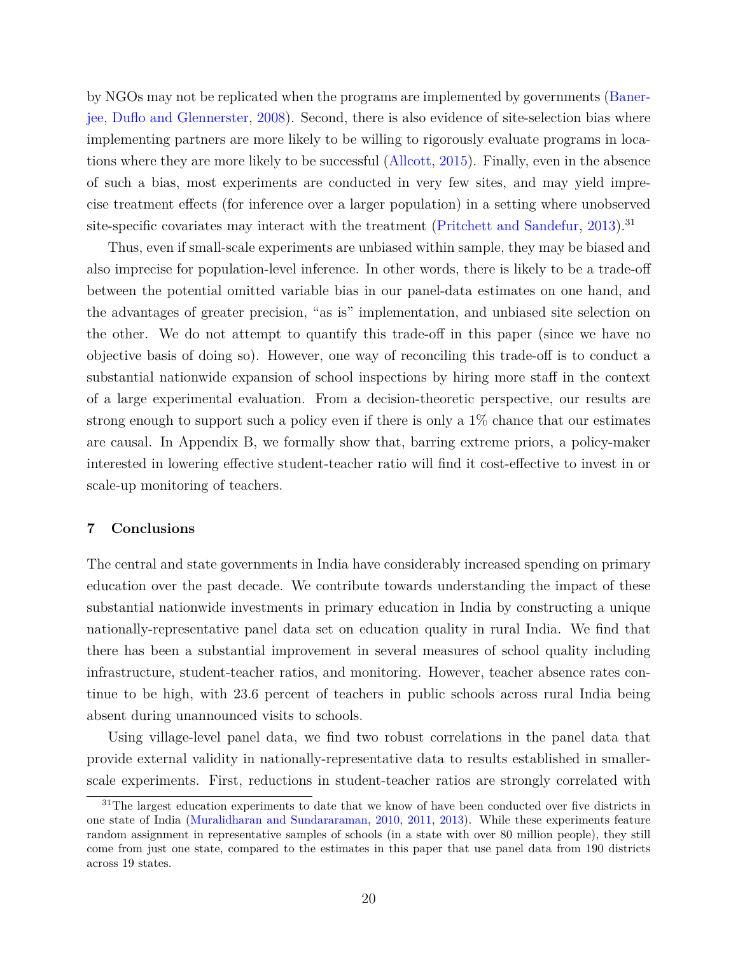by NGOs may not be replicated when the programs are implemented by governments [\(Baner](#page-22-13)[jee, Duflo and Glennerster,](#page-22-13) [2008\)](#page-22-13). Second, there is also evidence of site-selection bias where implementing partners are more likely to be willing to rigorously evaluate programs in locations where they are more likely to be successful [\(Allcott,](#page-22-14) [2015\)](#page-22-14). Finally, even in the absence of such a bias, most experiments are conducted in very few sites, and may yield imprecise treatment effects (for inference over a larger population) in a setting where unobserved site-specific covariates may interact with the treatment [\(Pritchett and Sandefur,](#page-24-7) [2013\)](#page-24-7).<sup>[31](#page-0-0)</sup>

Thus, even if small-scale experiments are unbiased within sample, they may be biased and also imprecise for population-level inference. In other words, there is likely to be a trade-off between the potential omitted variable bias in our panel-data estimates on one hand, and the advantages of greater precision, "as is" implementation, and unbiased site selection on the other. We do not attempt to quantify this trade-off in this paper (since we have no objective basis of doing so). However, one way of reconciling this trade-off is to conduct a substantial nationwide expansion of school inspections by hiring more staff in the context of a large experimental evaluation. From a decision-theoretic perspective, our results are strong enough to support such a policy even if there is only a 1% chance that our estimates are causal. In Appendix B, we formally show that, barring extreme priors, a policy-maker interested in lowering effective student-teacher ratio will find it cost-effective to invest in or scale-up monitoring of teachers.

### **7 Conclusions**

The central and state governments in India have considerably increased spending on primary education over the past decade. We contribute towards understanding the impact of these substantial nationwide investments in primary education in India by constructing a unique nationally-representative panel data set on education quality in rural India. We find that there has been a substantial improvement in several measures of school quality including infrastructure, student-teacher ratios, and monitoring. However, teacher absence rates continue to be high, with 23.6 percent of teachers in public schools across rural India being absent during unannounced visits to schools.

Using village-level panel data, we find two robust correlations in the panel data that provide external validity in nationally-representative data to results established in smallerscale experiments. First, reductions in student-teacher ratios are strongly correlated with

<sup>&</sup>lt;sup>31</sup>The largest education experiments to date that we know of have been conducted over five districts in one state of India [\(Muralidharan and Sundararaman,](#page-23-11) [2010,](#page-23-11) [2011,](#page-23-16) [2013\)](#page-23-5). While these experiments feature random assignment in representative samples of schools (in a state with over 80 million people), they still come from just one state, compared to the estimates in this paper that use panel data from 190 districts across 19 states.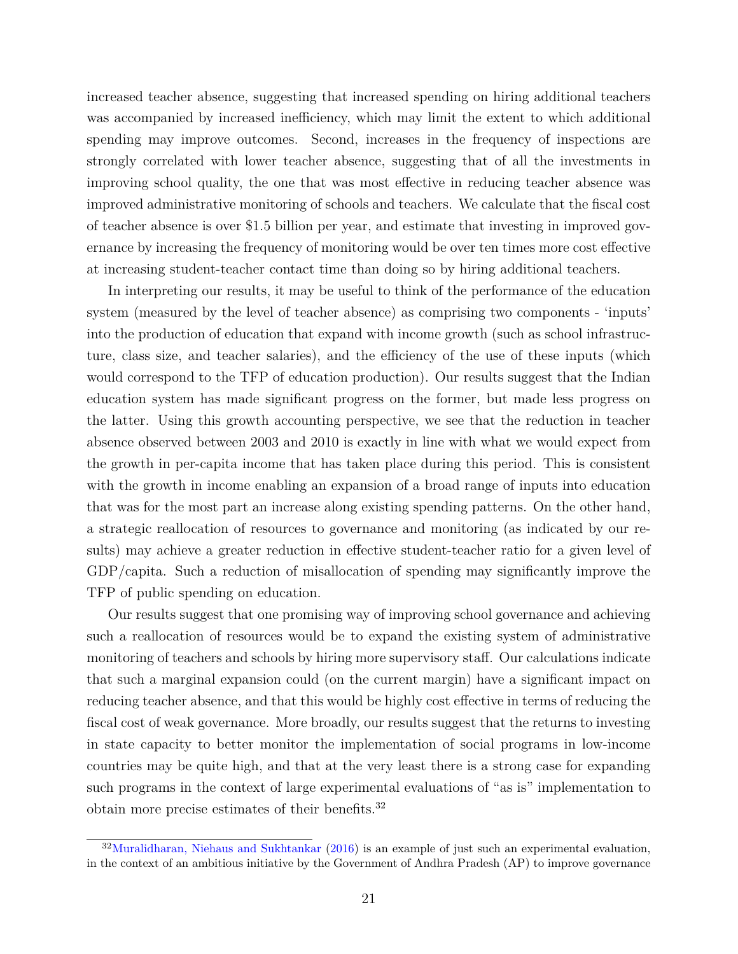increased teacher absence, suggesting that increased spending on hiring additional teachers was accompanied by increased inefficiency, which may limit the extent to which additional spending may improve outcomes. Second, increases in the frequency of inspections are strongly correlated with lower teacher absence, suggesting that of all the investments in improving school quality, the one that was most effective in reducing teacher absence was improved administrative monitoring of schools and teachers. We calculate that the fiscal cost of teacher absence is over \$1.5 billion per year, and estimate that investing in improved governance by increasing the frequency of monitoring would be over ten times more cost effective at increasing student-teacher contact time than doing so by hiring additional teachers.

In interpreting our results, it may be useful to think of the performance of the education system (measured by the level of teacher absence) as comprising two components - 'inputs' into the production of education that expand with income growth (such as school infrastructure, class size, and teacher salaries), and the efficiency of the use of these inputs (which would correspond to the TFP of education production). Our results suggest that the Indian education system has made significant progress on the former, but made less progress on the latter. Using this growth accounting perspective, we see that the reduction in teacher absence observed between 2003 and 2010 is exactly in line with what we would expect from the growth in per-capita income that has taken place during this period. This is consistent with the growth in income enabling an expansion of a broad range of inputs into education that was for the most part an increase along existing spending patterns. On the other hand, a strategic reallocation of resources to governance and monitoring (as indicated by our results) may achieve a greater reduction in effective student-teacher ratio for a given level of GDP/capita. Such a reduction of misallocation of spending may significantly improve the TFP of public spending on education.

Our results suggest that one promising way of improving school governance and achieving such a reallocation of resources would be to expand the existing system of administrative monitoring of teachers and schools by hiring more supervisory staff. Our calculations indicate that such a marginal expansion could (on the current margin) have a significant impact on reducing teacher absence, and that this would be highly cost effective in terms of reducing the fiscal cost of weak governance. More broadly, our results suggest that the returns to investing in state capacity to better monitor the implementation of social programs in low-income countries may be quite high, and that at the very least there is a strong case for expanding such programs in the context of large experimental evaluations of "as is" implementation to obtain more precise estimates of their benefits.[32](#page-0-0)

<sup>32</sup>[Muralidharan, Niehaus and Sukhtankar](#page-23-8) [\(2016\)](#page-23-8) is an example of just such an experimental evaluation, in the context of an ambitious initiative by the Government of Andhra Pradesh (AP) to improve governance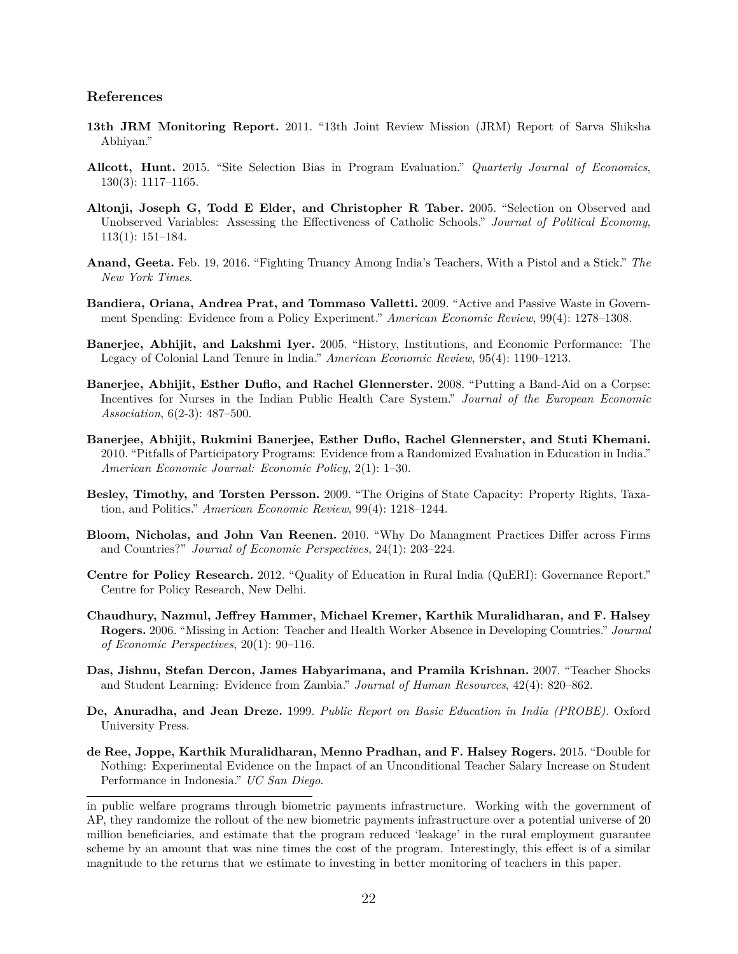#### **References**

- <span id="page-22-11"></span>**13th JRM Monitoring Report.** 2011. "13th Joint Review Mission (JRM) Report of Sarva Shiksha Abhiyan."
- <span id="page-22-14"></span>**Allcott, Hunt.** 2015. "Site Selection Bias in Program Evaluation." *Quarterly Journal of Economics*, 130(3): 1117–1165.
- <span id="page-22-0"></span>**Altonji, Joseph G, Todd E Elder, and Christopher R Taber.** 2005. "Selection on Observed and Unobserved Variables: Assessing the Effectiveness of Catholic Schools." *Journal of Political Economy*, 113(1): 151–184.
- <span id="page-22-9"></span>**Anand, Geeta.** Feb. 19, 2016. "Fighting Truancy Among India's Teachers, With a Pistol and a Stick." *The New York Times*.
- <span id="page-22-2"></span>**Bandiera, Oriana, Andrea Prat, and Tommaso Valletti.** 2009. "Active and Passive Waste in Government Spending: Evidence from a Policy Experiment." *American Economic Review*, 99(4): 1278–1308.
- <span id="page-22-6"></span>**Banerjee, Abhijit, and Lakshmi Iyer.** 2005. "History, Institutions, and Economic Performance: The Legacy of Colonial Land Tenure in India." *American Economic Review*, 95(4): 1190–1213.
- <span id="page-22-13"></span>**Banerjee, Abhijit, Esther Duflo, and Rachel Glennerster.** 2008. "Putting a Band-Aid on a Corpse: Incentives for Nurses in the Indian Public Health Care System." *Journal of the European Economic Association*, 6(2-3): 487–500.
- <span id="page-22-7"></span>**Banerjee, Abhijit, Rukmini Banerjee, Esther Duflo, Rachel Glennerster, and Stuti Khemani.** 2010. "Pitfalls of Participatory Programs: Evidence from a Randomized Evaluation in Education in India." *American Economic Journal: Economic Policy*, 2(1): 1–30.
- <span id="page-22-3"></span>**Besley, Timothy, and Torsten Persson.** 2009. "The Origins of State Capacity: Property Rights, Taxation, and Politics." *American Economic Review*, 99(4): 1218–1244.
- <span id="page-22-4"></span>**Bloom, Nicholas, and John Van Reenen.** 2010. "Why Do Managment Practices Differ across Firms and Countries?" *Journal of Economic Perspectives*, 24(1): 203–224.
- <span id="page-22-10"></span>**Centre for Policy Research.** 2012. "Quality of Education in Rural India (QuERI): Governance Report." Centre for Policy Research, New Delhi.
- <span id="page-22-1"></span>**Chaudhury, Nazmul, Jeffrey Hammer, Michael Kremer, Karthik Muralidharan, and F. Halsey Rogers.** 2006. "Missing in Action: Teacher and Health Worker Absence in Developing Countries." *Journal of Economic Perspectives*, 20(1): 90–116.
- <span id="page-22-12"></span>**Das, Jishnu, Stefan Dercon, James Habyarimana, and Pramila Krishnan.** 2007. "Teacher Shocks and Student Learning: Evidence from Zambia." *Journal of Human Resources*, 42(4): 820–862.
- <span id="page-22-8"></span>**De, Anuradha, and Jean Dreze.** 1999. *Public Report on Basic Education in India (PROBE).* Oxford University Press.
- <span id="page-22-5"></span>**de Ree, Joppe, Karthik Muralidharan, Menno Pradhan, and F. Halsey Rogers.** 2015. "Double for Nothing: Experimental Evidence on the Impact of an Unconditional Teacher Salary Increase on Student Performance in Indonesia." *UC San Diego*.

in public welfare programs through biometric payments infrastructure. Working with the government of AP, they randomize the rollout of the new biometric payments infrastructure over a potential universe of 20 million beneficiaries, and estimate that the program reduced 'leakage' in the rural employment guarantee scheme by an amount that was nine times the cost of the program. Interestingly, this effect is of a similar magnitude to the returns that we estimate to investing in better monitoring of teachers in this paper.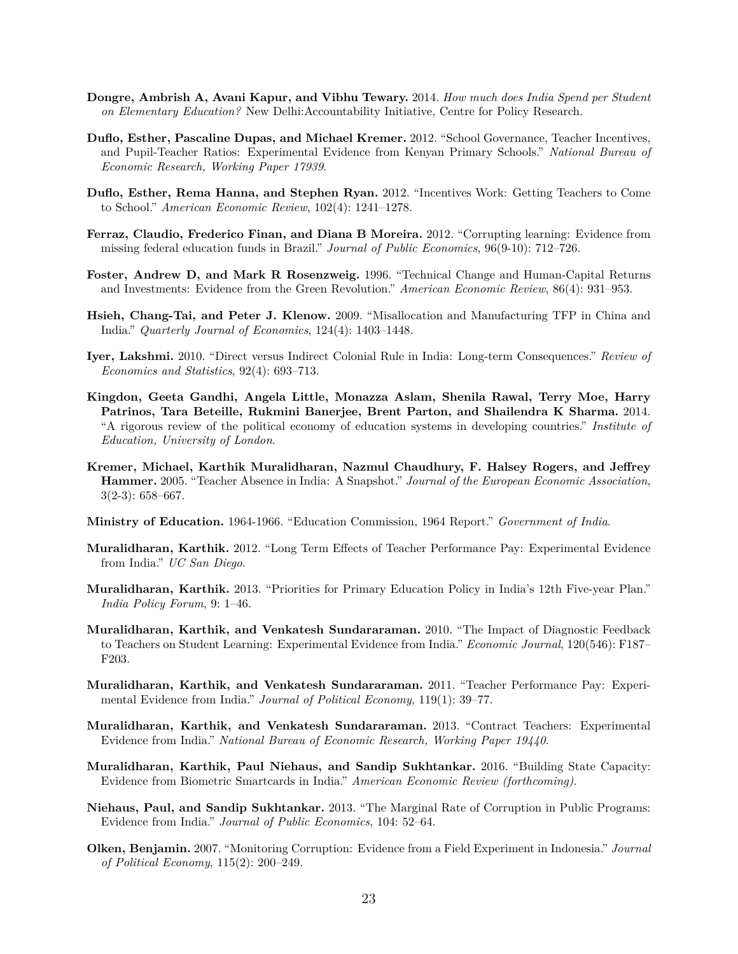- <span id="page-23-1"></span>**Dongre, Ambrish A, Avani Kapur, and Vibhu Tewary.** 2014. *How much does India Spend per Student on Elementary Education?* New Delhi:Accountability Initiative, Centre for Policy Research.
- <span id="page-23-4"></span>**Duflo, Esther, Pascaline Dupas, and Michael Kremer.** 2012. "School Governance, Teacher Incentives, and Pupil-Teacher Ratios: Experimental Evidence from Kenyan Primary Schools." *National Bureau of Economic Research, Working Paper 17939*.
- <span id="page-23-7"></span>**Duflo, Esther, Rema Hanna, and Stephen Ryan.** 2012. "Incentives Work: Getting Teachers to Come to School." *American Economic Review*, 102(4): 1241–1278.
- <span id="page-23-2"></span>**Ferraz, Claudio, Frederico Finan, and Diana B Moreira.** 2012. "Corrupting learning: Evidence from missing federal education funds in Brazil." *Journal of Public Economics*, 96(9-10): 712–726.
- <span id="page-23-17"></span>**Foster, Andrew D, and Mark R Rosenzweig.** 1996. "Technical Change and Human-Capital Returns and Investments: Evidence from the Green Revolution." *American Economic Review*, 86(4): 931–953.
- <span id="page-23-9"></span>**Hsieh, Chang-Tai, and Peter J. Klenow.** 2009. "Misallocation and Manufacturing TFP in China and India." *Quarterly Journal of Economics*, 124(4): 1403–1448.
- <span id="page-23-10"></span>**Iyer, Lakshmi.** 2010. "Direct versus Indirect Colonial Rule in India: Long-term Consequences." *Review of Economics and Statistics*, 92(4): 693–713.
- <span id="page-23-13"></span>**Kingdon, Geeta Gandhi, Angela Little, Monazza Aslam, Shenila Rawal, Terry Moe, Harry Patrinos, Tara Beteille, Rukmini Banerjee, Brent Parton, and Shailendra K Sharma.** 2014. "A rigorous review of the political economy of education systems in developing countries." *Institute of Education, University of London*.
- <span id="page-23-0"></span>**Kremer, Michael, Karthik Muralidharan, Nazmul Chaudhury, F. Halsey Rogers, and Jeffrey Hammer.** 2005. "Teacher Absence in India: A Snapshot." *Journal of the European Economic Association*, 3(2-3): 658–667.
- <span id="page-23-12"></span>**Ministry of Education.** 1964-1966. "Education Commission, 1964 Report." *Government of India*.
- <span id="page-23-14"></span>**Muralidharan, Karthik.** 2012. "Long Term Effects of Teacher Performance Pay: Experimental Evidence from India." *UC San Diego*.
- <span id="page-23-15"></span>**Muralidharan, Karthik.** 2013. "Priorities for Primary Education Policy in India's 12th Five-year Plan." *India Policy Forum*, 9: 1–46.
- <span id="page-23-11"></span>**Muralidharan, Karthik, and Venkatesh Sundararaman.** 2010. "The Impact of Diagnostic Feedback to Teachers on Student Learning: Experimental Evidence from India." *Economic Journal*, 120(546): F187– F203.
- <span id="page-23-16"></span>**Muralidharan, Karthik, and Venkatesh Sundararaman.** 2011. "Teacher Performance Pay: Experimental Evidence from India." *Journal of Political Economy*, 119(1): 39–77.
- <span id="page-23-5"></span>**Muralidharan, Karthik, and Venkatesh Sundararaman.** 2013. "Contract Teachers: Experimental Evidence from India." *National Bureau of Economic Research, Working Paper 19440*.
- <span id="page-23-8"></span>**Muralidharan, Karthik, Paul Niehaus, and Sandip Sukhtankar.** 2016. "Building State Capacity: Evidence from Biometric Smartcards in India." *American Economic Review (forthcoming)*.
- <span id="page-23-3"></span>**Niehaus, Paul, and Sandip Sukhtankar.** 2013. "The Marginal Rate of Corruption in Public Programs: Evidence from India." *Journal of Public Economics*, 104: 52–64.
- <span id="page-23-6"></span>**Olken, Benjamin.** 2007. "Monitoring Corruption: Evidence from a Field Experiment in Indonesia." *Journal of Political Economy*, 115(2): 200–249.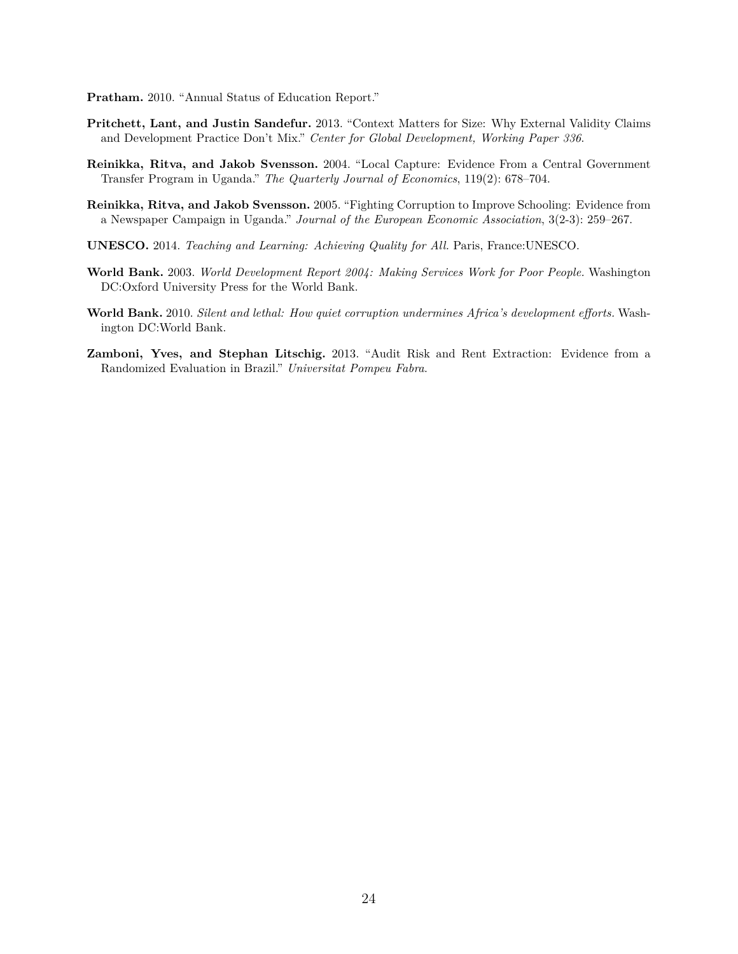<span id="page-24-2"></span>**Pratham.** 2010. "Annual Status of Education Report."

- <span id="page-24-7"></span>**Pritchett, Lant, and Justin Sandefur.** 2013. "Context Matters for Size: Why External Validity Claims and Development Practice Don't Mix." *Center for Global Development, Working Paper 336*.
- <span id="page-24-5"></span>**Reinikka, Ritva, and Jakob Svensson.** 2004. "Local Capture: Evidence From a Central Government Transfer Program in Uganda." *The Quarterly Journal of Economics*, 119(2): 678–704.
- <span id="page-24-6"></span>**Reinikka, Ritva, and Jakob Svensson.** 2005. "Fighting Corruption to Improve Schooling: Evidence from a Newspaper Campaign in Uganda." *Journal of the European Economic Association*, 3(2-3): 259–267.
- <span id="page-24-0"></span>**UNESCO.** 2014. *Teaching and Learning: Achieving Quality for All.* Paris, France:UNESCO.
- <span id="page-24-3"></span>**World Bank.** 2003. *World Development Report 2004: Making Services Work for Poor People.* Washington DC:Oxford University Press for the World Bank.
- <span id="page-24-1"></span>**World Bank.** 2010. *Silent and lethal: How quiet corruption undermines Africa's development efforts.* Washington DC:World Bank.
- <span id="page-24-4"></span>**Zamboni, Yves, and Stephan Litschig.** 2013. "Audit Risk and Rent Extraction: Evidence from a Randomized Evaluation in Brazil." *Universitat Pompeu Fabra*.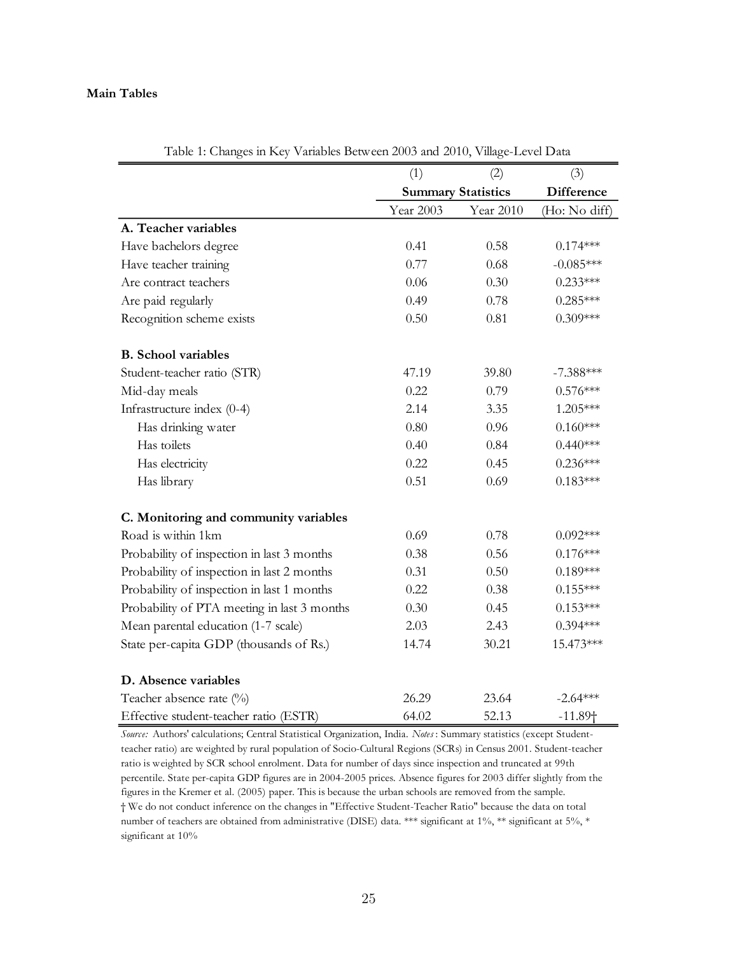# **Main Tables**

|                                             |           | ◡                         |                   |
|---------------------------------------------|-----------|---------------------------|-------------------|
|                                             | (1)       | (2)                       | (3)               |
|                                             |           | <b>Summary Statistics</b> | <b>Difference</b> |
|                                             | Year 2003 | Year 2010                 | (Ho: No diff)     |
| A. Teacher variables                        |           |                           |                   |
| Have bachelors degree                       | 0.41      | 0.58                      | $0.174***$        |
| Have teacher training                       | 0.77      | 0.68                      | $-0.085***$       |
| Are contract teachers                       | 0.06      | 0.30                      | $0.233***$        |
| Are paid regularly                          | 0.49      | 0.78                      | $0.285***$        |
| Recognition scheme exists                   | 0.50      | 0.81                      | $0.309***$        |
| <b>B.</b> School variables                  |           |                           |                   |
| Student-teacher ratio (STR)                 | 47.19     | 39.80                     | $-7.388***$       |
| Mid-day meals                               | 0.22      | 0.79                      | $0.576***$        |
| Infrastructure index (0-4)                  | 2.14      | 3.35                      | 1.205***          |
| Has drinking water                          | 0.80      | 0.96                      | $0.160***$        |
| Has toilets                                 | 0.40      | 0.84                      | $0.440***$        |
| Has electricity                             | 0.22      | 0.45                      | $0.236***$        |
| Has library                                 | 0.51      | 0.69                      | $0.183***$        |
| C. Monitoring and community variables       |           |                           |                   |
| Road is within 1km                          | 0.69      | 0.78                      | $0.092***$        |
| Probability of inspection in last 3 months  | 0.38      | 0.56                      | $0.176***$        |
| Probability of inspection in last 2 months  | 0.31      | 0.50                      | $0.189***$        |
| Probability of inspection in last 1 months  | 0.22      | 0.38                      | $0.155***$        |
| Probability of PTA meeting in last 3 months | 0.30      | 0.45                      | $0.153***$        |
| Mean parental education (1-7 scale)         | 2.03      | 2.43                      | $0.394***$        |
| State per-capita GDP (thousands of Rs.)     | 14.74     | 30.21                     | 15.473***         |
| D. Absence variables                        |           |                           |                   |
| Teacher absence rate (%)                    | 26.29     | 23.64                     | $-2.64***$        |
| Effective student-teacher ratio (ESTR)      | 64.02     | 52.13                     | $-11.89+$         |

Table 1: Changes in Key Variables Between 2003 and 2010, Village-Level Data

*Source:* Authors' calculations; Central Statistical Organization, India. *Notes* : Summary statistics (except Studentteacher ratio) are weighted by rural population of Socio-Cultural Regions (SCRs) in Census 2001. Student-teacher ratio is weighted by SCR school enrolment. Data for number of days since inspection and truncated at 99th percentile. State per-capita GDP figures are in 2004-2005 prices. Absence figures for 2003 differ slightly from the figures in the Kremer et al. (2005) paper. This is because the urban schools are removed from the sample. † We do not conduct inference on the changes in "Effective Student-Teacher Ratio" because the data on total number of teachers are obtained from administrative (DISE) data. \*\*\* significant at 1%, \*\* significant at 5%, \* significant at  $10\%$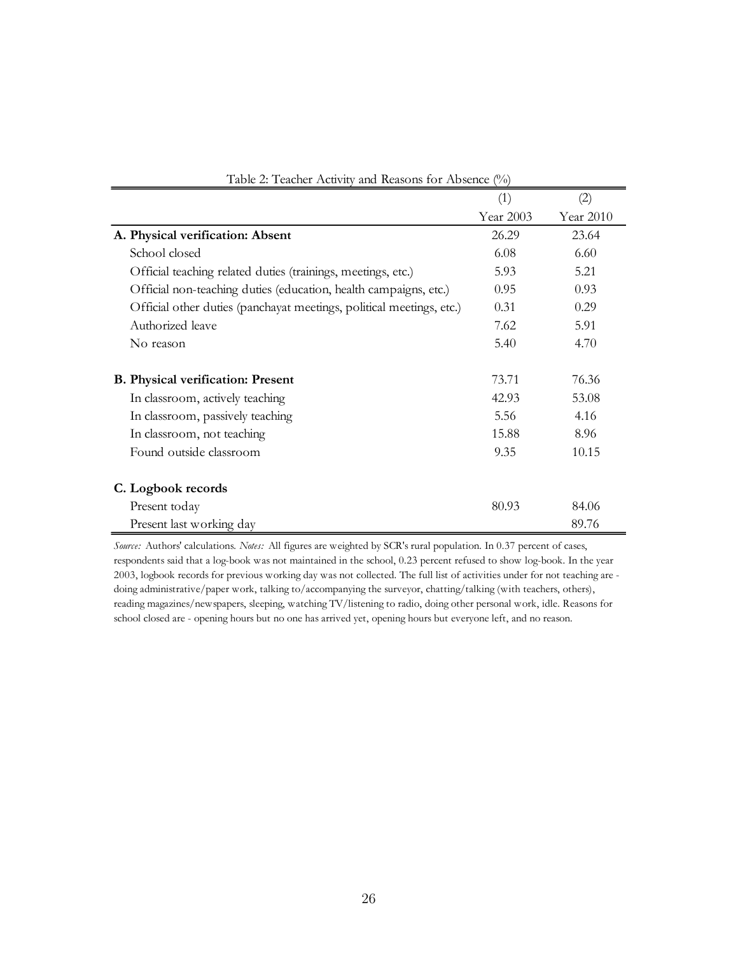| Table 2: Teacher Activity and Reasons for Absence (%)                |           |           |  |  |  |  |  |  |  |
|----------------------------------------------------------------------|-----------|-----------|--|--|--|--|--|--|--|
|                                                                      | (1)       | (2)       |  |  |  |  |  |  |  |
|                                                                      | Year 2003 | Year 2010 |  |  |  |  |  |  |  |
| A. Physical verification: Absent                                     | 26.29     | 23.64     |  |  |  |  |  |  |  |
| School closed                                                        | 6.08      | 6.60      |  |  |  |  |  |  |  |
| Official teaching related duties (trainings, meetings, etc.)         | 5.93      | 5.21      |  |  |  |  |  |  |  |
| Official non-teaching duties (education, health campaigns, etc.)     | 0.95      | 0.93      |  |  |  |  |  |  |  |
| Official other duties (panchayat meetings, political meetings, etc.) | 0.31      | 0.29      |  |  |  |  |  |  |  |
| Authorized leave                                                     | 7.62      | 5.91      |  |  |  |  |  |  |  |
| No reason                                                            | 5.40      | 4.70      |  |  |  |  |  |  |  |
| <b>B.</b> Physical verification: Present                             | 73.71     | 76.36     |  |  |  |  |  |  |  |
| In classroom, actively teaching                                      | 42.93     | 53.08     |  |  |  |  |  |  |  |
| In classroom, passively teaching                                     | 5.56      | 4.16      |  |  |  |  |  |  |  |
| In classroom, not teaching                                           | 15.88     | 8.96      |  |  |  |  |  |  |  |
| Found outside classroom                                              | 9.35      | 10.15     |  |  |  |  |  |  |  |
| C. Logbook records                                                   |           |           |  |  |  |  |  |  |  |
| Present today                                                        | 80.93     | 84.06     |  |  |  |  |  |  |  |
| Present last working day                                             |           | 89.76     |  |  |  |  |  |  |  |

| Table 2: Teacher Activity and Reasons for Absence (%) |  |  |  |  |  |  |
|-------------------------------------------------------|--|--|--|--|--|--|
|-------------------------------------------------------|--|--|--|--|--|--|

*Source:* Authors' calculations. *Notes:* All figures are weighted by SCR's rural population. In 0.37 percent of cases, respondents said that a log-book was not maintained in the school, 0.23 percent refused to show log-book. In the year 2003, logbook records for previous working day was not collected. The full list of activities under for not teaching are doing administrative/paper work, talking to/accompanying the surveyor, chatting/talking (with teachers, others), reading magazines/newspapers, sleeping, watching TV/listening to radio, doing other personal work, idle. Reasons for school closed are - opening hours but no one has arrived yet, opening hours but everyone left, and no reason.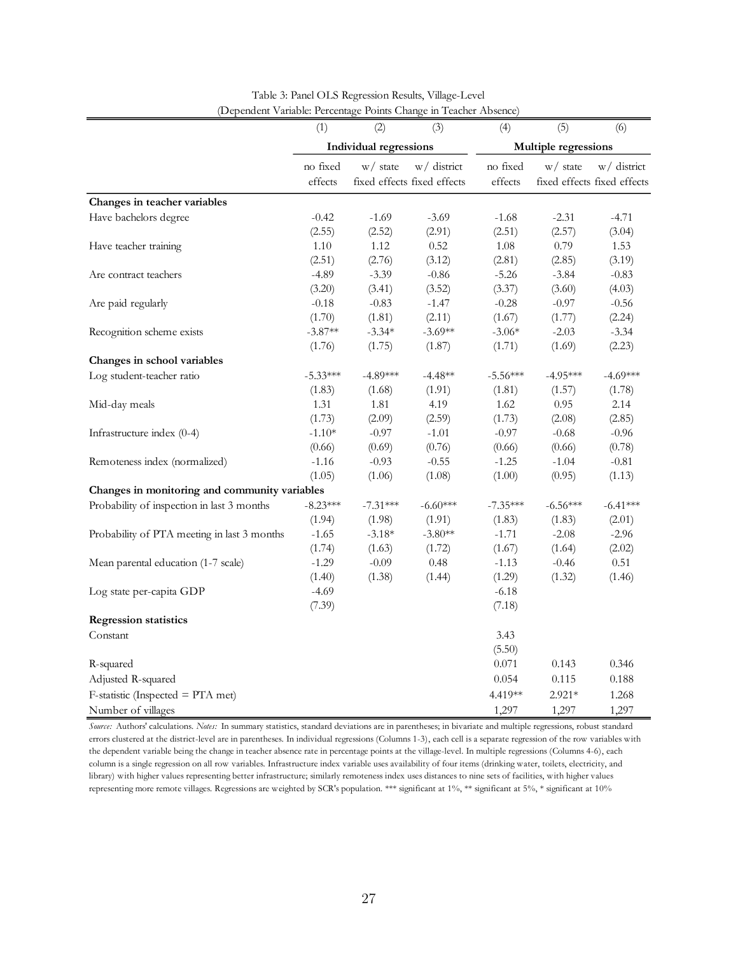|                                               | (1)        | (2)                           | (3)                         | (4)        | (5)                  | (6)                         |
|-----------------------------------------------|------------|-------------------------------|-----------------------------|------------|----------------------|-----------------------------|
|                                               |            | <b>Individual regressions</b> |                             |            | Multiple regressions |                             |
|                                               | no fixed   | $w/$ state                    | w/ district                 | no fixed   | $w/$ state           | w/ district                 |
|                                               | effects    |                               | fixed effects fixed effects | effects    |                      | fixed effects fixed effects |
| Changes in teacher variables                  |            |                               |                             |            |                      |                             |
| Have bachelors degree                         | $-0.42$    | $-1.69$                       | $-3.69$                     | $-1.68$    | $-2.31$              | $-4.71$                     |
|                                               | (2.55)     | (2.52)                        | (2.91)                      | (2.51)     | (2.57)               | (3.04)                      |
| Have teacher training                         | 1.10       | 1.12                          | 0.52                        | 1.08       | 0.79                 | 1.53                        |
|                                               | (2.51)     | (2.76)                        | (3.12)                      | (2.81)     | (2.85)               | (3.19)                      |
| Are contract teachers                         | $-4.89$    | $-3.39$                       | $-0.86$                     | $-5.26$    | $-3.84$              | $-0.83$                     |
|                                               | (3.20)     | (3.41)                        | (3.52)                      | (3.37)     | (3.60)               | (4.03)                      |
| Are paid regularly                            | $-0.18$    | $-0.83$                       | $-1.47$                     | $-0.28$    | $-0.97$              | $-0.56$                     |
|                                               | (1.70)     | (1.81)                        | (2.11)                      | (1.67)     | (1.77)               | (2.24)                      |
| Recognition scheme exists                     | $-3.87**$  | $-3.34*$                      | $-3.69**$                   | $-3.06*$   | $-2.03$              | $-3.34$                     |
|                                               | (1.76)     | (1.75)                        | (1.87)                      | (1.71)     | (1.69)               | (2.23)                      |
| Changes in school variables                   |            |                               |                             |            |                      |                             |
| Log student-teacher ratio                     | $-5.33***$ | $-4.89***$                    | $-4.48**$                   | $-5.56***$ | $-4.95***$           | $-4.69***$                  |
|                                               | (1.83)     | (1.68)                        | (1.91)                      | (1.81)     | (1.57)               | (1.78)                      |
| Mid-day meals                                 | 1.31       | 1.81                          | 4.19                        | 1.62       | 0.95                 | 2.14                        |
|                                               | (1.73)     | (2.09)                        | (2.59)                      | (1.73)     | (2.08)               | (2.85)                      |
| Infrastructure index (0-4)                    | $-1.10*$   | $-0.97$                       | $-1.01$                     | $-0.97$    | $-0.68$              | $-0.96$                     |
|                                               | (0.66)     | (0.69)                        | (0.76)                      | (0.66)     | (0.66)               | (0.78)                      |
| Remoteness index (normalized)                 | $-1.16$    | $-0.93$                       | $-0.55$                     | $-1.25$    | $-1.04$              | $-0.81$                     |
|                                               | (1.05)     | (1.06)                        | (1.08)                      | (1.00)     | (0.95)               | (1.13)                      |
| Changes in monitoring and community variables |            |                               |                             |            |                      |                             |
| Probability of inspection in last 3 months    | $-8.23***$ | $-7.31***$                    | $-6.60***$                  | $-7.35***$ | $-6.56***$           | $-6.41***$                  |
|                                               | (1.94)     | (1.98)                        | (1.91)                      | (1.83)     | (1.83)               | (2.01)                      |
| Probability of PTA meeting in last 3 months   | $-1.65$    | $-3.18*$                      | $-3.80**$                   | $-1.71$    | $-2.08$              | $-2.96$                     |
|                                               | (1.74)     | (1.63)                        | (1.72)                      | (1.67)     | (1.64)               | (2.02)                      |
| Mean parental education (1-7 scale)           | $-1.29$    | $-0.09$                       | 0.48                        | $-1.13$    | $-0.46$              | 0.51                        |
|                                               | (1.40)     | (1.38)                        | (1.44)                      | (1.29)     | (1.32)               | (1.46)                      |
| Log state per-capita GDP                      | $-4.69$    |                               |                             | $-6.18$    |                      |                             |
|                                               | (7.39)     |                               |                             | (7.18)     |                      |                             |
| <b>Regression statistics</b>                  |            |                               |                             |            |                      |                             |
| Constant                                      |            |                               |                             | 3.43       |                      |                             |
|                                               |            |                               |                             | (5.50)     |                      |                             |
| R-squared                                     |            |                               |                             | 0.071      | 0.143                | 0.346                       |
| Adjusted R-squared                            |            |                               |                             | 0.054      | 0.115                | 0.188                       |
| $F$ -statistic (Inspected = PTA met)          |            |                               |                             | 4.419**    | $2.921*$             | 1.268                       |
| Number of villages                            |            |                               |                             | 1,297      | 1,297                | 1,297                       |

Table 3: Panel OLS Regression Results, Village-Level (Dependent Variable: Percentage Points Change in Teacher Absence)

*Source:* Authors' calculations. *Notes:* In summary statistics, standard deviations are in parentheses; in bivariate and multiple regressions, robust standard errors clustered at the district-level are in parentheses. In individual regressions (Columns 1-3), each cell is a separate regression of the row variables with the dependent variable being the change in teacher absence rate in percentage points at the village-level. In multiple regressions (Columns 4-6), each column is a single regression on all row variables. Infrastructure index variable uses availability of four items (drinking water, toilets, electricity, and library) with higher values representing better infrastructure; similarly remoteness index uses distances to nine sets of facilities, with higher values representing more remote villages. Regressions are weighted by SCR's population. \*\*\* significant at 1%, \*\* significant at 5%, \* significant at 10%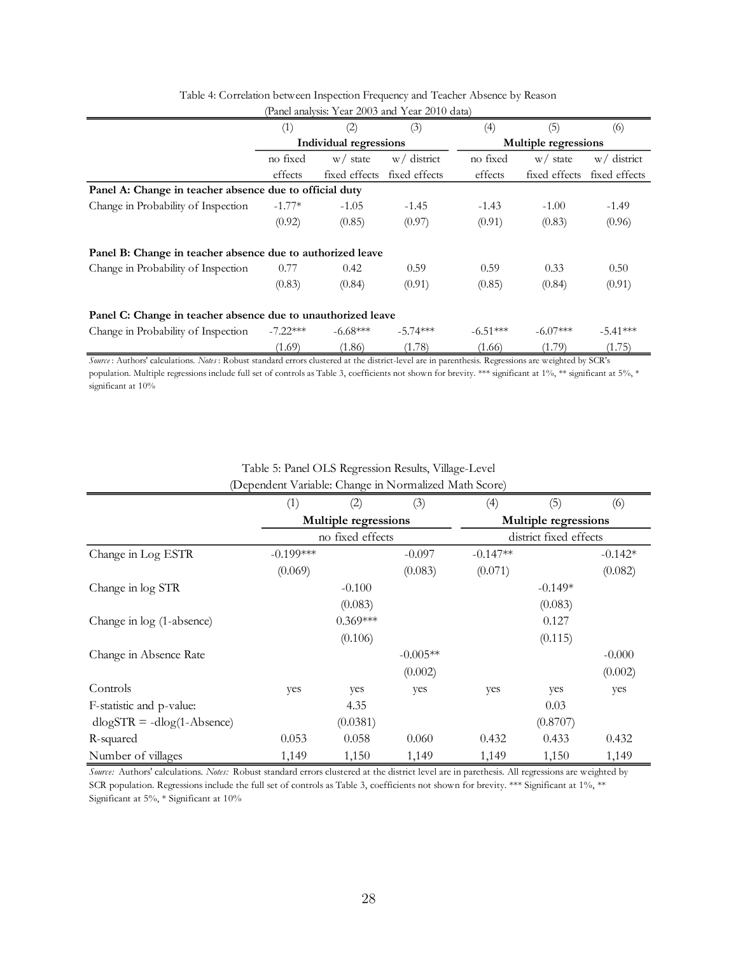| $1 \text{ and } 20 \text{ and } 30 \text{ and } 20 \text{ and } 30 \text{ and } 30 \text{ and } 30 \text{ and } 30 \text{ and } 30 \text{ and } 30 \text{ and } 30 \text{ and } 30 \text{ and } 30 \text{ and } 30 \text{ and } 30 \text{ and } 30 \text{ and } 30 \text{ and } 30 \text{ and } 30 \text{ and } 30 \text{ and } 30 \text{ and } 30 \text{ and } 30 \text{ and } 30 \text{ and } 30 \text{ and } 30 \text{ and } 30 \text{ and } 30 \text{$ |            |                        |               |            |                             |               |  |  |  |  |
|------------------------------------------------------------------------------------------------------------------------------------------------------------------------------------------------------------------------------------------------------------------------------------------------------------------------------------------------------------------------------------------------------------------------------------------------------------|------------|------------------------|---------------|------------|-----------------------------|---------------|--|--|--|--|
|                                                                                                                                                                                                                                                                                                                                                                                                                                                            | (1)        | (2)                    | (3)           | (4)        | (5)                         | (6)           |  |  |  |  |
|                                                                                                                                                                                                                                                                                                                                                                                                                                                            |            | Individual regressions |               |            | <b>Multiple regressions</b> |               |  |  |  |  |
|                                                                                                                                                                                                                                                                                                                                                                                                                                                            | no fixed   | w/ state               | $w/d$ istrict | no fixed   | w/ state                    | $w/d$ istrict |  |  |  |  |
|                                                                                                                                                                                                                                                                                                                                                                                                                                                            | effects    | fixed effects          | fixed effects | effects    | fixed effects               | fixed effects |  |  |  |  |
| Panel A: Change in teacher absence due to official duty                                                                                                                                                                                                                                                                                                                                                                                                    |            |                        |               |            |                             |               |  |  |  |  |
| Change in Probability of Inspection                                                                                                                                                                                                                                                                                                                                                                                                                        | $-1.77*$   | $-1.05$                | $-1.45$       | $-1.43$    | $-1.00$                     | $-1.49$       |  |  |  |  |
|                                                                                                                                                                                                                                                                                                                                                                                                                                                            | (0.92)     | (0.85)                 | (0.97)        | (0.91)     | (0.83)                      | (0.96)        |  |  |  |  |
| Panel B: Change in teacher absence due to authorized leave                                                                                                                                                                                                                                                                                                                                                                                                 |            |                        |               |            |                             |               |  |  |  |  |
| Change in Probability of Inspection                                                                                                                                                                                                                                                                                                                                                                                                                        | 0.77       | 0.42                   | 0.59          | 0.59       | 0.33                        | 0.50          |  |  |  |  |
|                                                                                                                                                                                                                                                                                                                                                                                                                                                            | (0.83)     | (0.84)                 | (0.91)        | (0.85)     | (0.84)                      | (0.91)        |  |  |  |  |
| Panel C: Change in teacher absence due to unauthorized leave                                                                                                                                                                                                                                                                                                                                                                                               |            |                        |               |            |                             |               |  |  |  |  |
| Change in Probability of Inspection                                                                                                                                                                                                                                                                                                                                                                                                                        | $-7.22***$ | $-6.68***$             | $-5.74***$    | $-6.51***$ | $-6.07***$                  | $-5.41***$    |  |  |  |  |
|                                                                                                                                                                                                                                                                                                                                                                                                                                                            | (1.69)     | (1.86)                 | (1.78)        | (1.66)     | (1.79)                      | (1.75)        |  |  |  |  |
| $A = 1$ $A = 1$ $A = 1$<br>$NT - T$                                                                                                                                                                                                                                                                                                                                                                                                                        |            | 1. 1. 1. 1. 1. 1. 1.   |               | $\cdot$ n  | 1.1100m1                    |               |  |  |  |  |

Table 4: Correlation between Inspection Frequency and Teacher Absence by Reason (Panel analysis: Year 2003 and Year 2010 data)

*Source* : Authors' calculations. *Notes* : Robust standard errors clustered at the district-level are in parenthesis. Regressions are weighted by SCR's population. Multiple regressions include full set of controls as Table 3, coefficients not shown for brevity. \*\*\* significant at 1%, \*\* significant at 5%, \*

significant at 10%

|                                | (1)         | (2)                  | (3)        | (4)                    | (5)       | (6)       |  |  |
|--------------------------------|-------------|----------------------|------------|------------------------|-----------|-----------|--|--|
|                                |             | Multiple regressions |            | Multiple regressions   |           |           |  |  |
|                                |             | no fixed effects     |            | district fixed effects |           |           |  |  |
| Change in Log ESTR             | $-0.199***$ |                      | $-0.097$   | $-0.147**$             |           | $-0.142*$ |  |  |
|                                | (0.069)     |                      | (0.083)    | (0.071)                |           | (0.082)   |  |  |
| Change in log STR              |             | $-0.100$             |            |                        | $-0.149*$ |           |  |  |
|                                |             | (0.083)              |            | (0.083)                |           |           |  |  |
| Change in log (1-absence)      |             | $0.369***$           |            |                        | 0.127     |           |  |  |
|                                |             | (0.106)              |            | (0.115)                |           |           |  |  |
| Change in Absence Rate         |             |                      | $-0.005**$ |                        |           | $-0.000$  |  |  |
|                                |             |                      | (0.002)    |                        |           | (0.002)   |  |  |
| Controls                       | yes         | yes                  | yes        | yes                    | yes       | yes       |  |  |
| F-statistic and p-value:       |             | 4.35                 |            |                        | 0.03      |           |  |  |
| $dlogSTR = -dlog(1 - Absence)$ |             | (0.0381)             |            |                        | (0.8707)  |           |  |  |
| R-squared                      | 0.053       | 0.058                | 0.060      | 0.432                  | 0.433     | 0.432     |  |  |
| Number of villages             | 1,149       | 1,150                | 1,149      | 1,149                  | 1,150     | 1,149     |  |  |

# Table 5: Panel OLS Regression Results, Village-Level (Dependent Variable: Change in Normalized Math Score)

*Source:* Authors' calculations. *Notes:* Robust standard errors clustered at the district level are in parethesis. All regressions are weighted by SCR population. Regressions include the full set of controls as Table 3, coefficients not shown for brevity. \*\*\* Significant at 1%, \*\* Significant at 5%, \* Significant at 10%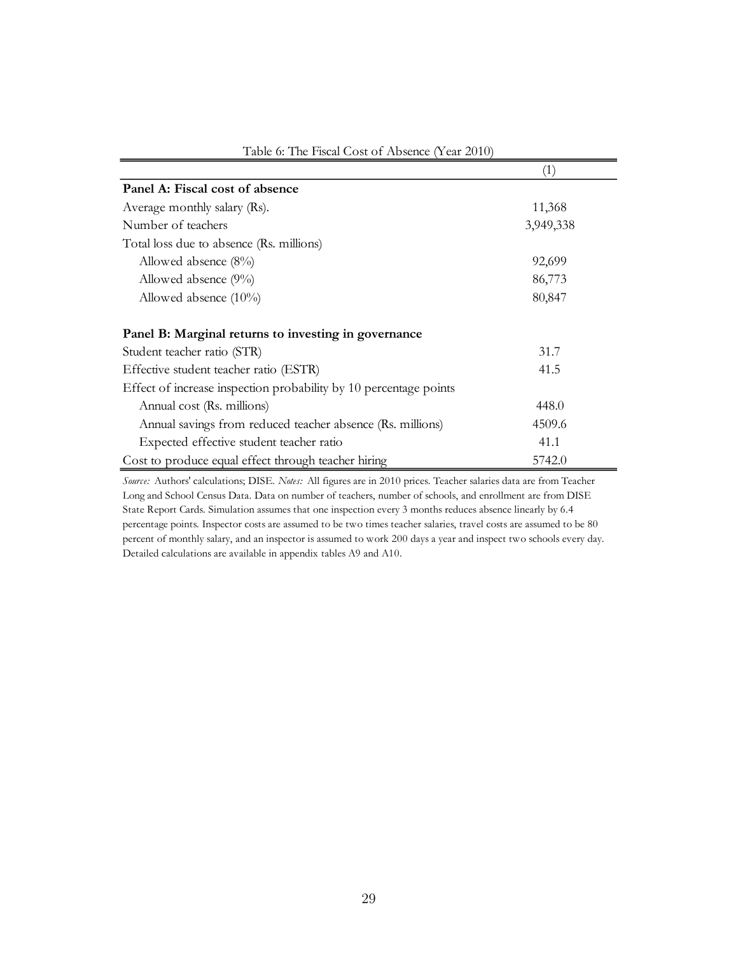|                                                                   | $\left( 1\right)$ |
|-------------------------------------------------------------------|-------------------|
| Panel A: Fiscal cost of absence                                   |                   |
| Average monthly salary (Rs).                                      | 11,368            |
| Number of teachers                                                | 3,949,338         |
| Total loss due to absence (Rs. millions)                          |                   |
| Allowed absence $(8\%)$                                           | 92,699            |
| Allowed absence $(9\%)$                                           | 86,773            |
| Allowed absence $(10\%)$                                          | 80,847            |
| Panel B: Marginal returns to investing in governance              |                   |
| Student teacher ratio (STR)                                       | 31.7              |
| Effective student teacher ratio (ESTR)                            | 41.5              |
| Effect of increase inspection probability by 10 percentage points |                   |
| Annual cost (Rs. millions)                                        | 448.0             |
| Annual savings from reduced teacher absence (Rs. millions)        | 4509.6            |
| Expected effective student teacher ratio                          | 41.1              |
| Cost to produce equal effect through teacher hiring               | 5742.0            |

Table 6: The Fiscal Cost of Absence (Year 2010)

*Source:* Authors' calculations; DISE. *Notes:* All figures are in 2010 prices. Teacher salaries data are from Teacher Long and School Census Data. Data on number of teachers, number of schools, and enrollment are from DISE State Report Cards. Simulation assumes that one inspection every 3 months reduces absence linearly by 6.4 percentage points. Inspector costs are assumed to be two times teacher salaries, travel costs are assumed to be 80 percent of monthly salary, and an inspector is assumed to work 200 days a year and inspect two schools every day. Detailed calculations are available in appendix tables A9 and A10.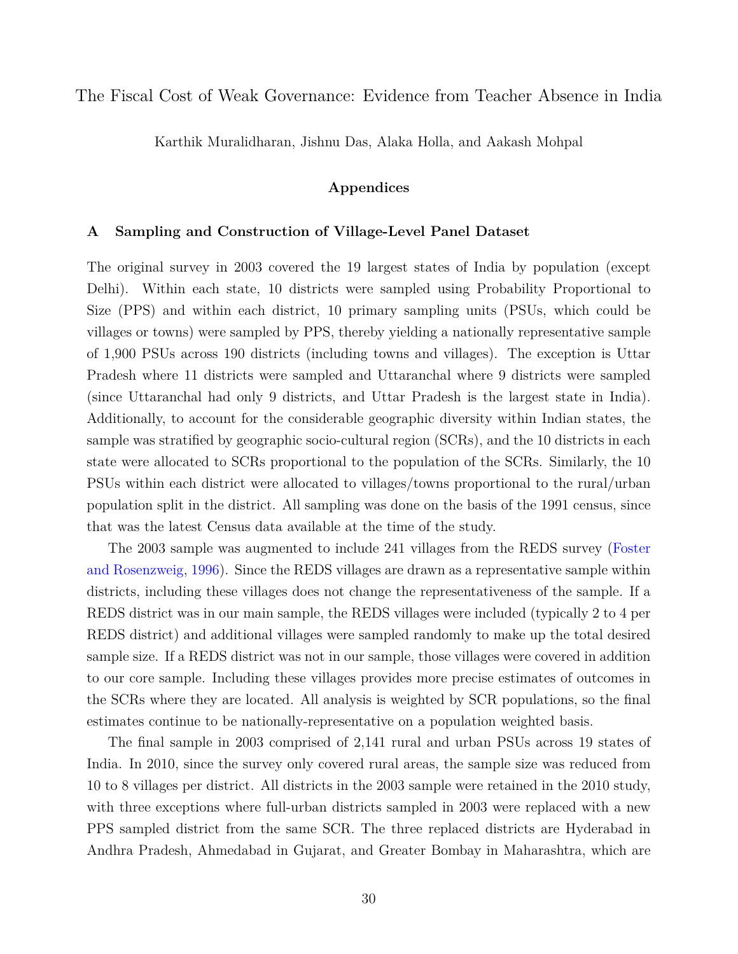The Fiscal Cost of Weak Governance: Evidence from Teacher Absence in India

Karthik Muralidharan, Jishnu Das, Alaka Holla, and Aakash Mohpal

## **Appendices**

## **A Sampling and Construction of Village-Level Panel Dataset**

The original survey in 2003 covered the 19 largest states of India by population (except Delhi). Within each state, 10 districts were sampled using Probability Proportional to Size (PPS) and within each district, 10 primary sampling units (PSUs, which could be villages or towns) were sampled by PPS, thereby yielding a nationally representative sample of 1,900 PSUs across 190 districts (including towns and villages). The exception is Uttar Pradesh where 11 districts were sampled and Uttaranchal where 9 districts were sampled (since Uttaranchal had only 9 districts, and Uttar Pradesh is the largest state in India). Additionally, to account for the considerable geographic diversity within Indian states, the sample was stratified by geographic socio-cultural region (SCRs), and the 10 districts in each state were allocated to SCRs proportional to the population of the SCRs. Similarly, the 10 PSUs within each district were allocated to villages/towns proportional to the rural/urban population split in the district. All sampling was done on the basis of the 1991 census, since that was the latest Census data available at the time of the study.

The 2003 sample was augmented to include 241 villages from the REDS survey [\(Foster](#page-23-17) [and Rosenzweig,](#page-23-17) [1996\)](#page-23-17). Since the REDS villages are drawn as a representative sample within districts, including these villages does not change the representativeness of the sample. If a REDS district was in our main sample, the REDS villages were included (typically 2 to 4 per REDS district) and additional villages were sampled randomly to make up the total desired sample size. If a REDS district was not in our sample, those villages were covered in addition to our core sample. Including these villages provides more precise estimates of outcomes in the SCRs where they are located. All analysis is weighted by SCR populations, so the final estimates continue to be nationally-representative on a population weighted basis.

The final sample in 2003 comprised of 2,141 rural and urban PSUs across 19 states of India. In 2010, since the survey only covered rural areas, the sample size was reduced from 10 to 8 villages per district. All districts in the 2003 sample were retained in the 2010 study, with three exceptions where full-urban districts sampled in 2003 were replaced with a new PPS sampled district from the same SCR. The three replaced districts are Hyderabad in Andhra Pradesh, Ahmedabad in Gujarat, and Greater Bombay in Maharashtra, which are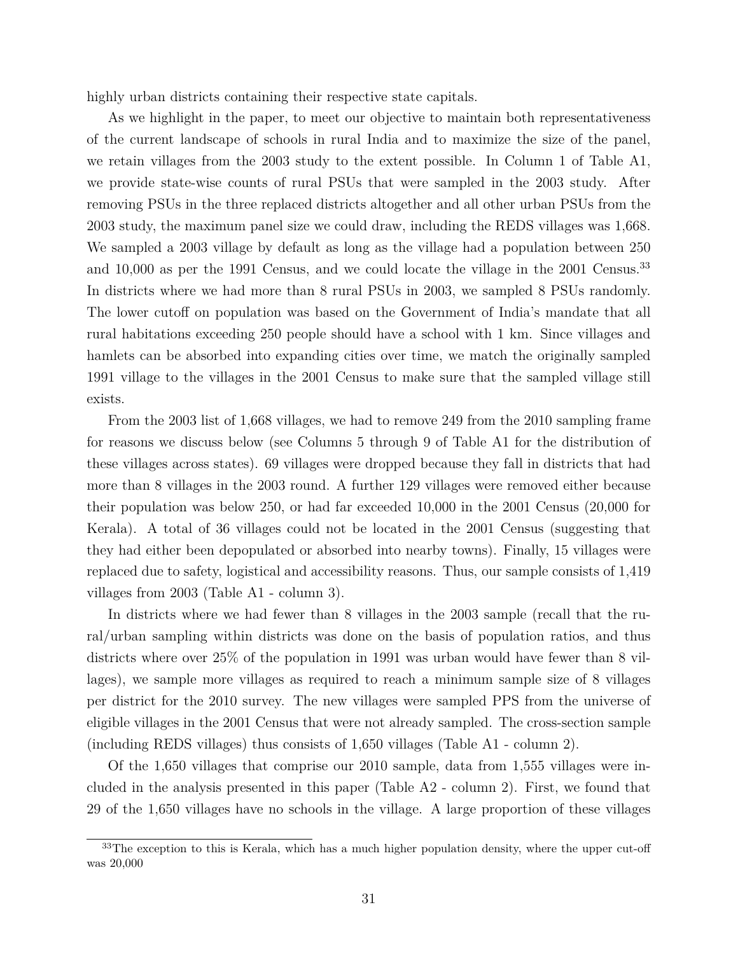highly urban districts containing their respective state capitals.

As we highlight in the paper, to meet our objective to maintain both representativeness of the current landscape of schools in rural India and to maximize the size of the panel, we retain villages from the 2003 study to the extent possible. In Column 1 of Table A1, we provide state-wise counts of rural PSUs that were sampled in the 2003 study. After removing PSUs in the three replaced districts altogether and all other urban PSUs from the 2003 study, the maximum panel size we could draw, including the REDS villages was 1,668. We sampled a 2003 village by default as long as the village had a population between 250 and 10,000 as per the 1991 Census, and we could locate the village in the 2001 Census.<sup>[33](#page-0-0)</sup> In districts where we had more than 8 rural PSUs in 2003, we sampled 8 PSUs randomly. The lower cutoff on population was based on the Government of India's mandate that all rural habitations exceeding 250 people should have a school with 1 km. Since villages and hamlets can be absorbed into expanding cities over time, we match the originally sampled 1991 village to the villages in the 2001 Census to make sure that the sampled village still exists.

From the 2003 list of 1,668 villages, we had to remove 249 from the 2010 sampling frame for reasons we discuss below (see Columns 5 through 9 of Table A1 for the distribution of these villages across states). 69 villages were dropped because they fall in districts that had more than 8 villages in the 2003 round. A further 129 villages were removed either because their population was below 250, or had far exceeded 10,000 in the 2001 Census (20,000 for Kerala). A total of 36 villages could not be located in the 2001 Census (suggesting that they had either been depopulated or absorbed into nearby towns). Finally, 15 villages were replaced due to safety, logistical and accessibility reasons. Thus, our sample consists of 1,419 villages from 2003 (Table A1 - column 3).

In districts where we had fewer than 8 villages in the 2003 sample (recall that the rural/urban sampling within districts was done on the basis of population ratios, and thus districts where over 25% of the population in 1991 was urban would have fewer than 8 villages), we sample more villages as required to reach a minimum sample size of 8 villages per district for the 2010 survey. The new villages were sampled PPS from the universe of eligible villages in the 2001 Census that were not already sampled. The cross-section sample (including REDS villages) thus consists of 1,650 villages (Table A1 - column 2).

Of the 1,650 villages that comprise our 2010 sample, data from 1,555 villages were included in the analysis presented in this paper (Table A2 - column 2). First, we found that 29 of the 1,650 villages have no schools in the village. A large proportion of these villages

 $33$ The exception to this is Kerala, which has a much higher population density, where the upper cut-off was 20,000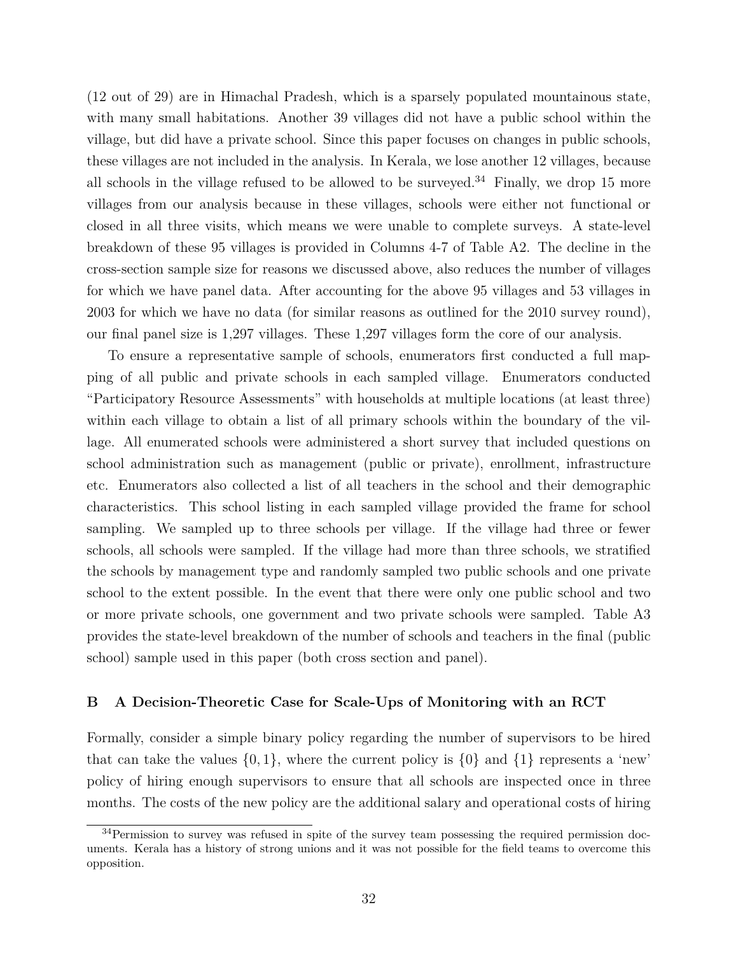(12 out of 29) are in Himachal Pradesh, which is a sparsely populated mountainous state, with many small habitations. Another 39 villages did not have a public school within the village, but did have a private school. Since this paper focuses on changes in public schools, these villages are not included in the analysis. In Kerala, we lose another 12 villages, because all schools in the village refused to be allowed to be surveyed.<sup>[34](#page-0-0)</sup> Finally, we drop 15 more villages from our analysis because in these villages, schools were either not functional or closed in all three visits, which means we were unable to complete surveys. A state-level breakdown of these 95 villages is provided in Columns 4-7 of Table A2. The decline in the cross-section sample size for reasons we discussed above, also reduces the number of villages for which we have panel data. After accounting for the above 95 villages and 53 villages in 2003 for which we have no data (for similar reasons as outlined for the 2010 survey round), our final panel size is 1,297 villages. These 1,297 villages form the core of our analysis.

To ensure a representative sample of schools, enumerators first conducted a full mapping of all public and private schools in each sampled village. Enumerators conducted "Participatory Resource Assessments" with households at multiple locations (at least three) within each village to obtain a list of all primary schools within the boundary of the village. All enumerated schools were administered a short survey that included questions on school administration such as management (public or private), enrollment, infrastructure etc. Enumerators also collected a list of all teachers in the school and their demographic characteristics. This school listing in each sampled village provided the frame for school sampling. We sampled up to three schools per village. If the village had three or fewer schools, all schools were sampled. If the village had more than three schools, we stratified the schools by management type and randomly sampled two public schools and one private school to the extent possible. In the event that there were only one public school and two or more private schools, one government and two private schools were sampled. Table A3 provides the state-level breakdown of the number of schools and teachers in the final (public school) sample used in this paper (both cross section and panel).

## **B A Decision-Theoretic Case for Scale-Ups of Monitoring with an RCT**

Formally, consider a simple binary policy regarding the number of supervisors to be hired that can take the values  $\{0,1\}$ , where the current policy is  $\{0\}$  and  $\{1\}$  represents a 'new' policy of hiring enough supervisors to ensure that all schools are inspected once in three months. The costs of the new policy are the additional salary and operational costs of hiring

<sup>34</sup>Permission to survey was refused in spite of the survey team possessing the required permission documents. Kerala has a history of strong unions and it was not possible for the field teams to overcome this opposition.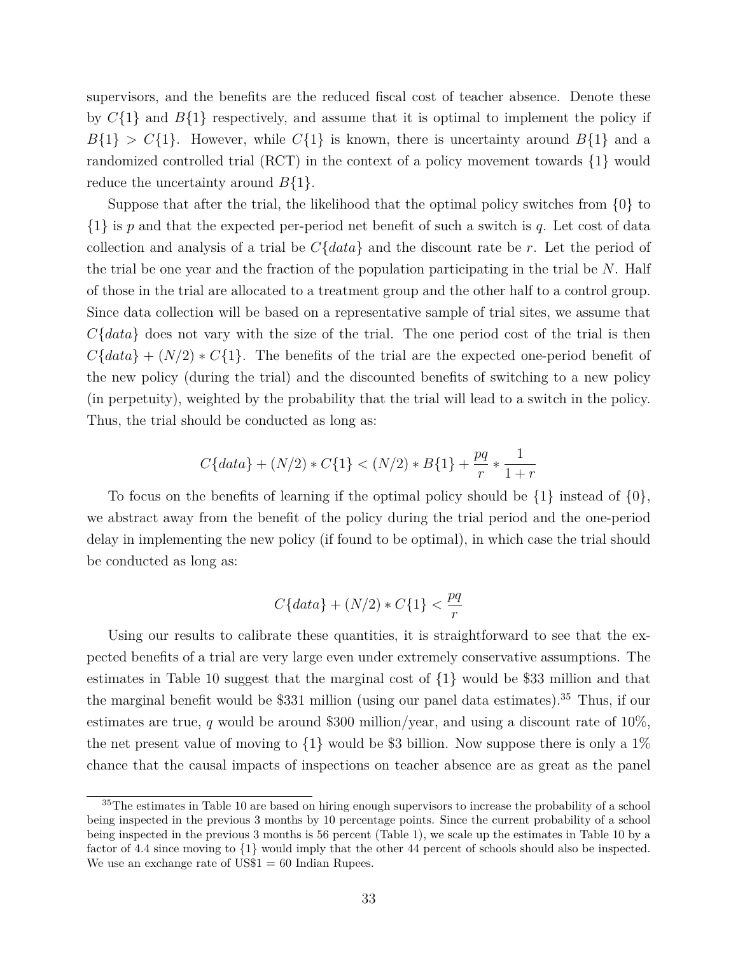supervisors, and the benefits are the reduced fiscal cost of teacher absence. Denote these by *C*{1} and *B*{1} respectively, and assume that it is optimal to implement the policy if  $B\{1\}$  >  $C\{1\}$ . However, while  $C\{1\}$  is known, there is uncertainty around  $B\{1\}$  and a randomized controlled trial (RCT) in the context of a policy movement towards {1} would reduce the uncertainty around *B*{1}.

Suppose that after the trial, the likelihood that the optimal policy switches from {0} to {1} is *p* and that the expected per-period net benefit of such a switch is *q*. Let cost of data collection and analysis of a trial be *C*{*data*} and the discount rate be *r*. Let the period of the trial be one year and the fraction of the population participating in the trial be *N*. Half of those in the trial are allocated to a treatment group and the other half to a control group. Since data collection will be based on a representative sample of trial sites, we assume that *C*{*data*} does not vary with the size of the trial. The one period cost of the trial is then  $C\{data\} + (N/2) * C\{1\}$ . The benefits of the trial are the expected one-period benefit of the new policy (during the trial) and the discounted benefits of switching to a new policy (in perpetuity), weighted by the probability that the trial will lead to a switch in the policy. Thus, the trial should be conducted as long as:

$$
C\{data\} + (N/2) * C\{1\} < (N/2) * B\{1\} + \frac{pq}{r} * \frac{1}{1+r}
$$

To focus on the benefits of learning if the optimal policy should be  $\{1\}$  instead of  $\{0\}$ , we abstract away from the benefit of the policy during the trial period and the one-period delay in implementing the new policy (if found to be optimal), in which case the trial should be conducted as long as:

$$
C\{data\}+(N/2)*C\{1\}<\frac{pq}{r}
$$

Using our results to calibrate these quantities, it is straightforward to see that the expected benefits of a trial are very large even under extremely conservative assumptions. The estimates in Table 10 suggest that the marginal cost of {1} would be \$33 million and that the marginal benefit would be \$331 million (using our panel data estimates).[35](#page-0-0) Thus, if our estimates are true, *q* would be around \$300 million/year, and using a discount rate of 10%, the net present value of moving to  $\{1\}$  would be \$3 billion. Now suppose there is only a 1% chance that the causal impacts of inspections on teacher absence are as great as the panel

<sup>35</sup>The estimates in Table 10 are based on hiring enough supervisors to increase the probability of a school being inspected in the previous 3 months by 10 percentage points. Since the current probability of a school being inspected in the previous 3 months is 56 percent (Table 1), we scale up the estimates in Table 10 by a factor of 4.4 since moving to {1} would imply that the other 44 percent of schools should also be inspected. We use an exchange rate of  $\text{USS1} = 60$  Indian Rupees.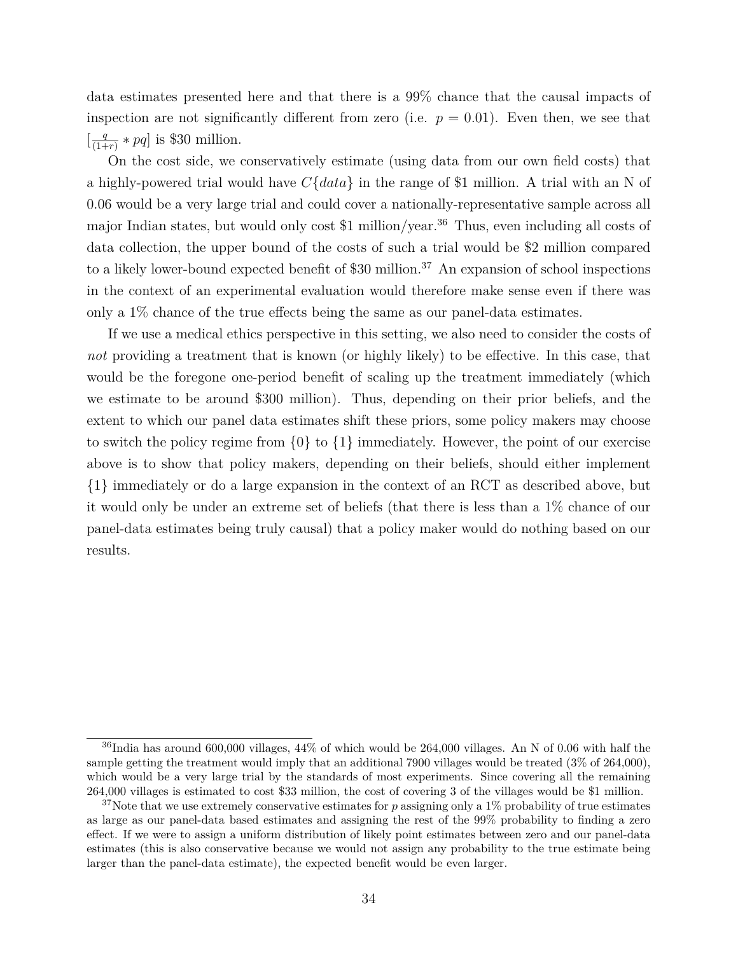data estimates presented here and that there is a 99% chance that the causal impacts of inspection are not significantly different from zero (i.e.  $p = 0.01$ ). Even then, we see that  $\left[\frac{q}{(1+q)}\right]$  $\frac{q}{(1+r)} * pq$  is \$30 million.

On the cost side, we conservatively estimate (using data from our own field costs) that a highly-powered trial would have *C*{*data*} in the range of \$1 million. A trial with an N of 0.06 would be a very large trial and could cover a nationally-representative sample across all major Indian states, but would only cost \$1 million/year.<sup>[36](#page-0-0)</sup> Thus, even including all costs of data collection, the upper bound of the costs of such a trial would be \$2 million compared to a likely lower-bound expected benefit of \$30 million.<sup>[37](#page-0-0)</sup> An expansion of school inspections in the context of an experimental evaluation would therefore make sense even if there was only a 1% chance of the true effects being the same as our panel-data estimates.

If we use a medical ethics perspective in this setting, we also need to consider the costs of *not* providing a treatment that is known (or highly likely) to be effective. In this case, that would be the foregone one-period benefit of scaling up the treatment immediately (which we estimate to be around \$300 million). Thus, depending on their prior beliefs, and the extent to which our panel data estimates shift these priors, some policy makers may choose to switch the policy regime from {0} to {1} immediately. However, the point of our exercise above is to show that policy makers, depending on their beliefs, should either implement {1} immediately or do a large expansion in the context of an RCT as described above, but it would only be under an extreme set of beliefs (that there is less than a 1% chance of our panel-data estimates being truly causal) that a policy maker would do nothing based on our results.

 $36$ India has around 600,000 villages,  $44\%$  of which would be 264,000 villages. An N of 0.06 with half the sample getting the treatment would imply that an additional 7900 villages would be treated (3% of 264,000), which would be a very large trial by the standards of most experiments. Since covering all the remaining 264,000 villages is estimated to cost \$33 million, the cost of covering 3 of the villages would be \$1 million.

<sup>&</sup>lt;sup>37</sup>Note that we use extremely conservative estimates for p assigning only a 1% probability of true estimates as large as our panel-data based estimates and assigning the rest of the 99% probability to finding a zero effect. If we were to assign a uniform distribution of likely point estimates between zero and our panel-data estimates (this is also conservative because we would not assign any probability to the true estimate being larger than the panel-data estimate), the expected benefit would be even larger.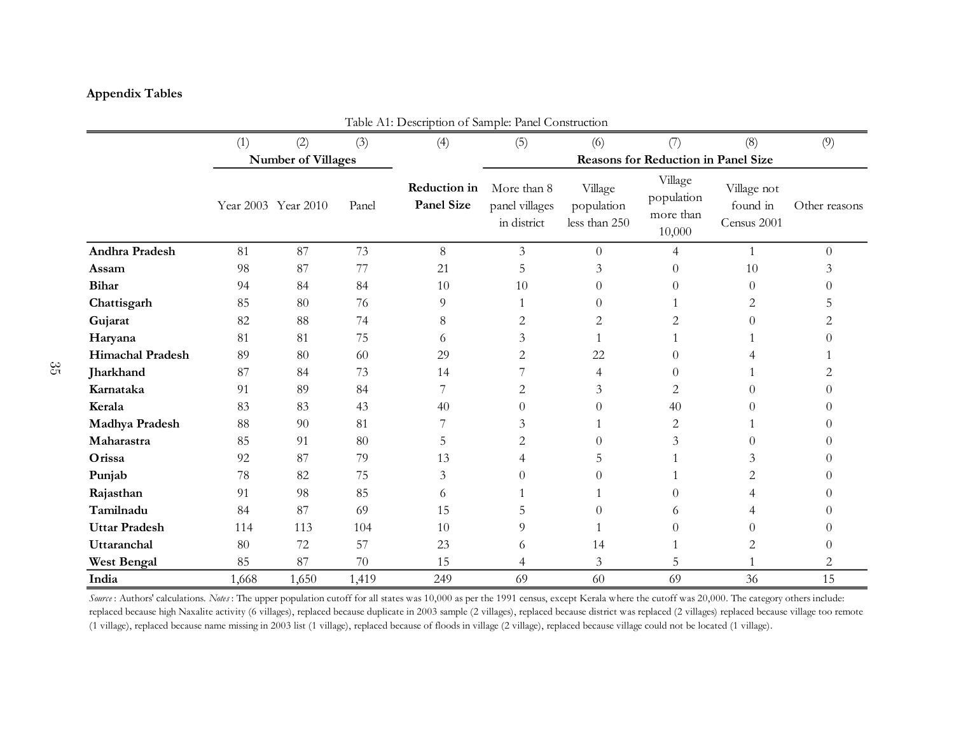# **Appendix Tables**

|                         | Table A1: Description of Sample: Panel Construction |                           |       |                                   |                                              |                                        |                                              |                                        |               |  |  |  |
|-------------------------|-----------------------------------------------------|---------------------------|-------|-----------------------------------|----------------------------------------------|----------------------------------------|----------------------------------------------|----------------------------------------|---------------|--|--|--|
|                         | (1)                                                 | (2)                       | (3)   | (4)                               | (5)                                          | (6)                                    | (7)                                          | (8)                                    | (9)           |  |  |  |
|                         |                                                     | <b>Number of Villages</b> |       |                                   |                                              |                                        | Reasons for Reduction in Panel Size          |                                        |               |  |  |  |
|                         |                                                     | Year 2003 Year 2010       | Panel | Reduction in<br><b>Panel Size</b> | More than 8<br>panel villages<br>in district | Village<br>population<br>less than 250 | Village<br>population<br>more than<br>10,000 | Village not<br>found in<br>Census 2001 | Other reasons |  |  |  |
| Andhra Pradesh          | 81                                                  | 87                        | 73    | $8\,$                             | $\mathfrak{Z}$                               | $\overline{0}$                         | $\overline{4}$                               | $\mathbf{1}$                           | $\Omega$      |  |  |  |
| Assam                   | 98                                                  | 87                        | 77    | 21                                | 5                                            | 3                                      | $\theta$                                     | 10                                     |               |  |  |  |
| <b>Bihar</b>            | 94                                                  | 84                        | 84    | 10                                | 10                                           | 0                                      | $\Omega$                                     | $\Omega$                               |               |  |  |  |
| Chattisgarh             | 85                                                  | 80                        | 76    | 9                                 | 1                                            | 0                                      |                                              | 2                                      | $\mathcal{L}$ |  |  |  |
| Gujarat                 | 82                                                  | 88                        | 74    | 8                                 | 2                                            | 2                                      | 2                                            | $\Omega$                               | 2             |  |  |  |
| Haryana                 | 81                                                  | 81                        | 75    | 6                                 | 3                                            |                                        |                                              |                                        |               |  |  |  |
| <b>Himachal Pradesh</b> | 89                                                  | 80                        | 60    | 29                                | 2                                            | 22                                     | $\Omega$                                     |                                        |               |  |  |  |
| Jharkhand               | 87                                                  | 84                        | 73    | 14                                | 7                                            | 4                                      | $\Omega$                                     |                                        | 2             |  |  |  |
| Karnataka               | 91                                                  | 89                        | 84    | 7                                 | 2                                            | 3                                      | 2                                            | $\Omega$                               |               |  |  |  |
| Kerala                  | 83                                                  | 83                        | 43    | 40                                | $\Omega$                                     | 0                                      | 40                                           | $\Omega$                               |               |  |  |  |
| Madhya Pradesh          | 88                                                  | 90                        | 81    | 7                                 | 3                                            |                                        | $\overline{2}$                               |                                        |               |  |  |  |
| Maharastra              | 85                                                  | 91                        | 80    | 5                                 | 2                                            | 0                                      | 3                                            | $\Omega$                               |               |  |  |  |
| Orissa                  | 92                                                  | 87                        | 79    | 13                                | 4                                            | 5                                      |                                              | 3                                      |               |  |  |  |
| Punjab                  | 78                                                  | 82                        | 75    | 3                                 | $\theta$                                     | 0                                      |                                              | 2                                      |               |  |  |  |
| Rajasthan               | 91                                                  | 98                        | 85    | 6                                 |                                              |                                        | $\Omega$                                     |                                        |               |  |  |  |
| Tamilnadu               | 84                                                  | 87                        | 69    | 15                                | 5                                            |                                        | 6                                            | 4                                      |               |  |  |  |
| <b>Uttar Pradesh</b>    | 114                                                 | 113                       | 104   | 10                                | 9                                            |                                        | $\Omega$                                     | $\Omega$                               |               |  |  |  |
| Uttaranchal             | 80                                                  | 72                        | 57    | 23                                | 6                                            | 14                                     |                                              | $\overline{c}$                         |               |  |  |  |
| <b>West Bengal</b>      | 85                                                  | 87                        | 70    | 15                                | 4                                            | 3                                      | 5                                            |                                        | 2             |  |  |  |
| India                   | 1,668                                               | 1,650                     | 1,419 | 249                               | 69                                           | 60                                     | 69                                           | 36                                     | 15            |  |  |  |

*Source* : Authors' calculations. *Notes* : The upper population cutoff for all states was 10,000 as per the 1991 census, except Kerala where the cutoff was 20,000. The category others include: replaced because high Naxalite activity (6 villages), replaced because duplicate in 2003 sample (2 villages), replaced because district was replaced (2 villages) replaced because village too remote (1 village), replaced because name missing in 2003 list (1 village), replaced because of floods in village (2 village), replaced because village could not be located (1 village).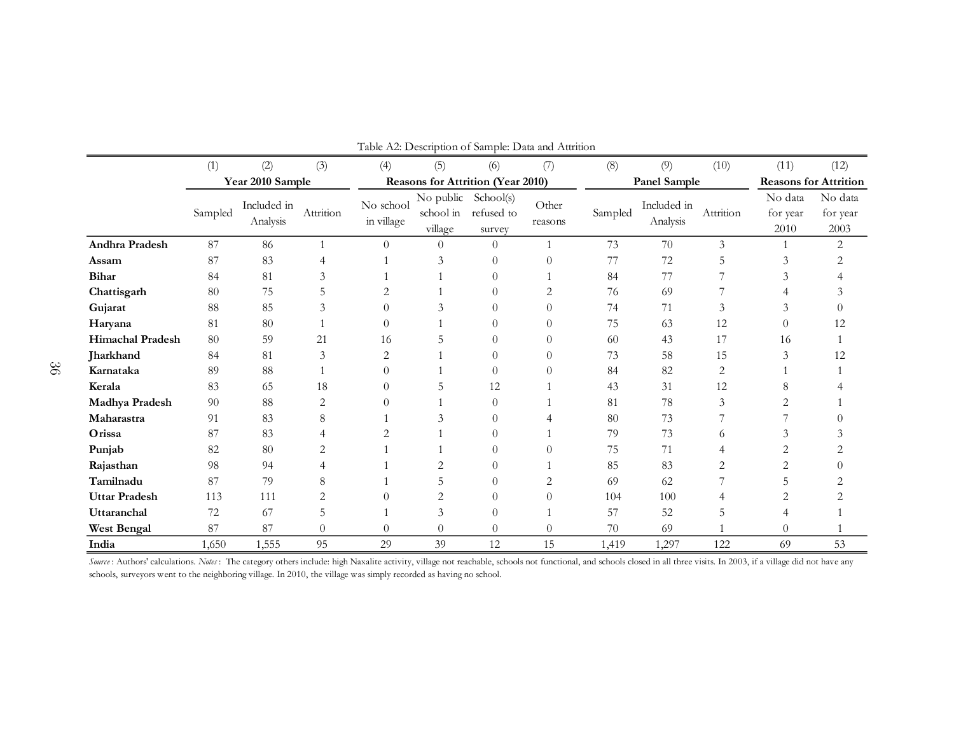|                         |         |                         |              | r abie <i>The.</i> Description or bampie. D'ata and Tuttituon |                                          |                                          |                  |         |                         |                |                             |                              |
|-------------------------|---------|-------------------------|--------------|---------------------------------------------------------------|------------------------------------------|------------------------------------------|------------------|---------|-------------------------|----------------|-----------------------------|------------------------------|
|                         | (1)     | (2)                     | (3)          | (4)                                                           | (5)                                      | (6)                                      | (7)              | (8)     | (9)                     | (10)           | (11)                        | (12)                         |
|                         |         | Year 2010 Sample        |              |                                                               |                                          | <b>Reasons for Attrition (Year 2010)</b> |                  |         | Panel Sample            |                |                             | <b>Reasons for Attrition</b> |
|                         | Sampled | Included in<br>Analysis | Attrition    | No school<br>in village                                       | No public<br>school in<br>$\it{village}$ | School(s)<br>refused to<br>survey        | Other<br>reasons | Sampled | Included in<br>Analysis | Attrition      | No data<br>for year<br>2010 | No data<br>for year<br>2003  |
| <b>Andhra Pradesh</b>   | 87      | 86                      | $\mathbf{1}$ | $\theta$                                                      | $\Omega$                                 | $\theta$                                 | $\mathbf{1}$     | 73      | 70                      | 3              |                             | 2                            |
| Assam                   | 87      | 83                      | 4            |                                                               | 3                                        | 0                                        | $\theta$         | 77      | 72                      | 5              | 3                           | 2                            |
| <b>Bihar</b>            | 84      | 81                      | 3            |                                                               |                                          | 0                                        |                  | 84      | 77                      |                | 3                           |                              |
| Chattisgarh             | 80      | 75                      | 5            |                                                               |                                          | 0                                        |                  | 76      | 69                      |                |                             |                              |
| Gujarat                 | 88      | 85                      | 3            | $\Omega$                                                      | 3                                        | 0                                        | $\Omega$         | 74      | 71                      | 3              | 3                           |                              |
| Haryana                 | 81      | 80                      |              | $\Omega$                                                      |                                          | 0                                        | $\Omega$         | 75      | 63                      | 12             | $\Omega$                    | 12                           |
| <b>Himachal Pradesh</b> | 80      | 59                      | 21           | 16                                                            | 5                                        | $\theta$                                 | $\Omega$         | 60      | 43                      | 17             | 16                          |                              |
| Jharkhand               | 84      | 81                      | 3            | $\overline{c}$                                                |                                          | 0                                        | $\Omega$         | 73      | 58                      | 15             | 3                           | 12                           |
| Karnataka               | 89      | 88                      |              | $\theta$                                                      |                                          | $\theta$                                 | $\Omega$         | 84      | 82                      | $\overline{2}$ |                             |                              |
| Kerala                  | 83      | 65                      | 18           | $\Omega$                                                      | 5                                        | 12                                       |                  | 43      | 31                      | 12             | 8                           |                              |
| Madhya Pradesh          | $90\,$  | 88                      | 2            | $\Omega$                                                      |                                          | 0                                        |                  | 81      | 78                      | 3              | 2                           |                              |
| Maharastra              | 91      | 83                      | 8            |                                                               |                                          | 0                                        |                  | 80      | 73                      |                |                             |                              |
| Orissa                  | 87      | 83                      |              |                                                               |                                          | 0                                        |                  | 79      | 73                      | 6              |                             |                              |
| Punjab                  | 82      | 80                      |              |                                                               |                                          | 0                                        | 0                | 75      | 71                      |                | 2                           |                              |
| Rajasthan               | 98      | 94                      |              |                                                               |                                          | 0                                        |                  | 85      | 83                      |                | $\overline{2}$              |                              |
| Tamilnadu               | 87      | 79                      | 8            |                                                               | 5                                        | 0                                        | 2                | 69      | 62                      |                | 5                           |                              |
| <b>Uttar Pradesh</b>    | 113     | 111                     |              |                                                               | 2                                        | 0                                        | $\Omega$         | 104     | 100                     |                |                             |                              |
| Uttaranchal             | 72      | 67                      | 5            |                                                               | 3                                        | $\Omega$                                 |                  | 57      | 52                      | 5              | 4                           |                              |
| <b>West Bengal</b>      | 87      | 87                      | $\theta$     | $\theta$                                                      | $\Omega$                                 | $\theta$                                 | $\overline{0}$   | 70      | 69                      |                | $\Omega$                    |                              |
| India                   | 1,650   | 1,555                   | 95           | 29                                                            | 39                                       | 12                                       | 15               | 1,419   | 1,297                   | 122            | 69                          | 53                           |

Table A2: Description of Sample: Data and Attrition

Source: Authors' calculations. Notes: The category others include: high Naxalite activity, village not reachable, schools not functional, and schools closed in all three visits. In 2003, if a village did not have any schools, surveyors went to the neighboring village. In 2010, the village was simply recorded as having no school.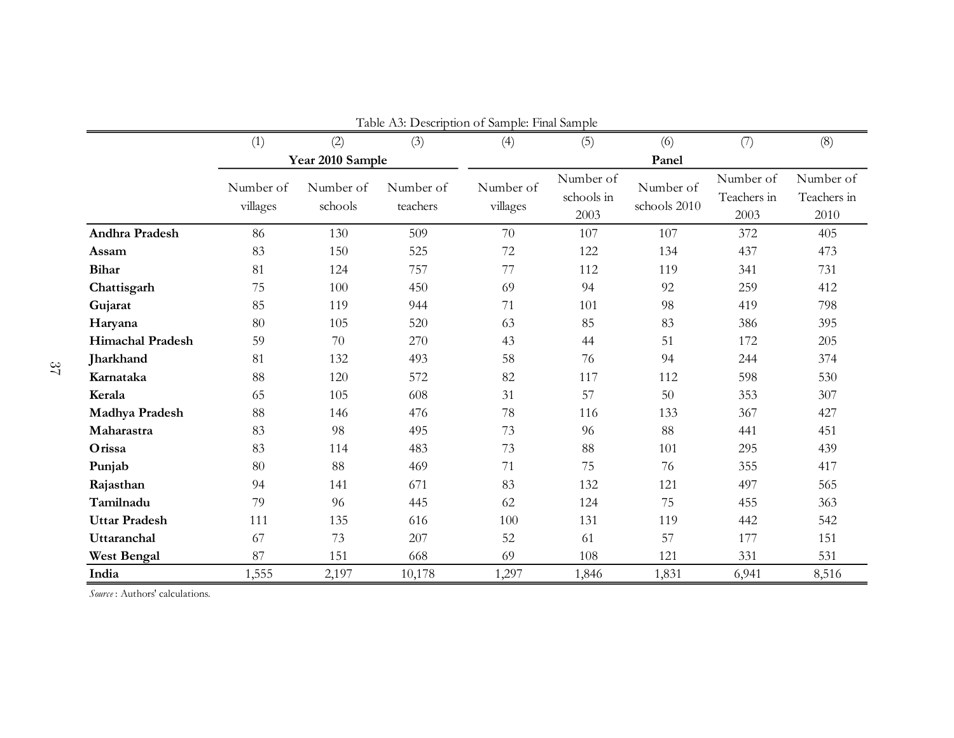|                         | Table A3: Description of Sample: Final Sample |                      |                       |                       |                                 |                           |                                  |                                  |  |  |  |  |
|-------------------------|-----------------------------------------------|----------------------|-----------------------|-----------------------|---------------------------------|---------------------------|----------------------------------|----------------------------------|--|--|--|--|
|                         | (1)                                           | (2)                  | (3)                   | (4)                   | (5)                             | (6)                       | (7)                              | (8)                              |  |  |  |  |
|                         |                                               | Year 2010 Sample     |                       |                       |                                 | Panel                     |                                  |                                  |  |  |  |  |
|                         | Number of<br>villages                         | Number of<br>schools | Number of<br>teachers | Number of<br>villages | Number of<br>schools in<br>2003 | Number of<br>schools 2010 | Number of<br>Teachers in<br>2003 | Number of<br>Teachers in<br>2010 |  |  |  |  |
| Andhra Pradesh          | 86                                            | 130                  | 509                   | 70                    | 107                             | 107                       | 372                              | 405                              |  |  |  |  |
| Assam                   | 83                                            | 150                  | 525                   | 72                    | 122                             | 134                       | 437                              | 473                              |  |  |  |  |
| <b>Bihar</b>            | 81                                            | 124                  | 757                   | 77                    | 112                             | 119                       | 341                              | 731                              |  |  |  |  |
| Chattisgarh             | 75                                            | 100                  | 450                   | 69                    | 94                              | 92                        | 259                              | 412                              |  |  |  |  |
| Gujarat                 | 85                                            | 119                  | 944                   | 71                    | 101                             | 98                        | 419                              | 798                              |  |  |  |  |
| Haryana                 | 80                                            | 105                  | 520                   | 63                    | 85                              | 83                        | 386                              | 395                              |  |  |  |  |
| <b>Himachal Pradesh</b> | 59                                            | 70                   | 270                   | 43                    | 44                              | 51                        | 172                              | 205                              |  |  |  |  |
| <b>Jharkhand</b>        | 81                                            | 132                  | 493                   | 58                    | 76                              | 94                        | 244                              | 374                              |  |  |  |  |
| Karnataka               | 88                                            | 120                  | 572                   | 82                    | 117                             | 112                       | 598                              | 530                              |  |  |  |  |
| Kerala                  | 65                                            | 105                  | 608                   | 31                    | 57                              | 50                        | 353                              | 307                              |  |  |  |  |
| Madhya Pradesh          | 88                                            | 146                  | 476                   | 78                    | 116                             | 133                       | 367                              | 427                              |  |  |  |  |
| Maharastra              | 83                                            | 98                   | 495                   | 73                    | 96                              | 88                        | 441                              | 451                              |  |  |  |  |
| Orissa                  | 83                                            | 114                  | 483                   | 73                    | 88                              | 101                       | 295                              | 439                              |  |  |  |  |
| Punjab                  | 80                                            | 88                   | 469                   | 71                    | 75                              | 76                        | 355                              | 417                              |  |  |  |  |
| Rajasthan               | 94                                            | 141                  | 671                   | 83                    | 132                             | 121                       | 497                              | 565                              |  |  |  |  |
| Tamilnadu               | 79                                            | 96                   | 445                   | 62                    | 124                             | 75                        | 455                              | 363                              |  |  |  |  |
| <b>Uttar Pradesh</b>    | 111                                           | 135                  | 616                   | 100                   | 131                             | 119                       | 442                              | 542                              |  |  |  |  |
| Uttaranchal             | 67                                            | 73                   | 207                   | 52                    | 61                              | 57                        | 177                              | 151                              |  |  |  |  |
| <b>West Bengal</b>      | 87                                            | 151                  | 668                   | 69                    | 108                             | 121                       | 331                              | 531                              |  |  |  |  |
| India                   | 1,555                                         | 2,197                | 10,178                | 1,297                 | 1,846                           | 1,831                     | 6,941                            | 8,516                            |  |  |  |  |

*Source* : Authors' calculations.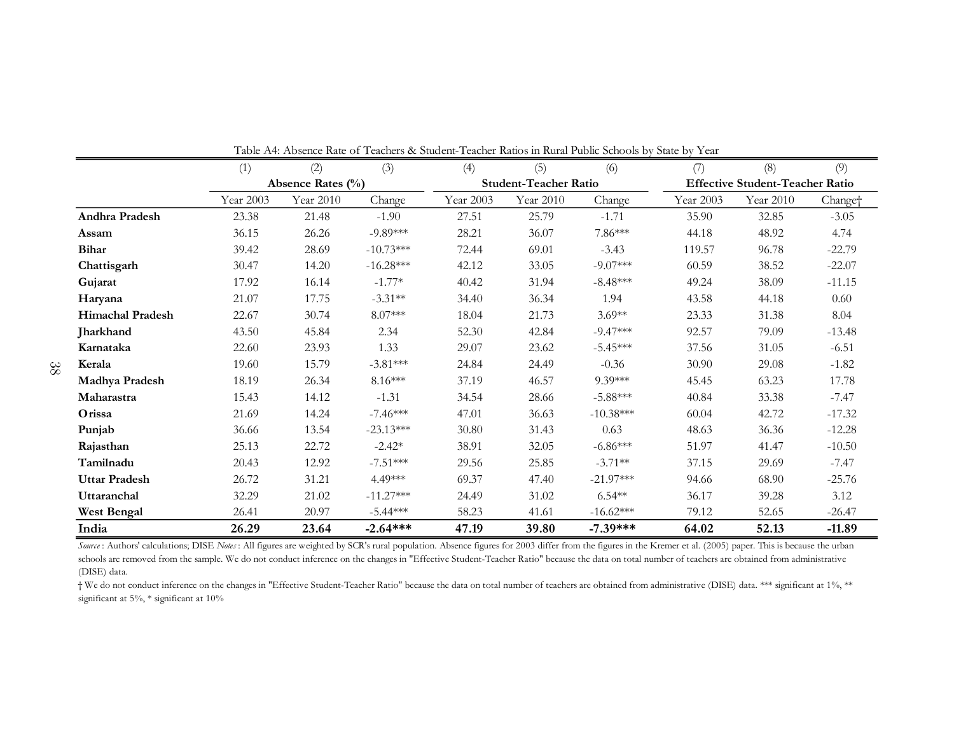|                                                                                                                                                                                                              | (1)       | (2)               | (3)         | (4)       | (5)                          | (6)         | (7)       | (8)                                    | (9)                 |
|--------------------------------------------------------------------------------------------------------------------------------------------------------------------------------------------------------------|-----------|-------------------|-------------|-----------|------------------------------|-------------|-----------|----------------------------------------|---------------------|
|                                                                                                                                                                                                              |           | Absence Rates (%) |             |           | <b>Student-Teacher Ratio</b> |             |           | <b>Effective Student-Teacher Ratio</b> |                     |
|                                                                                                                                                                                                              | Year 2003 | Year 2010         | Change      | Year 2003 | Year 2010                    | Change      | Year 2003 | Year 2010                              | Change <sup>+</sup> |
| <b>Andhra Pradesh</b>                                                                                                                                                                                        | 23.38     | 21.48             | $-1.90$     | 27.51     | 25.79                        | $-1.71$     | 35.90     | 32.85                                  | $-3.05$             |
| Assam                                                                                                                                                                                                        | 36.15     | 26.26             | $-9.89***$  | 28.21     | 36.07                        | 7.86***     | 44.18     | 48.92                                  | 4.74                |
| <b>Bihar</b>                                                                                                                                                                                                 | 39.42     | 28.69             | $-10.73***$ | 72.44     | 69.01                        | $-3.43$     | 119.57    | 96.78                                  | $-22.79$            |
| Chattisgarh                                                                                                                                                                                                  | 30.47     | 14.20             | $-16.28***$ | 42.12     | 33.05                        | $-9.07***$  | 60.59     | 38.52                                  | $-22.07$            |
| Gujarat                                                                                                                                                                                                      | 17.92     | 16.14             | $-1.77*$    | 40.42     | 31.94                        | $-8.48***$  | 49.24     | 38.09                                  | $-11.15$            |
| Haryana                                                                                                                                                                                                      | 21.07     | 17.75             | $-3.31**$   | 34.40     | 36.34                        | 1.94        | 43.58     | 44.18                                  | 0.60                |
| <b>Himachal Pradesh</b>                                                                                                                                                                                      | 22.67     | 30.74             | $8.07***$   | 18.04     | 21.73                        | $3.69**$    | 23.33     | 31.38                                  | 8.04                |
| Jharkhand                                                                                                                                                                                                    | 43.50     | 45.84             | 2.34        | 52.30     | 42.84                        | $-9.47***$  | 92.57     | 79.09                                  | $-13.48$            |
| Karnataka                                                                                                                                                                                                    | 22.60     | 23.93             | 1.33        | 29.07     | 23.62                        | $-5.45***$  | 37.56     | 31.05                                  | $-6.51$             |
| Kerala                                                                                                                                                                                                       | 19.60     | 15.79             | $-3.81***$  | 24.84     | 24.49                        | $-0.36$     | 30.90     | 29.08                                  | $-1.82$             |
| Madhya Pradesh                                                                                                                                                                                               | 18.19     | 26.34             | $8.16***$   | 37.19     | 46.57                        | 9.39***     | 45.45     | 63.23                                  | 17.78               |
| Maharastra                                                                                                                                                                                                   | 15.43     | 14.12             | $-1.31$     | 34.54     | 28.66                        | $-5.88***$  | 40.84     | 33.38                                  | $-7.47$             |
| Orissa                                                                                                                                                                                                       | 21.69     | 14.24             | $-7.46***$  | 47.01     | 36.63                        | $-10.38***$ | 60.04     | 42.72                                  | $-17.32$            |
| Punjab                                                                                                                                                                                                       | 36.66     | 13.54             | $-23.13***$ | 30.80     | 31.43                        | 0.63        | 48.63     | 36.36                                  | $-12.28$            |
| Rajasthan                                                                                                                                                                                                    | 25.13     | 22.72             | $-2.42*$    | 38.91     | 32.05                        | $-6.86***$  | 51.97     | 41.47                                  | $-10.50$            |
| Tamilnadu                                                                                                                                                                                                    | 20.43     | 12.92             | $-7.51***$  | 29.56     | 25.85                        | $-3.71**$   | 37.15     | 29.69                                  | $-7.47$             |
| <b>Uttar Pradesh</b>                                                                                                                                                                                         | 26.72     | 31.21             | 4.49***     | 69.37     | 47.40                        | $-21.97***$ | 94.66     | 68.90                                  | $-25.76$            |
| Uttaranchal                                                                                                                                                                                                  | 32.29     | 21.02             | $-11.27***$ | 24.49     | 31.02                        | $6.54***$   | 36.17     | 39.28                                  | 3.12                |
| <b>West Bengal</b>                                                                                                                                                                                           | 26.41     | 20.97             | $-5.44***$  | 58.23     | 41.61                        | $-16.62***$ | 79.12     | 52.65                                  | $-26.47$            |
| India                                                                                                                                                                                                        | 26.29     | 23.64             | $-2.64***$  | 47.19     | 39.80                        | $-7.39***$  | 64.02     | 52.13                                  | $-11.89$            |
| Source: Authors' calculations; DISE Notes: All figures are weighted by SCR's rural population. Absence figures for 2003 differ from the figures in the Kremer et al. (2005) paper. This is because the urban |           |                   |             |           |                              |             |           |                                        |                     |

Table A4: Absence Rate of Teachers & Student-Teacher Ratios in Rural Public Schools by State by Year

schools are removed from the sample. We do not conduct inference on the changes in "Effective Student-Teacher Ratio" because the data on total number of teachers are obtained from administrative (DISE) data.

 † We do not conduct inference on the changes in "Effective Student-Teacher Ratio" because the data on total number of teachers are obtained from administrative (DISE) data. \*\*\* significant at 1%, \*\* significant at 5%, \* significant at 10%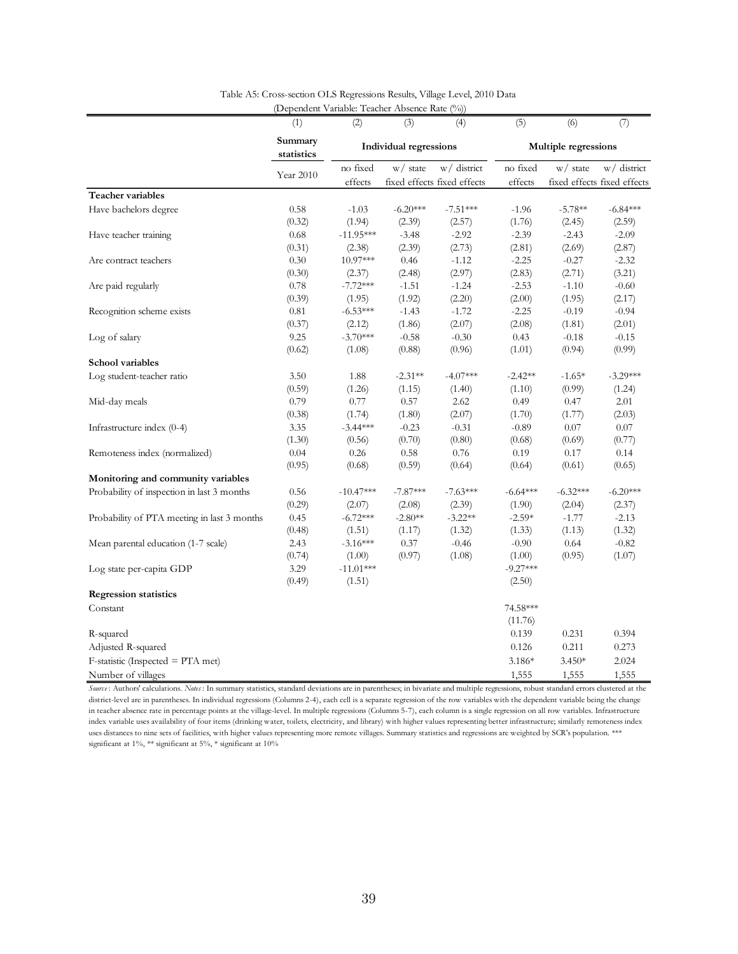| Summary<br><b>Individual regressions</b><br>Multiple regressions<br>statistics<br>no fixed<br>w/ district<br>no fixed<br>w/ district<br>w/ state<br>$w/$ state<br>Year 2010<br>fixed effects fixed effects<br>fixed effects fixed effects<br>effects<br>effects<br>Have bachelors degree<br>0.58<br>$-1.03$<br>$-6.20***$<br>$-1.96$<br>$-5.78**$<br>$-7.51***$<br>$-6.84***$<br>(1.76)<br>(0.32)<br>(1.94)<br>(2.39)<br>(2.57)<br>(2.45)<br>(2.59)<br>Have teacher training<br>0.68<br>$-11.95***$<br>$-3.48$<br>$-2.92$<br>$-2.39$<br>$-2.43$<br>$-2.09$<br>(0.31)<br>(2.39)<br>(2.73)<br>(2.81)<br>(2.69)<br>(2.87)<br>(2.38)<br>0.30<br>10.97***<br>$-2.25$<br>Are contract teachers<br>0.46<br>$-1.12$<br>$-0.27$<br>$-2.32$<br>(2.97)<br>(2.83)<br>(2.71)<br>(3.21)<br>(0.30)<br>(2.37)<br>(2.48)<br>0.78<br>$-7.72***$<br>$-1.24$<br>$-2.53$<br>Are paid regularly<br>$-1.51$<br>$-1.10$<br>$-0.60$<br>(0.39)<br>(1.95)<br>(1.92)<br>(2.20)<br>(2.00)<br>(1.95)<br>(2.17)<br>Recognition scheme exists<br>0.81<br>$-6.53***$<br>$-1.72$<br>$-2.25$<br>$-0.19$<br>$-0.94$<br>$-1.43$<br>(2.07)<br>(2.01)<br>(0.37)<br>(2.12)<br>(1.86)<br>(2.08)<br>(1.81)<br>$-3.70***$<br>9.25<br>$-0.58$<br>$-0.30$<br>0.43<br>$-0.18$<br>$-0.15$<br>Log of salary<br>(0.96)<br>(0.99)<br>(0.62)<br>(1.08)<br>(0.88)<br>(1.01)<br>(0.94)<br>Log student-teacher ratio<br>3.50<br>1.88<br>$-2.31**$<br>$-4.07***$<br>$-2.42**$<br>$-1.65*$<br>$-3.29***$<br>(0.59)<br>(1.26)<br>(0.99)<br>(1.15)<br>(1.40)<br>(1.10)<br>(1.24)<br>0.79<br>0.77<br>0.57<br>2.62<br>2.01<br>Mid-day meals<br>0.49<br>0.47<br>(0.38)<br>(1.74)<br>(1.80)<br>(2.07)<br>(1.70)<br>(1.77)<br>(2.03)<br>Infrastructure index (0-4)<br>3.35<br>$-3.44***$<br>$-0.23$<br>$-0.31$<br>$-0.89$<br>0.07<br>0.07<br>(1.30)<br>(0.70)<br>(0.80)<br>(0.77)<br>(0.56)<br>(0.68)<br>(0.69)<br>0.26<br>0.76<br>0.04<br>0.58<br>0.19<br>0.17<br>0.14<br>Remoteness index (normalized)<br>(0.68)<br>(0.95)<br>(0.59)<br>(0.64)<br>(0.64)<br>(0.61)<br>(0.65)<br>Monitoring and community variables<br>Probability of inspection in last 3 months<br>0.56<br>$-10.47***$<br>$-7.87***$<br>$-7.63***$<br>$-6.64***$<br>$-6.32***$<br>$-6.20***$<br>(0.29)<br>(2.39)<br>(2.04)<br>(2.37)<br>(2.07)<br>(2.08)<br>(1.90)<br>$-6.72***$<br>$-3.22**$<br>Probability of PTA meeting in last 3 months<br>0.45<br>$-2.80**$<br>$-2.59*$<br>$-1.77$<br>$-2.13$<br>(0.48)<br>(1.51)<br>(1.32)<br>(1.13)<br>(1.32)<br>(1.17)<br>(1.33)<br>2.43<br>$-3.16***$<br>0.37<br>$-0.46$<br>$-0.90$<br>0.64<br>$-0.82$<br>Mean parental education (1-7 scale)<br>(0.97)<br>(1.08)<br>(1.07)<br>(0.74)<br>(1.00)<br>(1.00)<br>(0.95)<br>3.29<br>$-11.01***$<br>$-9.27***$<br>Log state per-capita GDP<br>(0.49)<br>(1.51)<br>(2.50)<br><b>Regression statistics</b><br>74.58***<br>Constant<br>(11.76)<br>0.139<br>0.231<br>0.394<br>R-squared<br>0.211<br>0.273<br>Adjusted R-squared<br>0.126<br>$F$ -statistic (Inspected = PTA met)<br>3.186*<br>$3.450*$<br>2.024 |                         | (1) | (2) | (3) | (4) | (5) | (6) | (7) |
|-----------------------------------------------------------------------------------------------------------------------------------------------------------------------------------------------------------------------------------------------------------------------------------------------------------------------------------------------------------------------------------------------------------------------------------------------------------------------------------------------------------------------------------------------------------------------------------------------------------------------------------------------------------------------------------------------------------------------------------------------------------------------------------------------------------------------------------------------------------------------------------------------------------------------------------------------------------------------------------------------------------------------------------------------------------------------------------------------------------------------------------------------------------------------------------------------------------------------------------------------------------------------------------------------------------------------------------------------------------------------------------------------------------------------------------------------------------------------------------------------------------------------------------------------------------------------------------------------------------------------------------------------------------------------------------------------------------------------------------------------------------------------------------------------------------------------------------------------------------------------------------------------------------------------------------------------------------------------------------------------------------------------------------------------------------------------------------------------------------------------------------------------------------------------------------------------------------------------------------------------------------------------------------------------------------------------------------------------------------------------------------------------------------------------------------------------------------------------------------------------------------------------------------------------------------------------------------------------------------------------------------------------------------------------------------------------------------------------------------------------------------------------------------------------------------------------------------------------------------------------------------------------------------------------------------------------------------------------------------------------------|-------------------------|-----|-----|-----|-----|-----|-----|-----|
|                                                                                                                                                                                                                                                                                                                                                                                                                                                                                                                                                                                                                                                                                                                                                                                                                                                                                                                                                                                                                                                                                                                                                                                                                                                                                                                                                                                                                                                                                                                                                                                                                                                                                                                                                                                                                                                                                                                                                                                                                                                                                                                                                                                                                                                                                                                                                                                                                                                                                                                                                                                                                                                                                                                                                                                                                                                                                                                                                                                                     |                         |     |     |     |     |     |     |     |
|                                                                                                                                                                                                                                                                                                                                                                                                                                                                                                                                                                                                                                                                                                                                                                                                                                                                                                                                                                                                                                                                                                                                                                                                                                                                                                                                                                                                                                                                                                                                                                                                                                                                                                                                                                                                                                                                                                                                                                                                                                                                                                                                                                                                                                                                                                                                                                                                                                                                                                                                                                                                                                                                                                                                                                                                                                                                                                                                                                                                     |                         |     |     |     |     |     |     |     |
|                                                                                                                                                                                                                                                                                                                                                                                                                                                                                                                                                                                                                                                                                                                                                                                                                                                                                                                                                                                                                                                                                                                                                                                                                                                                                                                                                                                                                                                                                                                                                                                                                                                                                                                                                                                                                                                                                                                                                                                                                                                                                                                                                                                                                                                                                                                                                                                                                                                                                                                                                                                                                                                                                                                                                                                                                                                                                                                                                                                                     | Teacher variables       |     |     |     |     |     |     |     |
|                                                                                                                                                                                                                                                                                                                                                                                                                                                                                                                                                                                                                                                                                                                                                                                                                                                                                                                                                                                                                                                                                                                                                                                                                                                                                                                                                                                                                                                                                                                                                                                                                                                                                                                                                                                                                                                                                                                                                                                                                                                                                                                                                                                                                                                                                                                                                                                                                                                                                                                                                                                                                                                                                                                                                                                                                                                                                                                                                                                                     |                         |     |     |     |     |     |     |     |
|                                                                                                                                                                                                                                                                                                                                                                                                                                                                                                                                                                                                                                                                                                                                                                                                                                                                                                                                                                                                                                                                                                                                                                                                                                                                                                                                                                                                                                                                                                                                                                                                                                                                                                                                                                                                                                                                                                                                                                                                                                                                                                                                                                                                                                                                                                                                                                                                                                                                                                                                                                                                                                                                                                                                                                                                                                                                                                                                                                                                     |                         |     |     |     |     |     |     |     |
|                                                                                                                                                                                                                                                                                                                                                                                                                                                                                                                                                                                                                                                                                                                                                                                                                                                                                                                                                                                                                                                                                                                                                                                                                                                                                                                                                                                                                                                                                                                                                                                                                                                                                                                                                                                                                                                                                                                                                                                                                                                                                                                                                                                                                                                                                                                                                                                                                                                                                                                                                                                                                                                                                                                                                                                                                                                                                                                                                                                                     |                         |     |     |     |     |     |     |     |
|                                                                                                                                                                                                                                                                                                                                                                                                                                                                                                                                                                                                                                                                                                                                                                                                                                                                                                                                                                                                                                                                                                                                                                                                                                                                                                                                                                                                                                                                                                                                                                                                                                                                                                                                                                                                                                                                                                                                                                                                                                                                                                                                                                                                                                                                                                                                                                                                                                                                                                                                                                                                                                                                                                                                                                                                                                                                                                                                                                                                     |                         |     |     |     |     |     |     |     |
|                                                                                                                                                                                                                                                                                                                                                                                                                                                                                                                                                                                                                                                                                                                                                                                                                                                                                                                                                                                                                                                                                                                                                                                                                                                                                                                                                                                                                                                                                                                                                                                                                                                                                                                                                                                                                                                                                                                                                                                                                                                                                                                                                                                                                                                                                                                                                                                                                                                                                                                                                                                                                                                                                                                                                                                                                                                                                                                                                                                                     |                         |     |     |     |     |     |     |     |
|                                                                                                                                                                                                                                                                                                                                                                                                                                                                                                                                                                                                                                                                                                                                                                                                                                                                                                                                                                                                                                                                                                                                                                                                                                                                                                                                                                                                                                                                                                                                                                                                                                                                                                                                                                                                                                                                                                                                                                                                                                                                                                                                                                                                                                                                                                                                                                                                                                                                                                                                                                                                                                                                                                                                                                                                                                                                                                                                                                                                     |                         |     |     |     |     |     |     |     |
|                                                                                                                                                                                                                                                                                                                                                                                                                                                                                                                                                                                                                                                                                                                                                                                                                                                                                                                                                                                                                                                                                                                                                                                                                                                                                                                                                                                                                                                                                                                                                                                                                                                                                                                                                                                                                                                                                                                                                                                                                                                                                                                                                                                                                                                                                                                                                                                                                                                                                                                                                                                                                                                                                                                                                                                                                                                                                                                                                                                                     |                         |     |     |     |     |     |     |     |
|                                                                                                                                                                                                                                                                                                                                                                                                                                                                                                                                                                                                                                                                                                                                                                                                                                                                                                                                                                                                                                                                                                                                                                                                                                                                                                                                                                                                                                                                                                                                                                                                                                                                                                                                                                                                                                                                                                                                                                                                                                                                                                                                                                                                                                                                                                                                                                                                                                                                                                                                                                                                                                                                                                                                                                                                                                                                                                                                                                                                     |                         |     |     |     |     |     |     |     |
|                                                                                                                                                                                                                                                                                                                                                                                                                                                                                                                                                                                                                                                                                                                                                                                                                                                                                                                                                                                                                                                                                                                                                                                                                                                                                                                                                                                                                                                                                                                                                                                                                                                                                                                                                                                                                                                                                                                                                                                                                                                                                                                                                                                                                                                                                                                                                                                                                                                                                                                                                                                                                                                                                                                                                                                                                                                                                                                                                                                                     |                         |     |     |     |     |     |     |     |
|                                                                                                                                                                                                                                                                                                                                                                                                                                                                                                                                                                                                                                                                                                                                                                                                                                                                                                                                                                                                                                                                                                                                                                                                                                                                                                                                                                                                                                                                                                                                                                                                                                                                                                                                                                                                                                                                                                                                                                                                                                                                                                                                                                                                                                                                                                                                                                                                                                                                                                                                                                                                                                                                                                                                                                                                                                                                                                                                                                                                     |                         |     |     |     |     |     |     |     |
|                                                                                                                                                                                                                                                                                                                                                                                                                                                                                                                                                                                                                                                                                                                                                                                                                                                                                                                                                                                                                                                                                                                                                                                                                                                                                                                                                                                                                                                                                                                                                                                                                                                                                                                                                                                                                                                                                                                                                                                                                                                                                                                                                                                                                                                                                                                                                                                                                                                                                                                                                                                                                                                                                                                                                                                                                                                                                                                                                                                                     |                         |     |     |     |     |     |     |     |
|                                                                                                                                                                                                                                                                                                                                                                                                                                                                                                                                                                                                                                                                                                                                                                                                                                                                                                                                                                                                                                                                                                                                                                                                                                                                                                                                                                                                                                                                                                                                                                                                                                                                                                                                                                                                                                                                                                                                                                                                                                                                                                                                                                                                                                                                                                                                                                                                                                                                                                                                                                                                                                                                                                                                                                                                                                                                                                                                                                                                     |                         |     |     |     |     |     |     |     |
|                                                                                                                                                                                                                                                                                                                                                                                                                                                                                                                                                                                                                                                                                                                                                                                                                                                                                                                                                                                                                                                                                                                                                                                                                                                                                                                                                                                                                                                                                                                                                                                                                                                                                                                                                                                                                                                                                                                                                                                                                                                                                                                                                                                                                                                                                                                                                                                                                                                                                                                                                                                                                                                                                                                                                                                                                                                                                                                                                                                                     | <b>School variables</b> |     |     |     |     |     |     |     |
|                                                                                                                                                                                                                                                                                                                                                                                                                                                                                                                                                                                                                                                                                                                                                                                                                                                                                                                                                                                                                                                                                                                                                                                                                                                                                                                                                                                                                                                                                                                                                                                                                                                                                                                                                                                                                                                                                                                                                                                                                                                                                                                                                                                                                                                                                                                                                                                                                                                                                                                                                                                                                                                                                                                                                                                                                                                                                                                                                                                                     |                         |     |     |     |     |     |     |     |
|                                                                                                                                                                                                                                                                                                                                                                                                                                                                                                                                                                                                                                                                                                                                                                                                                                                                                                                                                                                                                                                                                                                                                                                                                                                                                                                                                                                                                                                                                                                                                                                                                                                                                                                                                                                                                                                                                                                                                                                                                                                                                                                                                                                                                                                                                                                                                                                                                                                                                                                                                                                                                                                                                                                                                                                                                                                                                                                                                                                                     |                         |     |     |     |     |     |     |     |
|                                                                                                                                                                                                                                                                                                                                                                                                                                                                                                                                                                                                                                                                                                                                                                                                                                                                                                                                                                                                                                                                                                                                                                                                                                                                                                                                                                                                                                                                                                                                                                                                                                                                                                                                                                                                                                                                                                                                                                                                                                                                                                                                                                                                                                                                                                                                                                                                                                                                                                                                                                                                                                                                                                                                                                                                                                                                                                                                                                                                     |                         |     |     |     |     |     |     |     |
|                                                                                                                                                                                                                                                                                                                                                                                                                                                                                                                                                                                                                                                                                                                                                                                                                                                                                                                                                                                                                                                                                                                                                                                                                                                                                                                                                                                                                                                                                                                                                                                                                                                                                                                                                                                                                                                                                                                                                                                                                                                                                                                                                                                                                                                                                                                                                                                                                                                                                                                                                                                                                                                                                                                                                                                                                                                                                                                                                                                                     |                         |     |     |     |     |     |     |     |
|                                                                                                                                                                                                                                                                                                                                                                                                                                                                                                                                                                                                                                                                                                                                                                                                                                                                                                                                                                                                                                                                                                                                                                                                                                                                                                                                                                                                                                                                                                                                                                                                                                                                                                                                                                                                                                                                                                                                                                                                                                                                                                                                                                                                                                                                                                                                                                                                                                                                                                                                                                                                                                                                                                                                                                                                                                                                                                                                                                                                     |                         |     |     |     |     |     |     |     |
|                                                                                                                                                                                                                                                                                                                                                                                                                                                                                                                                                                                                                                                                                                                                                                                                                                                                                                                                                                                                                                                                                                                                                                                                                                                                                                                                                                                                                                                                                                                                                                                                                                                                                                                                                                                                                                                                                                                                                                                                                                                                                                                                                                                                                                                                                                                                                                                                                                                                                                                                                                                                                                                                                                                                                                                                                                                                                                                                                                                                     |                         |     |     |     |     |     |     |     |
|                                                                                                                                                                                                                                                                                                                                                                                                                                                                                                                                                                                                                                                                                                                                                                                                                                                                                                                                                                                                                                                                                                                                                                                                                                                                                                                                                                                                                                                                                                                                                                                                                                                                                                                                                                                                                                                                                                                                                                                                                                                                                                                                                                                                                                                                                                                                                                                                                                                                                                                                                                                                                                                                                                                                                                                                                                                                                                                                                                                                     |                         |     |     |     |     |     |     |     |
|                                                                                                                                                                                                                                                                                                                                                                                                                                                                                                                                                                                                                                                                                                                                                                                                                                                                                                                                                                                                                                                                                                                                                                                                                                                                                                                                                                                                                                                                                                                                                                                                                                                                                                                                                                                                                                                                                                                                                                                                                                                                                                                                                                                                                                                                                                                                                                                                                                                                                                                                                                                                                                                                                                                                                                                                                                                                                                                                                                                                     |                         |     |     |     |     |     |     |     |
|                                                                                                                                                                                                                                                                                                                                                                                                                                                                                                                                                                                                                                                                                                                                                                                                                                                                                                                                                                                                                                                                                                                                                                                                                                                                                                                                                                                                                                                                                                                                                                                                                                                                                                                                                                                                                                                                                                                                                                                                                                                                                                                                                                                                                                                                                                                                                                                                                                                                                                                                                                                                                                                                                                                                                                                                                                                                                                                                                                                                     |                         |     |     |     |     |     |     |     |
|                                                                                                                                                                                                                                                                                                                                                                                                                                                                                                                                                                                                                                                                                                                                                                                                                                                                                                                                                                                                                                                                                                                                                                                                                                                                                                                                                                                                                                                                                                                                                                                                                                                                                                                                                                                                                                                                                                                                                                                                                                                                                                                                                                                                                                                                                                                                                                                                                                                                                                                                                                                                                                                                                                                                                                                                                                                                                                                                                                                                     |                         |     |     |     |     |     |     |     |
|                                                                                                                                                                                                                                                                                                                                                                                                                                                                                                                                                                                                                                                                                                                                                                                                                                                                                                                                                                                                                                                                                                                                                                                                                                                                                                                                                                                                                                                                                                                                                                                                                                                                                                                                                                                                                                                                                                                                                                                                                                                                                                                                                                                                                                                                                                                                                                                                                                                                                                                                                                                                                                                                                                                                                                                                                                                                                                                                                                                                     |                         |     |     |     |     |     |     |     |
|                                                                                                                                                                                                                                                                                                                                                                                                                                                                                                                                                                                                                                                                                                                                                                                                                                                                                                                                                                                                                                                                                                                                                                                                                                                                                                                                                                                                                                                                                                                                                                                                                                                                                                                                                                                                                                                                                                                                                                                                                                                                                                                                                                                                                                                                                                                                                                                                                                                                                                                                                                                                                                                                                                                                                                                                                                                                                                                                                                                                     |                         |     |     |     |     |     |     |     |
|                                                                                                                                                                                                                                                                                                                                                                                                                                                                                                                                                                                                                                                                                                                                                                                                                                                                                                                                                                                                                                                                                                                                                                                                                                                                                                                                                                                                                                                                                                                                                                                                                                                                                                                                                                                                                                                                                                                                                                                                                                                                                                                                                                                                                                                                                                                                                                                                                                                                                                                                                                                                                                                                                                                                                                                                                                                                                                                                                                                                     |                         |     |     |     |     |     |     |     |
|                                                                                                                                                                                                                                                                                                                                                                                                                                                                                                                                                                                                                                                                                                                                                                                                                                                                                                                                                                                                                                                                                                                                                                                                                                                                                                                                                                                                                                                                                                                                                                                                                                                                                                                                                                                                                                                                                                                                                                                                                                                                                                                                                                                                                                                                                                                                                                                                                                                                                                                                                                                                                                                                                                                                                                                                                                                                                                                                                                                                     |                         |     |     |     |     |     |     |     |
|                                                                                                                                                                                                                                                                                                                                                                                                                                                                                                                                                                                                                                                                                                                                                                                                                                                                                                                                                                                                                                                                                                                                                                                                                                                                                                                                                                                                                                                                                                                                                                                                                                                                                                                                                                                                                                                                                                                                                                                                                                                                                                                                                                                                                                                                                                                                                                                                                                                                                                                                                                                                                                                                                                                                                                                                                                                                                                                                                                                                     |                         |     |     |     |     |     |     |     |
|                                                                                                                                                                                                                                                                                                                                                                                                                                                                                                                                                                                                                                                                                                                                                                                                                                                                                                                                                                                                                                                                                                                                                                                                                                                                                                                                                                                                                                                                                                                                                                                                                                                                                                                                                                                                                                                                                                                                                                                                                                                                                                                                                                                                                                                                                                                                                                                                                                                                                                                                                                                                                                                                                                                                                                                                                                                                                                                                                                                                     |                         |     |     |     |     |     |     |     |
|                                                                                                                                                                                                                                                                                                                                                                                                                                                                                                                                                                                                                                                                                                                                                                                                                                                                                                                                                                                                                                                                                                                                                                                                                                                                                                                                                                                                                                                                                                                                                                                                                                                                                                                                                                                                                                                                                                                                                                                                                                                                                                                                                                                                                                                                                                                                                                                                                                                                                                                                                                                                                                                                                                                                                                                                                                                                                                                                                                                                     |                         |     |     |     |     |     |     |     |
|                                                                                                                                                                                                                                                                                                                                                                                                                                                                                                                                                                                                                                                                                                                                                                                                                                                                                                                                                                                                                                                                                                                                                                                                                                                                                                                                                                                                                                                                                                                                                                                                                                                                                                                                                                                                                                                                                                                                                                                                                                                                                                                                                                                                                                                                                                                                                                                                                                                                                                                                                                                                                                                                                                                                                                                                                                                                                                                                                                                                     |                         |     |     |     |     |     |     |     |
|                                                                                                                                                                                                                                                                                                                                                                                                                                                                                                                                                                                                                                                                                                                                                                                                                                                                                                                                                                                                                                                                                                                                                                                                                                                                                                                                                                                                                                                                                                                                                                                                                                                                                                                                                                                                                                                                                                                                                                                                                                                                                                                                                                                                                                                                                                                                                                                                                                                                                                                                                                                                                                                                                                                                                                                                                                                                                                                                                                                                     |                         |     |     |     |     |     |     |     |
|                                                                                                                                                                                                                                                                                                                                                                                                                                                                                                                                                                                                                                                                                                                                                                                                                                                                                                                                                                                                                                                                                                                                                                                                                                                                                                                                                                                                                                                                                                                                                                                                                                                                                                                                                                                                                                                                                                                                                                                                                                                                                                                                                                                                                                                                                                                                                                                                                                                                                                                                                                                                                                                                                                                                                                                                                                                                                                                                                                                                     |                         |     |     |     |     |     |     |     |
|                                                                                                                                                                                                                                                                                                                                                                                                                                                                                                                                                                                                                                                                                                                                                                                                                                                                                                                                                                                                                                                                                                                                                                                                                                                                                                                                                                                                                                                                                                                                                                                                                                                                                                                                                                                                                                                                                                                                                                                                                                                                                                                                                                                                                                                                                                                                                                                                                                                                                                                                                                                                                                                                                                                                                                                                                                                                                                                                                                                                     |                         |     |     |     |     |     |     |     |
|                                                                                                                                                                                                                                                                                                                                                                                                                                                                                                                                                                                                                                                                                                                                                                                                                                                                                                                                                                                                                                                                                                                                                                                                                                                                                                                                                                                                                                                                                                                                                                                                                                                                                                                                                                                                                                                                                                                                                                                                                                                                                                                                                                                                                                                                                                                                                                                                                                                                                                                                                                                                                                                                                                                                                                                                                                                                                                                                                                                                     |                         |     |     |     |     |     |     |     |
|                                                                                                                                                                                                                                                                                                                                                                                                                                                                                                                                                                                                                                                                                                                                                                                                                                                                                                                                                                                                                                                                                                                                                                                                                                                                                                                                                                                                                                                                                                                                                                                                                                                                                                                                                                                                                                                                                                                                                                                                                                                                                                                                                                                                                                                                                                                                                                                                                                                                                                                                                                                                                                                                                                                                                                                                                                                                                                                                                                                                     |                         |     |     |     |     |     |     |     |
| 1,555<br>1,555<br>1,555                                                                                                                                                                                                                                                                                                                                                                                                                                                                                                                                                                                                                                                                                                                                                                                                                                                                                                                                                                                                                                                                                                                                                                                                                                                                                                                                                                                                                                                                                                                                                                                                                                                                                                                                                                                                                                                                                                                                                                                                                                                                                                                                                                                                                                                                                                                                                                                                                                                                                                                                                                                                                                                                                                                                                                                                                                                                                                                                                                             | Number of villages      |     |     |     |     |     |     |     |

Table A5: Cross-section OLS Regressions Results, Village Level, 2010 Data (Dependent Variable: Teacher Absence Rate (%))

*Source* : Authors' calculations. *Notes* : In summary statistics, standard deviations are in parentheses; in bivariate and multiple regressions, robust standard errors clustered at the district-level are in parentheses. In individual regressions (Columns 2-4), each cell is a separate regression of the row variables with the dependent variable being the change in teacher absence rate in percentage points at the village-level. In multiple regressions (Columns 5-7), each column is a single regression on all row variables. Infrastructure index variable uses availability of four items (drinking water, toilets, electricity, and library) with higher values representing better infrastructure; similarly remoteness index uses distances to nine sets of facilities, with higher values representing more remote villages. Summary statistics and regressions are weighted by SCR's population. \*\*\* significant at 1%, \*\* significant at 5%, \* significant at 10%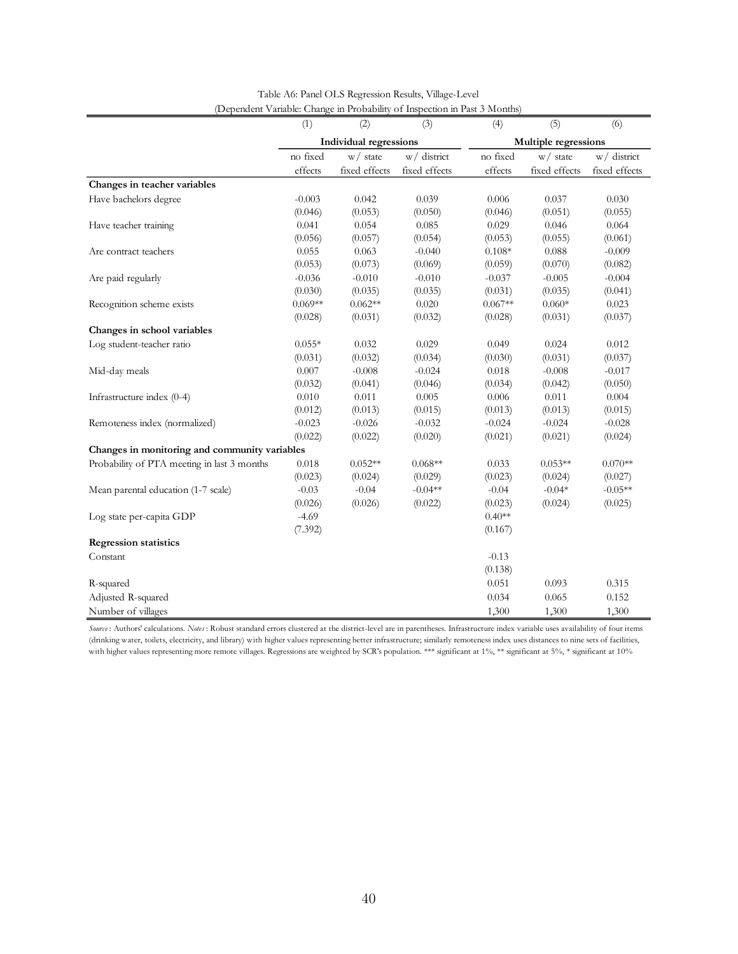|                                               | (1)                    | (2)           | (3)           | (4)       | (5)                  | (6)           |  |
|-----------------------------------------------|------------------------|---------------|---------------|-----------|----------------------|---------------|--|
|                                               | Individual regressions |               |               |           | Multiple regressions |               |  |
|                                               | no fixed               | $w/$ state    | w/ district   | no fixed  | $w/$ state           | w/district    |  |
|                                               | effects                | fixed effects | fixed effects | effects   | fixed effects        | fixed effects |  |
| Changes in teacher variables                  |                        |               |               |           |                      |               |  |
| Have bachelors degree                         | $-0.003$               | 0.042         | 0.039         | 0.006     | 0.037                | 0.030         |  |
|                                               | (0.046)                | (0.053)       | (0.050)       | (0.046)   | (0.051)              | (0.055)       |  |
| Have teacher training                         | 0.041                  | 0.054         | 0.085         | 0.029     | 0.046                | 0.064         |  |
|                                               | (0.056)                | (0.057)       | (0.054)       | (0.053)   | (0.055)              | (0.061)       |  |
| Are contract teachers                         | 0.055                  | 0.063         | $-0.040$      | $0.108*$  | 0.088                | $-0.009$      |  |
|                                               | (0.053)                | (0.073)       | (0.069)       | (0.059)   | (0.070)              | (0.082)       |  |
| Are paid regularly                            | $-0.036$               | $-0.010$      | $-0.010$      | $-0.037$  | $-0.005$             | $-0.004$      |  |
|                                               | (0.030)                | (0.035)       | (0.035)       | (0.031)   | (0.035)              | (0.041)       |  |
| Recognition scheme exists                     | $0.069**$              | $0.062**$     | 0.020         | $0.067**$ | $0.060*$             | 0.023         |  |
|                                               | (0.028)                | (0.031)       | (0.032)       | (0.028)   | (0.031)              | (0.037)       |  |
| Changes in school variables                   |                        |               |               |           |                      |               |  |
| Log student-teacher ratio                     | $0.055*$               | 0.032         | 0.029         | 0.049     | 0.024                | 0.012         |  |
|                                               | (0.031)                | (0.032)       | (0.034)       | (0.030)   | (0.031)              | (0.037)       |  |
| Mid-day meals                                 | 0.007                  | $-0.008$      | $-0.024$      | 0.018     | $-0.008$             | $-0.017$      |  |
|                                               | (0.032)                | (0.041)       | (0.046)       | (0.034)   | (0.042)              | (0.050)       |  |
| Infrastructure index (0-4)                    | 0.010                  | 0.011         | 0.005         | 0.006     | 0.011                | 0.004         |  |
|                                               | (0.012)                | (0.013)       | (0.015)       | (0.013)   | (0.013)              | (0.015)       |  |
| Remoteness index (normalized)                 | $-0.023$               | $-0.026$      | $-0.032$      | $-0.024$  | $-0.024$             | $-0.028$      |  |
|                                               | (0.022)                | (0.022)       | (0.020)       | (0.021)   | (0.021)              | (0.024)       |  |
| Changes in monitoring and community variables |                        |               |               |           |                      |               |  |
| Probability of PTA meeting in last 3 months   | 0.018                  | $0.052**$     | $0.068**$     | 0.033     | $0.053**$            | $0.070**$     |  |
|                                               | (0.023)                | (0.024)       | (0.029)       | (0.023)   | (0.024)              | (0.027)       |  |
| Mean parental education (1-7 scale)           | $-0.03$                | $-0.04$       | $-0.04**$     | $-0.04$   | $-0.04*$             | $-0.05**$     |  |
|                                               | (0.026)                | (0.026)       | (0.022)       | (0.023)   | (0.024)              | (0.025)       |  |
| Log state per-capita GDP                      | $-4.69$                |               |               | $0.40**$  |                      |               |  |
|                                               | (7.392)                |               |               | (0.167)   |                      |               |  |
| <b>Regression statistics</b>                  |                        |               |               |           |                      |               |  |
| Constant                                      |                        |               |               | $-0.13$   |                      |               |  |
|                                               |                        |               |               | (0.138)   |                      |               |  |
| R-squared                                     |                        |               |               | 0.051     | 0.093                | 0.315         |  |
| Adjusted R-squared                            |                        |               |               | 0.034     | 0.065                | 0.152         |  |
| Number of villages                            |                        |               |               | 1,300     | 1,300                | 1,300         |  |

| Table A6: Panel OLS Regression Results, Village-Level                      |  |
|----------------------------------------------------------------------------|--|
| (Dependent Variable: Change in Probability of Inspection in Past 3 Months) |  |

*Source* : Authors' calculations. *Notes* : Robust standard errors clustered at the district-level are in parentheses. Infrastructure index variable uses availability of four items (drinking water, toilets, electricity, and library) with higher values representing better infrastructure; similarly remoteness index uses distances to nine sets of facilities, with higher values representing more remote villages. Regressions are weighted by SCR's population. \*\*\* significant at 1%, \*\* significant at 5%, \* significant at 10%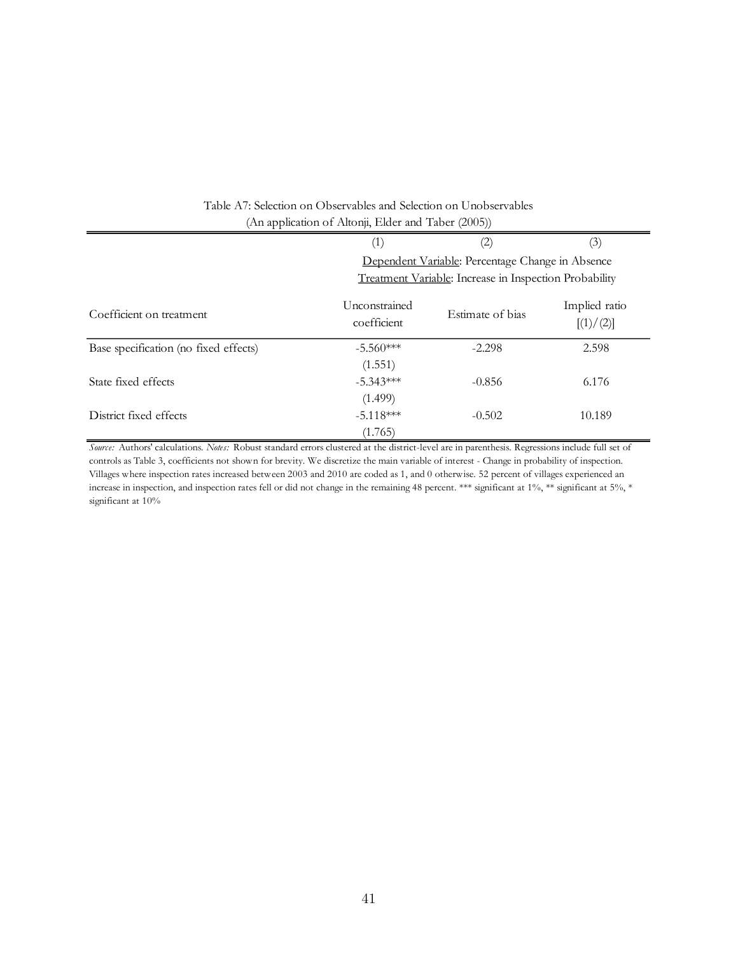|                                       | (1)                          | (2)                                                    | (3)                        |  |  |
|---------------------------------------|------------------------------|--------------------------------------------------------|----------------------------|--|--|
|                                       |                              | Dependent Variable: Percentage Change in Absence       |                            |  |  |
|                                       |                              | Treatment Variable: Increase in Inspection Probability |                            |  |  |
| Coefficient on treatment              | Unconstrained<br>coefficient | Estimate of bias                                       | Implied ratio<br>[(1)/(2)] |  |  |
| Base specification (no fixed effects) | $-5.560***$                  | $-2.298$                                               | 2.598                      |  |  |
|                                       | (1.551)                      |                                                        |                            |  |  |
| State fixed effects                   | $-5.343***$                  | $-0.856$                                               | 6.176                      |  |  |
|                                       | (1.499)                      |                                                        |                            |  |  |
| District fixed effects                | $-5.118***$                  | $-0.502$                                               | 10.189                     |  |  |
|                                       | (1.765)                      |                                                        |                            |  |  |

# Table A7: Selection on Observables and Selection on Unobservables (An application of Altonji, Elder and Taber (2005))

*Source:* Authors' calculations. *Notes:* Robust standard errors clustered at the district-level are in parenthesis. Regressions include full set of controls as Table 3, coefficients not shown for brevity. We discretize the main variable of interest - Change in probability of inspection. Villages where inspection rates increased between 2003 and 2010 are coded as 1, and 0 otherwise. 52 percent of villages experienced an increase in inspection, and inspection rates fell or did not change in the remaining 48 percent. \*\*\* significant at 1%, \*\* significant at 5%, \* significant at 10%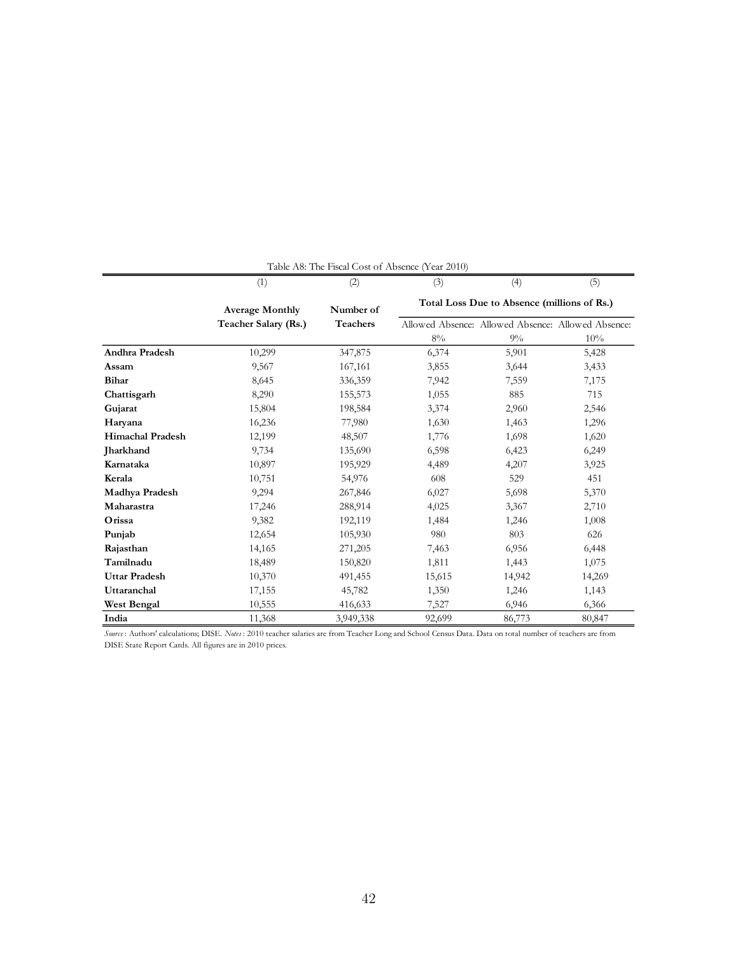| Table A8: The Fiscal Cost of Absence (Year 2010) |                        |                                                          |        |                                                    |        |  |
|--------------------------------------------------|------------------------|----------------------------------------------------------|--------|----------------------------------------------------|--------|--|
|                                                  | (1)                    | (2)                                                      | (3)    | (4)                                                | (5)    |  |
|                                                  | <b>Average Monthly</b> | Total Loss Due to Absence (millions of Rs.)<br>Number of |        |                                                    |        |  |
|                                                  | Teacher Salary (Rs.)   | <b>Teachers</b>                                          |        | Allowed Absence: Allowed Absence: Allowed Absence: |        |  |
|                                                  |                        |                                                          | 8%     | 9%                                                 | 10%    |  |
| <b>Andhra Pradesh</b>                            | 10,299                 | 347,875                                                  | 6,374  | 5,901                                              | 5,428  |  |
| Assam                                            | 9,567                  | 167,161                                                  | 3,855  | 3,644                                              | 3,433  |  |
| Bihar                                            | 8,645                  | 336,359                                                  | 7,942  | 7,559                                              | 7,175  |  |
| Chattisgarh                                      | 8,290                  | 155,573                                                  | 1,055  | 885                                                | 715    |  |
| Gujarat                                          | 15,804                 | 198,584                                                  | 3,374  | 2,960                                              | 2,546  |  |
| Haryana                                          | 16,236                 | 77,980                                                   | 1,630  | 1,463                                              | 1,296  |  |
| <b>Himachal Pradesh</b>                          | 12,199                 | 48,507                                                   | 1,776  | 1,698                                              | 1,620  |  |
| <b>Jharkhand</b>                                 | 9,734                  | 135,690                                                  | 6,598  | 6,423                                              | 6,249  |  |
| Karnataka                                        | 10,897                 | 195,929                                                  | 4,489  | 4,207                                              | 3,925  |  |
| Kerala                                           | 10,751                 | 54,976                                                   | 608    | 529                                                | 451    |  |
| Madhya Pradesh                                   | 9,294                  | 267,846                                                  | 6,027  | 5,698                                              | 5,370  |  |
| Maharastra                                       | 17,246                 | 288,914                                                  | 4,025  | 3,367                                              | 2,710  |  |
| Orissa                                           | 9,382                  | 192,119                                                  | 1,484  | 1,246                                              | 1,008  |  |
| Punjab                                           | 12,654                 | 105,930                                                  | 980    | 803                                                | 626    |  |
| Rajasthan                                        | 14,165                 | 271,205                                                  | 7,463  | 6,956                                              | 6,448  |  |
| Tamilnadu                                        | 18,489                 | 150,820                                                  | 1,811  | 1,443                                              | 1,075  |  |
| <b>Uttar Pradesh</b>                             | 10,370                 | 491,455                                                  | 15,615 | 14,942                                             | 14,269 |  |
| Uttaranchal                                      | 17,155                 | 45,782                                                   | 1,350  | 1,246                                              | 1,143  |  |
| West Bengal                                      | 10,555                 | 416,633                                                  | 7,527  | 6,946                                              | 6,366  |  |
| India                                            | 11,368                 | 3,949,338                                                | 92,699 | 86,773                                             | 80,847 |  |

*Source* : Authors' calculations; DISE. *Notes* : 2010 teacher salaries are from Teacher Long and School Census Data. Data on total number of teachers are from DISE State Report Cards. All figures are in 2010 prices.